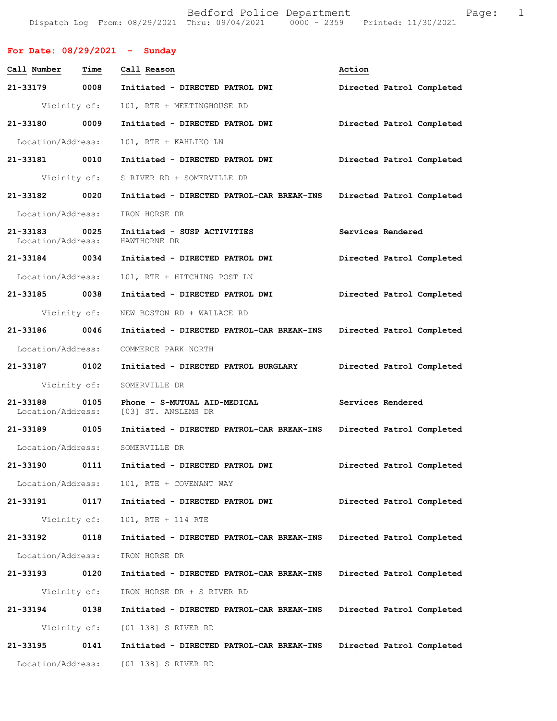Bedford Police Department Fage: 1 Dispatch Log From: 08/29/2021 Thru: 09/04/2021 0000 - 2359 Printed: 11/30/2021

| For Date: $08/29/2021$ - Sunday |              |                                                                       |                           |
|---------------------------------|--------------|-----------------------------------------------------------------------|---------------------------|
| Call Number                     | Time         | Call Reason                                                           | Action                    |
| 21-33179 0008                   |              | Initiated - DIRECTED PATROL DWI                                       | Directed Patrol Completed |
| Vicinity of:                    |              | 101, RTE + MEETINGHOUSE RD                                            |                           |
| 21-33180 0009                   |              | Initiated - DIRECTED PATROL DWI                                       | Directed Patrol Completed |
| Location/Address:               |              | 101, RTE + KAHLIKO LN                                                 |                           |
| 21-33181 0010                   |              | Initiated - DIRECTED PATROL DWI                                       | Directed Patrol Completed |
|                                 |              | Vicinity of: S RIVER RD + SOMERVILLE DR                               |                           |
| 21-33182 0020                   |              | Initiated - DIRECTED PATROL-CAR BREAK-INS                             | Directed Patrol Completed |
| Location/Address:               |              | IRON HORSE DR                                                         |                           |
| 21-33183 0025                   |              | Initiated - SUSP ACTIVITIES<br>Location/Address: HAWTHORNE DR         | Services Rendered         |
| 21-33184 0034                   |              | Initiated - DIRECTED PATROL DWI                                       | Directed Patrol Completed |
| Location/Address:               |              | 101, RTE + HITCHING POST LN                                           |                           |
| 21-33185 0038                   |              | Initiated - DIRECTED PATROL DWI                                       | Directed Patrol Completed |
| Vicinity of:                    |              | NEW BOSTON RD + WALLACE RD                                            |                           |
| 21-33186 0046                   |              | Initiated - DIRECTED PATROL-CAR BREAK-INS                             | Directed Patrol Completed |
| Location/Address:               |              | COMMERCE PARK NORTH                                                   |                           |
| 21-33187 0102                   |              | Initiated - DIRECTED PATROL BURGLARY                                  | Directed Patrol Completed |
| Vicinity of:                    |              | SOMERVILLE DR                                                         |                           |
| 21-33188                        | 0105         | Phone - S-MUTUAL AID-MEDICAL<br>Location/Address: [03] ST. ANSLEMS DR | Services Rendered         |
| 21-33189 0105                   |              | Initiated - DIRECTED PATROL-CAR BREAK-INS                             | Directed Patrol Completed |
| Location/Address:               |              | SOMERVILLE DR                                                         |                           |
| 21-33190                        | 0111         | Initiated - DIRECTED PATROL DWI                                       | Directed Patrol Completed |
| Location/Address:               |              | 101, RTE + COVENANT WAY                                               |                           |
|                                 |              | 21-33191 0117 Initiated - DIRECTED PATROL DWI                         | Directed Patrol Completed |
|                                 | Vicinity of: | 101, RTE + 114 RTE                                                    |                           |
| 21-33192 0118                   |              | Initiated - DIRECTED PATROL-CAR BREAK-INS                             | Directed Patrol Completed |
| Location/Address:               |              | IRON HORSE DR                                                         |                           |
| 21-33193 0120                   |              | Initiated - DIRECTED PATROL-CAR BREAK-INS                             | Directed Patrol Completed |
| Vicinity of:                    |              | IRON HORSE DR + S RIVER RD                                            |                           |
| 21-33194                        | 0138         | Initiated - DIRECTED PATROL-CAR BREAK-INS                             | Directed Patrol Completed |
|                                 |              | Vicinity of: [01 138] S RIVER RD                                      |                           |
| 21-33195 0141                   |              | Initiated - DIRECTED PATROL-CAR BREAK-INS                             | Directed Patrol Completed |
| Location/Address:               |              | [01 138] S RIVER RD                                                   |                           |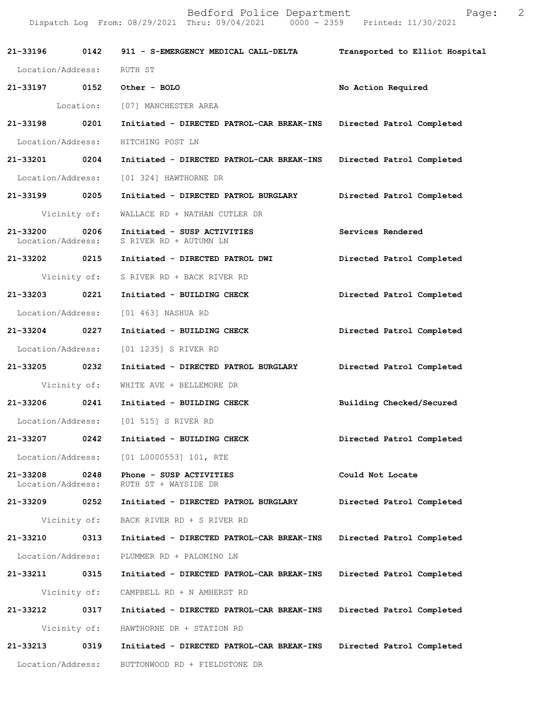**21-33196 0142 911 - S-EMERGENCY MEDICAL CALL-DELTA Transported to Elliot Hospital** Location/Address: RUTH ST **21-33197 0152 Other - BOLO No Action Required**  Location: [07] MANCHESTER AREA **21-33198 0201 Initiated - DIRECTED PATROL-CAR BREAK-INS Directed Patrol Completed**  Location/Address: HITCHING POST LN **21-33201 0204 Initiated - DIRECTED PATROL-CAR BREAK-INS Directed Patrol Completed**  Location/Address: [01 324] HAWTHORNE DR **21-33199 0205 Initiated - DIRECTED PATROL BURGLARY Directed Patrol Completed**  Vicinity of: WALLACE RD + NATHAN CUTLER DR **21-33200 0206 Initiated - SUSP ACTIVITIES Services Rendered**  S RIVER RD + AUTUMN LN **21-33202 0215 Initiated - DIRECTED PATROL DWI Directed Patrol Completed**  Vicinity of: S RIVER RD + BACK RIVER RD **21-33203 0221 Initiated - BUILDING CHECK Directed Patrol Completed**  Location/Address: [01 463] NASHUA RD **21-33204 0227 Initiated - BUILDING CHECK Directed Patrol Completed**  Location/Address: [01 1235] S RIVER RD **21-33205 0232 Initiated - DIRECTED PATROL BURGLARY Directed Patrol Completed**  Vicinity of: WHITE AVE + BELLEMORE DR **21-33206 0241 Initiated - BUILDING CHECK Building Checked/Secured**  Location/Address: [01 515] S RIVER RD **21-33207 0242 Initiated - BUILDING CHECK Directed Patrol Completed**  Location/Address: [01 L0000553] 101, RTE **21-33208** 0248 Phone - SUSP ACTIVITIES Could Not Locate Could Not Locate **Could Not Locate** Location/Address: **21-33209 0252 Initiated - DIRECTED PATROL BURGLARY Directed Patrol Completed**  Vicinity of: BACK RIVER RD + S RIVER RD **21-33210 0313 Initiated - DIRECTED PATROL-CAR BREAK-INS Directed Patrol Completed**  Location/Address: PLUMMER RD + PALOMINO LN **21-33211 0315 Initiated - DIRECTED PATROL-CAR BREAK-INS Directed Patrol Completed**  Vicinity of: CAMPBELL RD + N AMHERST RD **21-33212 0317 Initiated - DIRECTED PATROL-CAR BREAK-INS Directed Patrol Completed**  Vicinity of: HAWTHORNE DR + STATION RD **21-33213 0319 Initiated - DIRECTED PATROL-CAR BREAK-INS Directed Patrol Completed**  Location/Address: BUTTONWOOD RD + FIELDSTONE DR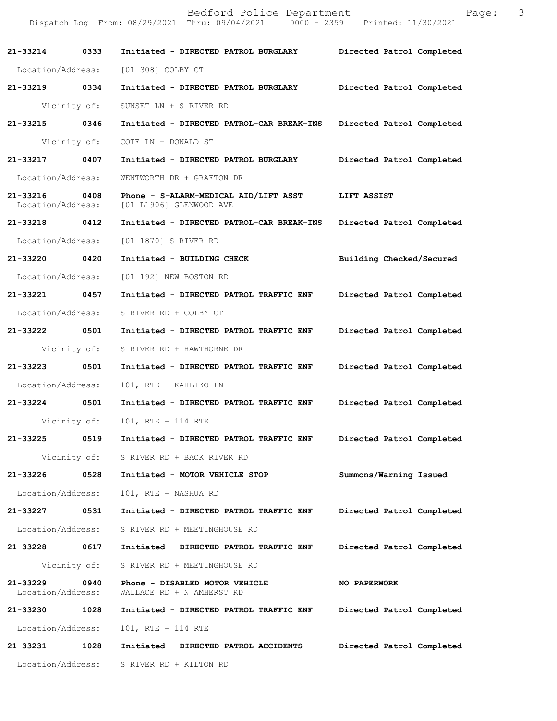Bedford Police Department Page: 3 Dispatch Log From: 08/29/2021 Thru: 09/04/2021 **21-33214 0333 Initiated - DIRECTED PATROL BURGLARY Directed Patrol Completed**  Location/Address: [01 308] COLBY CT **21-33219 0334 Initiated - DIRECTED PATROL BURGLARY Directed Patrol Completed**  Vicinity of: SUNSET LN + S RIVER RD **21-33215 0346 Initiated - DIRECTED PATROL-CAR BREAK-INS Directed Patrol Completed**  Vicinity of: COTE LN + DONALD ST **21-33217 0407 Initiated - DIRECTED PATROL BURGLARY Directed Patrol Completed**  Location/Address: WENTWORTH DR + GRAFTON DR **21-33216 0408 Phone - S-ALARM-MEDICAL AID/LIFT ASST LIFT ASSIST**  Location/Address: [01 L1906] GLENWOOD AVE **21-33218 0412 Initiated - DIRECTED PATROL-CAR BREAK-INS Directed Patrol Completed**  Location/Address: [01 1870] S RIVER RD **21-33220 0420 Initiated - BUILDING CHECK Building Checked/Secured**  Location/Address: [01 192] NEW BOSTON RD **21-33221 0457 Initiated - DIRECTED PATROL TRAFFIC ENF Directed Patrol Completed**  Location/Address: S RIVER RD + COLBY CT **21-33222 0501 Initiated - DIRECTED PATROL TRAFFIC ENF Directed Patrol Completed**  Vicinity of: S RIVER RD + HAWTHORNE DR **21-33223 0501 Initiated - DIRECTED PATROL TRAFFIC ENF Directed Patrol Completed**  Location/Address: 101, RTE + KAHLIKO LN **21-33224 0501 Initiated - DIRECTED PATROL TRAFFIC ENF Directed Patrol Completed**  Vicinity of: 101, RTE + 114 RTE **21-33225 0519 Initiated - DIRECTED PATROL TRAFFIC ENF Directed Patrol Completed**  Vicinity of: S RIVER RD + BACK RIVER RD **21-33226 0528 Initiated - MOTOR VEHICLE STOP Summons/Warning Issued**  Location/Address: 101, RTE + NASHUA RD **21-33227 0531 Initiated - DIRECTED PATROL TRAFFIC ENF Directed Patrol Completed**  Location/Address: S RIVER RD + MEETINGHOUSE RD **21-33228 0617 Initiated - DIRECTED PATROL TRAFFIC ENF Directed Patrol Completed**  Vicinity of: S RIVER RD + MEETINGHOUSE RD **21-33229 0940 Phone - DISABLED MOTOR VEHICLE NO PAPERWORK**  Location/Address: WALLACE RD + N AMHERST RD **21-33230 1028 Initiated - DIRECTED PATROL TRAFFIC ENF Directed Patrol Completed**  Location/Address: 101, RTE + 114 RTE **21-33231 1028 Initiated - DIRECTED PATROL ACCIDENTS Directed Patrol Completed**  Location/Address: S RIVER RD + KILTON RD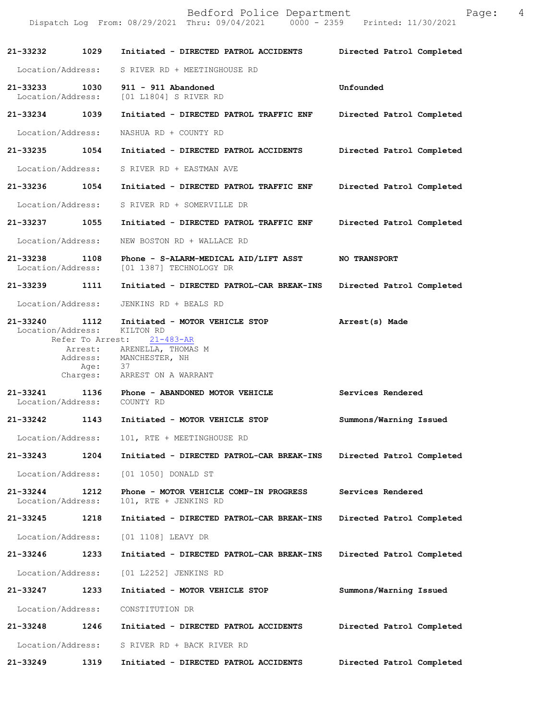|                                    |                                                         | Bedford Police Department<br>Dispatch Log From: 08/29/2021 Thru: 09/04/2021 0000 - 2359 Printed: 11/30/2021                                  | 4<br>Page:                |
|------------------------------------|---------------------------------------------------------|----------------------------------------------------------------------------------------------------------------------------------------------|---------------------------|
| 21-33232                           | 1029                                                    | Initiated - DIRECTED PATROL ACCIDENTS                                                                                                        | Directed Patrol Completed |
| Location/Address:                  |                                                         | S RIVER RD + MEETINGHOUSE RD                                                                                                                 |                           |
| 21-33233 1030<br>Location/Address: |                                                         | 911 - 911 Abandoned<br>[01 L1804] S RIVER RD                                                                                                 | Unfounded                 |
| 21-33234                           | 1039                                                    | Initiated - DIRECTED PATROL TRAFFIC ENF                                                                                                      | Directed Patrol Completed |
| Location/Address:                  |                                                         | NASHUA RD + COUNTY RD                                                                                                                        |                           |
| 21-33235                           | 1054                                                    | Initiated - DIRECTED PATROL ACCIDENTS                                                                                                        | Directed Patrol Completed |
| Location/Address:                  |                                                         | S RIVER RD + EASTMAN AVE                                                                                                                     |                           |
| 21-33236 1054                      |                                                         | Initiated - DIRECTED PATROL TRAFFIC ENF                                                                                                      | Directed Patrol Completed |
| Location/Address:                  |                                                         | S RIVER RD + SOMERVILLE DR                                                                                                                   |                           |
| 21-33237 1055                      |                                                         | Initiated - DIRECTED PATROL TRAFFIC ENF                                                                                                      | Directed Patrol Completed |
| Location/Address:                  |                                                         | NEW BOSTON RD + WALLACE RD                                                                                                                   |                           |
| 21-33238 1108<br>Location/Address: |                                                         | Phone - S-ALARM-MEDICAL AID/LIFT ASST<br>[01 1387] TECHNOLOGY DR                                                                             | NO TRANSPORT              |
| 21-33239 1111                      |                                                         | Initiated - DIRECTED PATROL-CAR BREAK-INS                                                                                                    | Directed Patrol Completed |
| Location/Address:                  |                                                         | JENKINS RD + BEALS RD                                                                                                                        |                           |
| 21-33240<br>Location/Address:      | 1112<br>Refer To Arrest:<br>Arrest:<br>Age:<br>Charges: | Initiated - MOTOR VEHICLE STOP<br>KILTON RD<br>$21 - 483 - AR$<br>ARENELLA, THOMAS M<br>Address: MANCHESTER, NH<br>37<br>ARREST ON A WARRANT | Arrest(s) Made            |
| 21-33241 1136<br>Location/Address: |                                                         | Phone - ABANDONED MOTOR VEHICLE<br>COUNTY RD                                                                                                 | Services Rendered         |
| 21-33242                           | 1143                                                    | Initiated - MOTOR VEHICLE STOP                                                                                                               | Summons/Warning Issued    |
| Location/Address:                  |                                                         | 101, RTE + MEETINGHOUSE RD                                                                                                                   |                           |
| 21-33243                           | 1204                                                    | Initiated - DIRECTED PATROL-CAR BREAK-INS                                                                                                    | Directed Patrol Completed |
| Location/Address:                  |                                                         | [01 1050] DONALD ST                                                                                                                          |                           |
| 21-33244<br>Location/Address:      | 1212                                                    | Phone - MOTOR VEHICLE COMP-IN PROGRESS<br>101, RTE + JENKINS RD                                                                              | Services Rendered         |
| 21-33245                           | 1218                                                    | Initiated - DIRECTED PATROL-CAR BREAK-INS                                                                                                    | Directed Patrol Completed |
| Location/Address:                  |                                                         | [01 1108] LEAVY DR                                                                                                                           |                           |
| 21-33246                           | 1233                                                    | Initiated - DIRECTED PATROL-CAR BREAK-INS                                                                                                    | Directed Patrol Completed |
| Location/Address:                  |                                                         | [01 L2252] JENKINS RD                                                                                                                        |                           |
| 21-33247                           | 1233                                                    | Initiated - MOTOR VEHICLE STOP                                                                                                               | Summons/Warning Issued    |
| Location/Address:                  |                                                         | CONSTITUTION DR                                                                                                                              |                           |
| 21-33248                           | 1246                                                    | Initiated - DIRECTED PATROL ACCIDENTS                                                                                                        | Directed Patrol Completed |
| Location/Address:                  |                                                         | S RIVER RD + BACK RIVER RD                                                                                                                   |                           |
| 21-33249                           | 1319                                                    | Initiated - DIRECTED PATROL ACCIDENTS                                                                                                        | Directed Patrol Completed |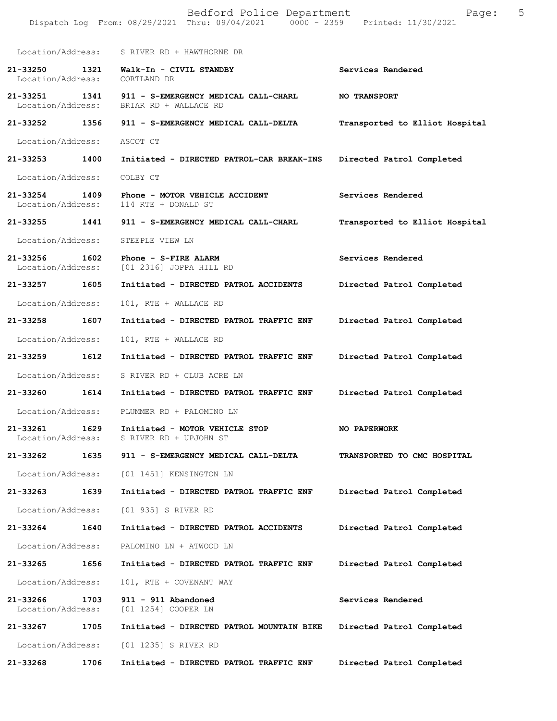|                                    |      | Bedford Police Department<br>Dispatch Log From: 08/29/2021 Thru: 09/04/2021 0000 - 2359 Printed: 11/30/2021 | 5<br>Page:                     |
|------------------------------------|------|-------------------------------------------------------------------------------------------------------------|--------------------------------|
|                                    |      | Location/Address: S RIVER RD + HAWTHORNE DR                                                                 |                                |
| 21-33250<br>Location/Address:      | 1321 | Walk-In - CIVIL STANDBY<br>CORTLAND DR                                                                      | Services Rendered              |
| Location/Address:                  |      | 21-33251 1341 911 - S-EMERGENCY MEDICAL CALL-CHARL<br>BRIAR RD + WALLACE RD                                 | <b>NO TRANSPORT</b>            |
| 21-33252 1356                      |      | 911 - S-EMERGENCY MEDICAL CALL-DELTA                                                                        | Transported to Elliot Hospital |
| Location/Address:                  |      | ASCOT CT                                                                                                    |                                |
| 21-33253                           | 1400 | Initiated - DIRECTED PATROL-CAR BREAK-INS                                                                   | Directed Patrol Completed      |
| Location/Address:                  |      | COLBY CT                                                                                                    |                                |
| $21 - 33254$<br>Location/Address:  | 1409 | Phone - MOTOR VEHICLE ACCIDENT<br>114 RTE + DONALD ST                                                       | Services Rendered              |
| 21-33255 1441                      |      | 911 - S-EMERGENCY MEDICAL CALL-CHARL                                                                        | Transported to Elliot Hospital |
| Location/Address:                  |      | STEEPLE VIEW LN                                                                                             |                                |
| 21-33256 1602<br>Location/Address: |      | Phone - S-FIRE ALARM<br>[01 2316] JOPPA HILL RD                                                             | Services Rendered              |
| 21-33257 1605                      |      | Initiated - DIRECTED PATROL ACCIDENTS                                                                       | Directed Patrol Completed      |
| Location/Address:                  |      | 101, RTE + WALLACE RD                                                                                       |                                |
| 21-33258                           | 1607 | Initiated - DIRECTED PATROL TRAFFIC ENF                                                                     | Directed Patrol Completed      |
| Location/Address:                  |      | 101, RTE + WALLACE RD                                                                                       |                                |
| 21-33259                           | 1612 | Initiated - DIRECTED PATROL TRAFFIC ENF                                                                     | Directed Patrol Completed      |
| Location/Address:                  |      | S RIVER RD + CLUB ACRE LN                                                                                   |                                |
| 21-33260 1614                      |      | Initiated - DIRECTED PATROL TRAFFIC ENF                                                                     | Directed Patrol Completed      |
| Location/Address:                  |      | PLUMMER RD + PALOMINO LN                                                                                    |                                |
| 21-33261<br>Location/Address:      | 1629 | Initiated - MOTOR VEHICLE STOP<br>S RIVER RD + UPJOHN ST                                                    | NO PAPERWORK                   |
| 21-33262                           | 1635 | 911 - S-EMERGENCY MEDICAL CALL-DELTA                                                                        | TRANSPORTED TO CMC HOSPITAL    |
| Location/Address:                  |      | [01 1451] KENSINGTON LN                                                                                     |                                |
| 21-33263                           | 1639 | Initiated - DIRECTED PATROL TRAFFIC ENF                                                                     | Directed Patrol Completed      |
| Location/Address:                  |      | [01 935] S RIVER RD                                                                                         |                                |
| 21-33264                           | 1640 | Initiated - DIRECTED PATROL ACCIDENTS                                                                       | Directed Patrol Completed      |
| Location/Address:                  |      | PALOMINO LN + ATWOOD LN                                                                                     |                                |
| 21-33265                           | 1656 | Initiated - DIRECTED PATROL TRAFFIC ENF                                                                     | Directed Patrol Completed      |
| Location/Address:                  |      | 101, RTE + COVENANT WAY                                                                                     |                                |
| 21-33266<br>Location/Address:      | 1703 | 911 - 911 Abandoned<br>[01 1254] COOPER LN                                                                  | Services Rendered              |
| 21-33267                           | 1705 | Initiated - DIRECTED PATROL MOUNTAIN BIKE                                                                   | Directed Patrol Completed      |
| Location/Address:                  |      | [01 1235] S RIVER RD                                                                                        |                                |
| 21-33268                           | 1706 | Initiated - DIRECTED PATROL TRAFFIC ENF                                                                     | Directed Patrol Completed      |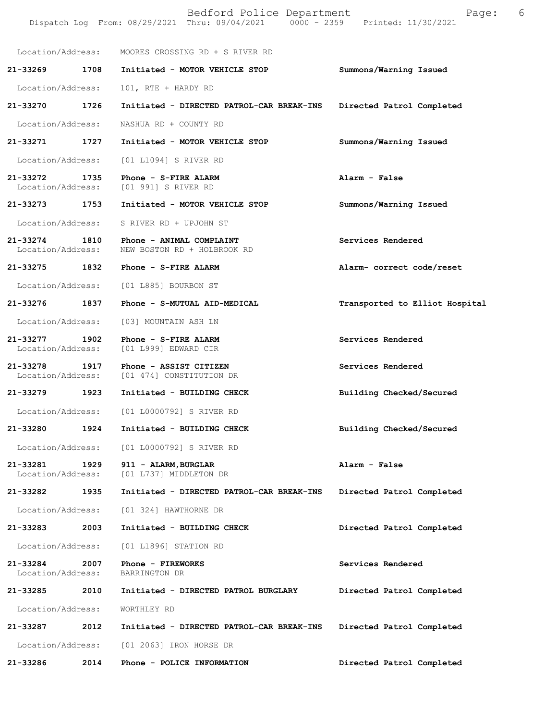|                               |      | Bedford Police Department<br>Dispatch Log From: 08/29/2021 Thru: 09/04/2021 0000 - 2359 | 6<br>Page:<br>Printed: 11/30/2021 |
|-------------------------------|------|-----------------------------------------------------------------------------------------|-----------------------------------|
| Location/Address:             |      | MOORES CROSSING RD + S RIVER RD                                                         |                                   |
| 21-33269                      | 1708 | Initiated - MOTOR VEHICLE STOP                                                          | Summons/Warning Issued            |
| Location/Address:             |      | 101, RTE + HARDY RD                                                                     |                                   |
| 21-33270                      | 1726 | Initiated - DIRECTED PATROL-CAR BREAK-INS                                               | Directed Patrol Completed         |
| Location/Address:             |      | NASHUA RD + COUNTY RD                                                                   |                                   |
| 21-33271                      | 1727 | Initiated - MOTOR VEHICLE STOP                                                          | Summons/Warning Issued            |
| Location/Address:             |      | [01 L1094] S RIVER RD                                                                   |                                   |
| 21-33272<br>Location/Address: | 1735 | Phone - S-FIRE ALARM<br>[01 991] S RIVER RD                                             | Alarm - False                     |
| 21-33273                      | 1753 | Initiated - MOTOR VEHICLE STOP                                                          | Summons/Warning Issued            |
| Location/Address:             |      | S RIVER RD + UPJOHN ST                                                                  |                                   |
| 21-33274<br>Location/Address: | 1810 | Phone - ANIMAL COMPLAINT<br>NEW BOSTON RD + HOLBROOK RD                                 | Services Rendered                 |
| 21-33275                      | 1832 | Phone - S-FIRE ALARM                                                                    | Alarm- correct code/reset         |
| Location/Address:             |      | [01 L885] BOURBON ST                                                                    |                                   |
| 21-33276                      | 1837 | Phone - S-MUTUAL AID-MEDICAL                                                            | Transported to Elliot Hospital    |
| Location/Address:             |      | [03] MOUNTAIN ASH LN                                                                    |                                   |
| 21-33277<br>Location/Address: | 1902 | Phone - S-FIRE ALARM<br>[01 L999] EDWARD CIR                                            | Services Rendered                 |
| 21-33278<br>Location/Address: | 1917 | Phone - ASSIST CITIZEN<br>[01 474] CONSTITUTION DR                                      | Services Rendered                 |
| 21-33279                      | 1923 | Initiated - BUILDING CHECK                                                              | Building Checked/Secured          |
| Location/Address:             |      | [01 L0000792] S RIVER RD                                                                |                                   |
| 21-33280                      | 1924 | Initiated - BUILDING CHECK                                                              | Building Checked/Secured          |
| Location/Address:             |      | [01 L0000792] S RIVER RD                                                                |                                   |
| 21-33281<br>Location/Address: | 1929 | 911 - ALARM, BURGLAR<br>[01 L737] MIDDLETON DR                                          | Alarm - False                     |
| 21-33282                      | 1935 | Initiated - DIRECTED PATROL-CAR BREAK-INS                                               | Directed Patrol Completed         |
| Location/Address:             |      | [01 324] HAWTHORNE DR                                                                   |                                   |
| 21-33283                      | 2003 | Initiated - BUILDING CHECK                                                              | Directed Patrol Completed         |
| Location/Address:             |      | [01 L1896] STATION RD                                                                   |                                   |
| 21-33284<br>Location/Address: | 2007 | Phone - FIREWORKS<br>BARRINGTON DR                                                      | Services Rendered                 |
| 21-33285                      | 2010 | Initiated - DIRECTED PATROL BURGLARY                                                    | Directed Patrol Completed         |
| Location/Address:             |      | WORTHLEY RD                                                                             |                                   |
| 21-33287                      | 2012 | Initiated - DIRECTED PATROL-CAR BREAK-INS                                               | Directed Patrol Completed         |
| Location/Address:             |      | [01 2063] IRON HORSE DR                                                                 |                                   |
| 21-33286                      | 2014 | Phone - POLICE INFORMATION                                                              | Directed Patrol Completed         |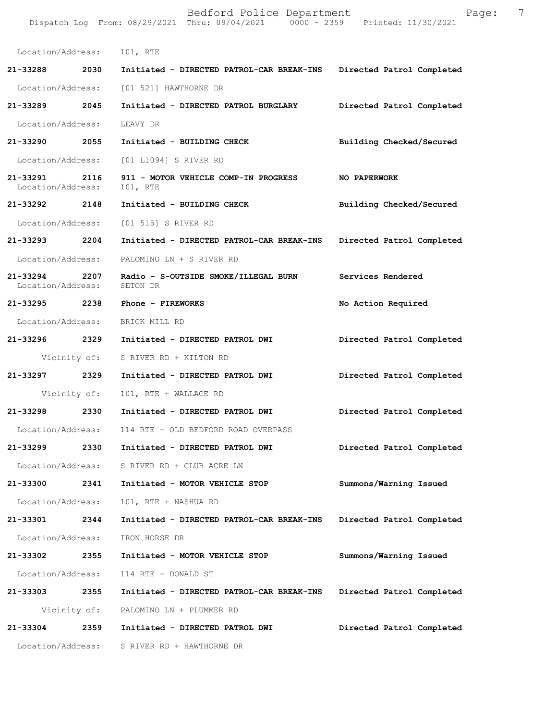|                               |      | Bedford Police Department<br>Dispatch Log From: 08/29/2021 Thru: 09/04/2021   0000 - 2359   Printed: 11/30/2021 | 7<br>Page:                |
|-------------------------------|------|-----------------------------------------------------------------------------------------------------------------|---------------------------|
| Location/Address:             |      | 101, RTE                                                                                                        |                           |
| 21-33288                      | 2030 | Initiated - DIRECTED PATROL-CAR BREAK-INS Directed Patrol Completed                                             |                           |
|                               |      | Location/Address: [01 521] HAWTHORNE DR                                                                         |                           |
| 21-33289 2045                 |      | Initiated - DIRECTED PATROL BURGLARY                                                                            | Directed Patrol Completed |
| Location/Address:             |      | LEAVY DR                                                                                                        |                           |
| 21-33290 2055                 |      | Initiated - BUILDING CHECK                                                                                      | Building Checked/Secured  |
| Location/Address:             |      | [01 L1094] S RIVER RD                                                                                           |                           |
| 21-33291<br>Location/Address: | 2116 | 911 - MOTOR VEHICLE COMP-IN PROGRESS<br>101, RTE                                                                | <b>NO PAPERWORK</b>       |
| 21-33292 2148                 |      | Initiated - BUILDING CHECK                                                                                      | Building Checked/Secured  |
| Location/Address:             |      | [01 515] S RIVER RD                                                                                             |                           |
| 21-33293 2204                 |      | Initiated - DIRECTED PATROL-CAR BREAK-INS                                                                       | Directed Patrol Completed |
|                               |      | Location/Address: PALOMINO LN + S RIVER RD                                                                      |                           |
| 21-33294<br>Location/Address: | 2207 | Radio - S-OUTSIDE SMOKE/ILLEGAL BURN Services Rendered<br>SETON DR                                              |                           |
| 21-33295 2238                 |      | <b>Phone - FIREWORKS</b>                                                                                        | No Action Required        |
| Location/Address:             |      | BRICK MILL RD                                                                                                   |                           |
|                               |      | 21-33296 2329 Initiated - DIRECTED PATROL DWI                                                                   | Directed Patrol Completed |
|                               |      | Vicinity of: S RIVER RD + KILTON RD                                                                             |                           |
| 21-33297 2329                 |      | Initiated - DIRECTED PATROL DWI                                                                                 | Directed Patrol Completed |
|                               |      | Vicinity of: 101, RTE + WALLACE RD                                                                              |                           |
|                               |      | 21-33298 2330 Initiated - DIRECTED PATROL DWI Directed Patrol Completed                                         |                           |
|                               |      | Location/Address: 114 RTE + OLD BEDFORD ROAD OVERPASS                                                           |                           |
|                               |      | 21-33299 2330 Initiated - DIRECTED PATROL DWI                                                                   | Directed Patrol Completed |
|                               |      | Location/Address: S RIVER RD + CLUB ACRE LN                                                                     |                           |
| 21-33300 2341                 |      | Initiated - MOTOR VEHICLE STOP                                                                                  | Summons/Warning Issued    |
| Location/Address:             |      | 101, RTE + NASHUA RD                                                                                            |                           |
| 21-33301 2344                 |      | Initiated - DIRECTED PATROL-CAR BREAK-INS                                                                       | Directed Patrol Completed |
| Location/Address:             |      | IRON HORSE DR                                                                                                   |                           |
| 21-33302 2355                 |      | Initiated - MOTOR VEHICLE STOP                                                                                  | Summons/Warning Issued    |
| Location/Address:             |      | 114 RTE + DONALD ST                                                                                             |                           |
| 21-33303 2355                 |      | Initiated - DIRECTED PATROL-CAR BREAK-INS                                                                       | Directed Patrol Completed |
|                               |      | Vicinity of: PALOMINO LN + PLUMMER RD                                                                           |                           |
| 21-33304 2359                 |      | Initiated - DIRECTED PATROL DWI                                                                                 | Directed Patrol Completed |
|                               |      | Location/Address: S RIVER RD + HAWTHORNE DR                                                                     |                           |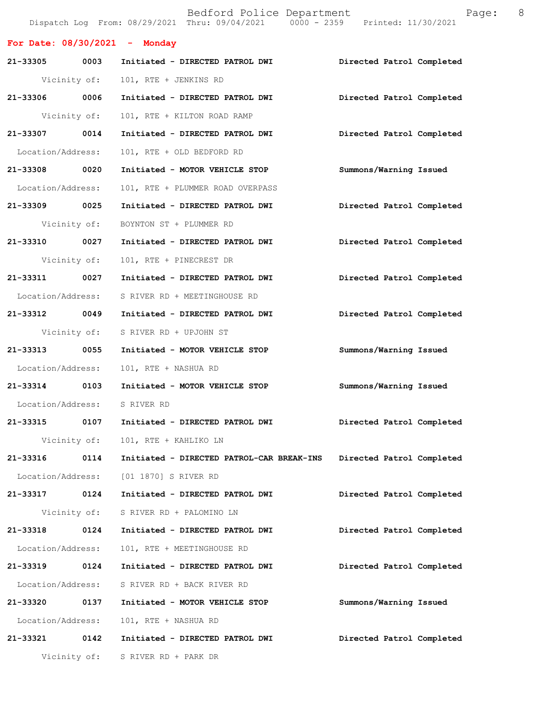|                                 |              | Bedford Police Department<br>Dispatch Log From: 08/29/2021 Thru: 09/04/2021 0000 - 2359 Printed: 11/30/2021 | 8<br>Page:                |
|---------------------------------|--------------|-------------------------------------------------------------------------------------------------------------|---------------------------|
| For Date: $08/30/2021$ - Monday |              |                                                                                                             |                           |
| 21-33305 0003                   |              | Initiated - DIRECTED PATROL DWI                                                                             | Directed Patrol Completed |
|                                 | Vicinity of: | 101, RTE + JENKINS RD                                                                                       |                           |
| 21-33306 0006                   |              | Initiated - DIRECTED PATROL DWI                                                                             | Directed Patrol Completed |
|                                 | Vicinity of: | 101, RTE + KILTON ROAD RAMP                                                                                 |                           |
| 21-33307 0014                   |              | Initiated - DIRECTED PATROL DWI                                                                             | Directed Patrol Completed |
| Location/Address:               |              | 101, RTE + OLD BEDFORD RD                                                                                   |                           |
| 21-33308 0020                   |              | Initiated - MOTOR VEHICLE STOP                                                                              | Summons/Warning Issued    |
| Location/Address:               |              | 101, RTE + PLUMMER ROAD OVERPASS                                                                            |                           |
| 21-33309 0025                   |              | Initiated - DIRECTED PATROL DWI                                                                             | Directed Patrol Completed |
|                                 | Vicinity of: | BOYNTON ST + PLUMMER RD                                                                                     |                           |
| 21-33310 0027                   |              | Initiated - DIRECTED PATROL DWI                                                                             | Directed Patrol Completed |
|                                 | Vicinity of: | 101, RTE + PINECREST DR                                                                                     |                           |
| 21-33311 0027                   |              | Initiated - DIRECTED PATROL DWI                                                                             | Directed Patrol Completed |
| Location/Address:               |              | S RIVER RD + MEETINGHOUSE RD                                                                                |                           |
| 21-33312 0049                   |              | Initiated - DIRECTED PATROL DWI                                                                             | Directed Patrol Completed |
|                                 | Vicinity of: | S RIVER RD + UPJOHN ST                                                                                      |                           |
| 21-33313 0055                   |              | Initiated - MOTOR VEHICLE STOP                                                                              | Summons/Warning Issued    |
| Location/Address:               |              | 101, RTE + NASHUA RD                                                                                        |                           |
| 21-33314 0103                   |              | Initiated - MOTOR VEHICLE STOP                                                                              | Summons/Warning Issued    |
|                                 |              | Location/Address: S RIVER RD                                                                                |                           |
| 21-33315                        | 0107         | Initiated - DIRECTED PATROL DWI                                                                             | Directed Patrol Completed |
|                                 | Vicinity of: | 101, RTE + KAHLIKO LN                                                                                       |                           |
| 21-33316                        | 0114         | Initiated - DIRECTED PATROL-CAR BREAK-INS                                                                   | Directed Patrol Completed |
| Location/Address:               |              | [01 1870] S RIVER RD                                                                                        |                           |
| 21-33317                        | 0124         | Initiated - DIRECTED PATROL DWI                                                                             | Directed Patrol Completed |
|                                 | Vicinity of: | S RIVER RD + PALOMINO LN                                                                                    |                           |
| 21-33318                        | 0124         | Initiated - DIRECTED PATROL DWI                                                                             | Directed Patrol Completed |
| Location/Address:               |              | 101, RTE + MEETINGHOUSE RD                                                                                  |                           |
| 21-33319                        | 0124         | Initiated - DIRECTED PATROL DWI                                                                             | Directed Patrol Completed |
| Location/Address:               |              | S RIVER RD + BACK RIVER RD                                                                                  |                           |
| 21-33320                        | 0137         | Initiated - MOTOR VEHICLE STOP                                                                              | Summons/Warning Issued    |
| Location/Address:               |              | 101, RTE + NASHUA RD                                                                                        |                           |
| 21-33321 0142                   |              | Initiated - DIRECTED PATROL DWI                                                                             | Directed Patrol Completed |
|                                 | Vicinity of: | S RIVER RD + PARK DR                                                                                        |                           |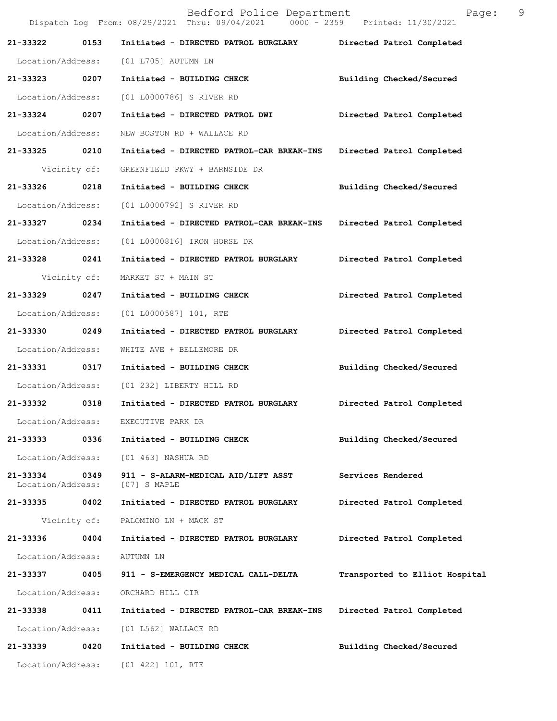|                               |              | Bedford Police Department<br>Dispatch Log From: 08/29/2021 Thru: 09/04/2021 0000 - 2359 Printed: 11/30/2021 | Page:                          | 9 |
|-------------------------------|--------------|-------------------------------------------------------------------------------------------------------------|--------------------------------|---|
| 21-33322                      | 0153         | Initiated - DIRECTED PATROL BURGLARY Directed Patrol Completed                                              |                                |   |
| Location/Address:             |              | [01 L705] AUTUMN LN                                                                                         |                                |   |
| 21-33323 0207                 |              | Initiated - BUILDING CHECK                                                                                  | Building Checked/Secured       |   |
| Location/Address:             |              | [01 L0000786] S RIVER RD                                                                                    |                                |   |
| 21-33324                      | 0207         | Initiated - DIRECTED PATROL DWI                                                                             | Directed Patrol Completed      |   |
| Location/Address:             |              | NEW BOSTON RD + WALLACE RD                                                                                  |                                |   |
| 21-33325 0210                 |              | Initiated - DIRECTED PATROL-CAR BREAK-INS                                                                   | Directed Patrol Completed      |   |
|                               | Vicinity of: | GREENFIELD PKWY + BARNSIDE DR                                                                               |                                |   |
| 21-33326 0218                 |              | Initiated - BUILDING CHECK                                                                                  | Building Checked/Secured       |   |
| Location/Address:             |              | [01 L0000792] S RIVER RD                                                                                    |                                |   |
| 21-33327 0234                 |              | Initiated - DIRECTED PATROL-CAR BREAK-INS                                                                   | Directed Patrol Completed      |   |
| Location/Address:             |              | [01 L0000816] IRON HORSE DR                                                                                 |                                |   |
| 21-33328 0241                 |              | Initiated - DIRECTED PATROL BURGLARY                                                                        | Directed Patrol Completed      |   |
|                               | Vicinity of: | MARKET ST + MAIN ST                                                                                         |                                |   |
| 21-33329 0247                 |              | Initiated - BUILDING CHECK                                                                                  | Directed Patrol Completed      |   |
| Location/Address:             |              | $[01 L0000587] 101$ , RTE                                                                                   |                                |   |
| 21-33330 0249                 |              | Initiated - DIRECTED PATROL BURGLARY                                                                        | Directed Patrol Completed      |   |
| Location/Address:             |              | WHITE AVE + BELLEMORE DR                                                                                    |                                |   |
| 21-33331 0317                 |              | Initiated - BUILDING CHECK                                                                                  | Building Checked/Secured       |   |
| Location/Address:             |              | [01 232] LIBERTY HILL RD                                                                                    |                                |   |
| 21-33332                      | 0318         | Initiated - DIRECTED PATROL BURGLARY                                                                        | Directed Patrol Completed      |   |
| Location/Address:             |              | EXECUTIVE PARK DR                                                                                           |                                |   |
| 21-33333                      | 0336         | Initiated - BUILDING CHECK                                                                                  | Building Checked/Secured       |   |
| Location/Address:             |              | [01 463] NASHUA RD                                                                                          |                                |   |
| 21-33334<br>Location/Address: | 0349         | 911 - S-ALARM-MEDICAL AID/LIFT ASST<br>[07] S MAPLE                                                         | Services Rendered              |   |
| 21-33335                      | 0402         | Initiated - DIRECTED PATROL BURGLARY                                                                        | Directed Patrol Completed      |   |
|                               | Vicinity of: | PALOMINO LN + MACK ST                                                                                       |                                |   |
| 21-33336                      | 0404         | Initiated - DIRECTED PATROL BURGLARY                                                                        | Directed Patrol Completed      |   |
| Location/Address:             |              | AUTUMN LN                                                                                                   |                                |   |
| 21-33337 0405                 |              | 911 - S-EMERGENCY MEDICAL CALL-DELTA                                                                        | Transported to Elliot Hospital |   |
| Location/Address:             |              | ORCHARD HILL CIR                                                                                            |                                |   |
| 21-33338                      | 0411         | Initiated - DIRECTED PATROL-CAR BREAK-INS                                                                   | Directed Patrol Completed      |   |
| Location/Address:             |              | [01 L562] WALLACE RD                                                                                        |                                |   |
| 21-33339                      | 0420         | Initiated - BUILDING CHECK                                                                                  | Building Checked/Secured       |   |
|                               |              | Location/Address: [01 422] 101, RTE                                                                         |                                |   |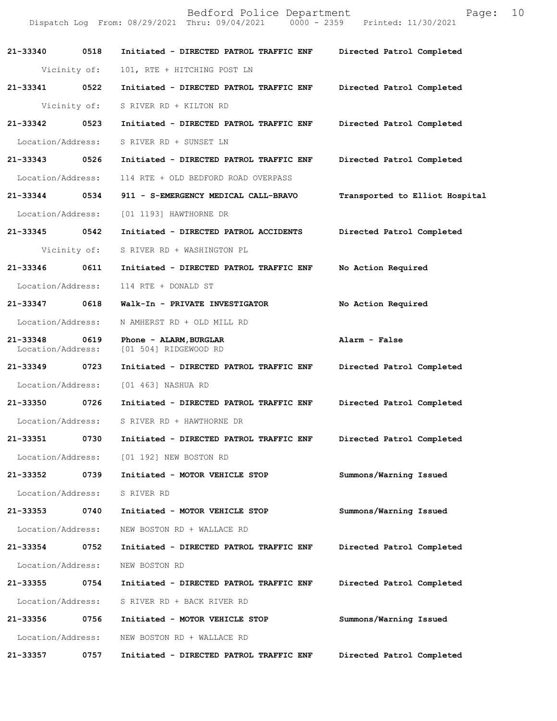|                               |              | Bedford Police Department<br>Dispatch Log From: 08/29/2021 Thru: 09/04/2021 0000 - 2359 Printed: 11/30/2021 | Page:                          | 10 |
|-------------------------------|--------------|-------------------------------------------------------------------------------------------------------------|--------------------------------|----|
| 21-33340                      | 0518         | Initiated - DIRECTED PATROL TRAFFIC ENF                                                                     | Directed Patrol Completed      |    |
|                               | Vicinity of: | 101, RTE + HITCHING POST LN                                                                                 |                                |    |
| 21-33341                      | 0522         | Initiated - DIRECTED PATROL TRAFFIC ENF                                                                     | Directed Patrol Completed      |    |
|                               | Vicinity of: | S RIVER RD + KILTON RD                                                                                      |                                |    |
| 21-33342 0523                 |              | Initiated - DIRECTED PATROL TRAFFIC ENF                                                                     | Directed Patrol Completed      |    |
| Location/Address:             |              | S RIVER RD + SUNSET LN                                                                                      |                                |    |
| 21-33343                      | 0526         | Initiated - DIRECTED PATROL TRAFFIC ENF                                                                     | Directed Patrol Completed      |    |
| Location/Address:             |              | 114 RTE + OLD BEDFORD ROAD OVERPASS                                                                         |                                |    |
| 21-33344                      | 0534         | 911 - S-EMERGENCY MEDICAL CALL-BRAVO                                                                        | Transported to Elliot Hospital |    |
| Location/Address:             |              | [01 1193] HAWTHORNE DR                                                                                      |                                |    |
| 21-33345 0542                 |              | Initiated - DIRECTED PATROL ACCIDENTS                                                                       | Directed Patrol Completed      |    |
|                               | Vicinity of: | S RIVER RD + WASHINGTON PL                                                                                  |                                |    |
| 21-33346                      | 0611         | Initiated - DIRECTED PATROL TRAFFIC ENF                                                                     | No Action Required             |    |
| Location/Address:             |              | 114 RTE + DONALD ST                                                                                         |                                |    |
| 21-33347                      | 0618         | Walk-In - PRIVATE INVESTIGATOR                                                                              | No Action Required             |    |
| Location/Address:             |              | N AMHERST RD + OLD MILL RD                                                                                  |                                |    |
| 21-33348<br>Location/Address: | 0619         | Phone - ALARM, BURGLAR<br>[01 504] RIDGEWOOD RD                                                             | Alarm - False                  |    |
| 21-33349                      | 0723         | Initiated - DIRECTED PATROL TRAFFIC ENF                                                                     | Directed Patrol Completed      |    |
| Location/Address:             |              | [01 463] NASHUA RD                                                                                          |                                |    |
| 21-33350                      | 0726         | Initiated - DIRECTED PATROL TRAFFIC ENF                                                                     | Directed Patrol Completed      |    |
| Location/Address:             |              | S RIVER RD + HAWTHORNE DR                                                                                   |                                |    |
| 21-33351                      | 0730         | Initiated - DIRECTED PATROL TRAFFIC ENF                                                                     | Directed Patrol Completed      |    |
| Location/Address:             |              | [01 192] NEW BOSTON RD                                                                                      |                                |    |
| 21-33352                      | 0739         | Initiated - MOTOR VEHICLE STOP                                                                              | Summons/Warning Issued         |    |
| Location/Address:             |              | S RIVER RD                                                                                                  |                                |    |
| 21-33353                      | 0740         | Initiated - MOTOR VEHICLE STOP                                                                              | Summons/Warning Issued         |    |
| Location/Address:             |              | NEW BOSTON RD + WALLACE RD                                                                                  |                                |    |
| 21-33354                      | 0752         | Initiated - DIRECTED PATROL TRAFFIC ENF                                                                     | Directed Patrol Completed      |    |
| Location/Address:             |              | NEW BOSTON RD                                                                                               |                                |    |
| 21-33355                      | 0754         | Initiated - DIRECTED PATROL TRAFFIC ENF                                                                     | Directed Patrol Completed      |    |
| Location/Address:             |              | S RIVER RD + BACK RIVER RD                                                                                  |                                |    |
| 21-33356                      | 0756         | Initiated - MOTOR VEHICLE STOP                                                                              | Summons/Warning Issued         |    |
| Location/Address:             |              | NEW BOSTON RD + WALLACE RD                                                                                  |                                |    |
| 21-33357                      | 0757         | Initiated - DIRECTED PATROL TRAFFIC ENF                                                                     | Directed Patrol Completed      |    |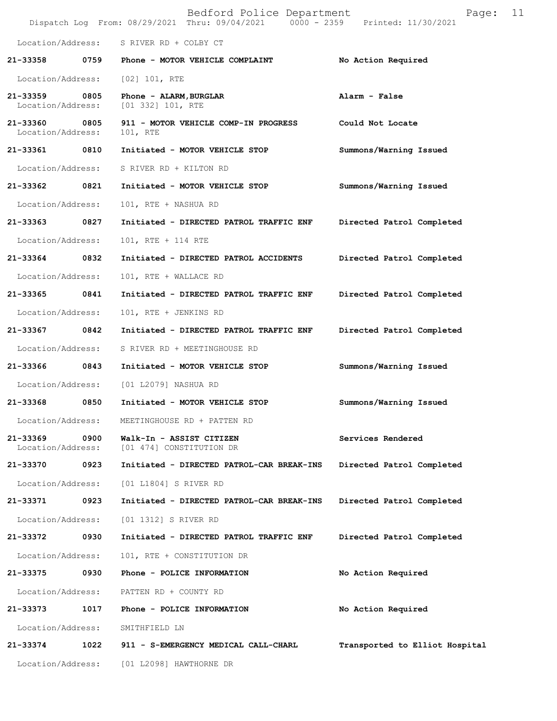|                               |      | Bedford Police Department<br>Dispatch Log From: 08/29/2021 Thru: 09/04/2021 0000 - 2359 Printed: 11/30/2021 | Page:                          | 11 |
|-------------------------------|------|-------------------------------------------------------------------------------------------------------------|--------------------------------|----|
|                               |      | Location/Address: S RIVER RD + COLBY CT                                                                     |                                |    |
| 21-33358                      |      | 0759 Phone - MOTOR VEHICLE COMPLAINT                                                                        | No Action Required             |    |
| Location/Address:             |      | $[02]$ 101, RTE                                                                                             |                                |    |
| 21-33359<br>Location/Address: | 0805 | Phone - ALARM, BURGLAR<br>$[01 332] 101$ , RTE                                                              | Alarm - False                  |    |
| 21-33360<br>Location/Address: | 0805 | 911 - MOTOR VEHICLE COMP-IN PROGRESS<br>101, RTE                                                            | Could Not Locate               |    |
| 21-33361 0810                 |      | Initiated - MOTOR VEHICLE STOP                                                                              | Summons/Warning Issued         |    |
| Location/Address:             |      | S RIVER RD + KILTON RD                                                                                      |                                |    |
| 21-33362 0821                 |      | Initiated - MOTOR VEHICLE STOP                                                                              | Summons/Warning Issued         |    |
| Location/Address:             |      | 101, RTE + NASHUA RD                                                                                        |                                |    |
| 21-33363                      | 0827 | Initiated - DIRECTED PATROL TRAFFIC ENF                                                                     | Directed Patrol Completed      |    |
| Location/Address:             |      | 101, RTE + 114 RTE                                                                                          |                                |    |
| 21-33364                      | 0832 | Initiated - DIRECTED PATROL ACCIDENTS                                                                       | Directed Patrol Completed      |    |
| Location/Address:             |      | 101, RTE + WALLACE RD                                                                                       |                                |    |
| 21-33365                      | 0841 | Initiated - DIRECTED PATROL TRAFFIC ENF                                                                     | Directed Patrol Completed      |    |
| Location/Address:             |      | 101, RTE + JENKINS RD                                                                                       |                                |    |
| 21-33367                      | 0842 | Initiated - DIRECTED PATROL TRAFFIC ENF                                                                     | Directed Patrol Completed      |    |
| Location/Address:             |      | S RIVER RD + MEETINGHOUSE RD                                                                                |                                |    |
| 21-33366                      | 0843 | Initiated - MOTOR VEHICLE STOP                                                                              | Summons/Warning Issued         |    |
| Location/Address:             |      | [01 L2079] NASHUA RD                                                                                        |                                |    |
| 21-33368                      | 0850 | Initiated - MOTOR VEHICLE STOP                                                                              | Summons/Warning Issued         |    |
| Location/Address:             |      | MEETINGHOUSE RD + PATTEN RD                                                                                 |                                |    |
| 21-33369<br>Location/Address: | 0900 | Walk-In - ASSIST CITIZEN<br>[01 474] CONSTITUTION DR                                                        | Services Rendered              |    |
| 21-33370                      | 0923 | Initiated - DIRECTED PATROL-CAR BREAK-INS                                                                   | Directed Patrol Completed      |    |
| Location/Address:             |      | [01 L1804] S RIVER RD                                                                                       |                                |    |
| 21-33371                      | 0923 | Initiated - DIRECTED PATROL-CAR BREAK-INS                                                                   | Directed Patrol Completed      |    |
| Location/Address:             |      | [01 1312] S RIVER RD                                                                                        |                                |    |
| 21-33372                      | 0930 | Initiated - DIRECTED PATROL TRAFFIC ENF                                                                     | Directed Patrol Completed      |    |
| Location/Address:             |      | 101, RTE + CONSTITUTION DR                                                                                  |                                |    |
| 21-33375                      | 0930 | Phone - POLICE INFORMATION                                                                                  | No Action Required             |    |
| Location/Address:             |      | PATTEN RD + COUNTY RD                                                                                       |                                |    |
| 21-33373                      | 1017 | Phone - POLICE INFORMATION                                                                                  | No Action Required             |    |
| Location/Address:             |      | SMITHFIELD LN                                                                                               |                                |    |
| 21-33374                      | 1022 | 911 - S-EMERGENCY MEDICAL CALL-CHARL                                                                        | Transported to Elliot Hospital |    |
| Location/Address:             |      | [01 L2098] HAWTHORNE DR                                                                                     |                                |    |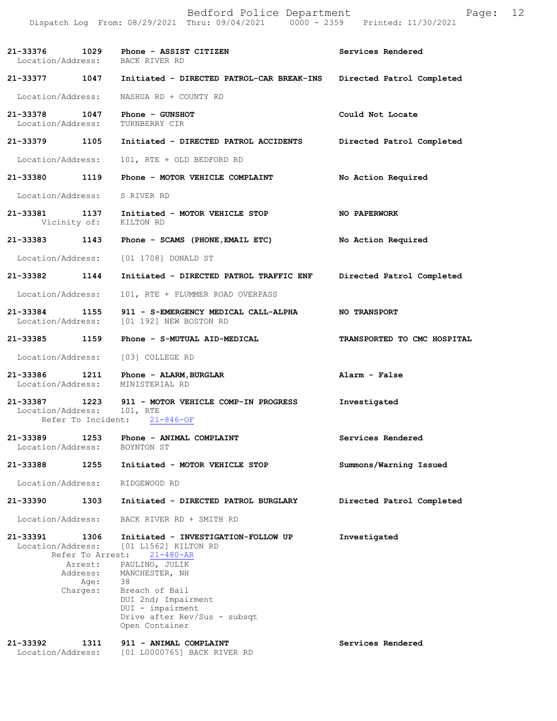| 21-33376 1029<br>Location/Address: |                                                                     | Phone - ASSIST CITIZEN<br>BACK RIVER RD                                                                                                                                                                                                 | Services Rendered           |
|------------------------------------|---------------------------------------------------------------------|-----------------------------------------------------------------------------------------------------------------------------------------------------------------------------------------------------------------------------------------|-----------------------------|
|                                    |                                                                     | 21-33377 1047 Initiated - DIRECTED PATROL-CAR BREAK-INS                                                                                                                                                                                 | Directed Patrol Completed   |
| Location/Address:                  |                                                                     | NASHUA RD + COUNTY RD                                                                                                                                                                                                                   |                             |
| 21-33378 1047<br>Location/Address: |                                                                     | Phone - GUNSHOT<br>TURNBERRY CIR                                                                                                                                                                                                        | Could Not Locate            |
| 21-33379 1105                      |                                                                     | Initiated - DIRECTED PATROL ACCIDENTS                                                                                                                                                                                                   | Directed Patrol Completed   |
| Location/Address:                  |                                                                     | 101, RTE + OLD BEDFORD RD                                                                                                                                                                                                               |                             |
| 21–33380 1119                      |                                                                     | Phone - MOTOR VEHICLE COMPLAINT                                                                                                                                                                                                         | No Action Required          |
| Location/Address: S RIVER RD       |                                                                     |                                                                                                                                                                                                                                         |                             |
| 21-33381 1137<br>Vicinity of:      |                                                                     | Initiated - MOTOR VEHICLE STOP<br>KILTON RD                                                                                                                                                                                             | NO PAPERWORK                |
| 21-33383 1143                      |                                                                     | Phone - SCAMS (PHONE, EMAIL ETC)                                                                                                                                                                                                        | No Action Required          |
| Location/Address:                  |                                                                     | [01 1708] DONALD ST                                                                                                                                                                                                                     |                             |
| 21-33382 1144                      |                                                                     | Initiated - DIRECTED PATROL TRAFFIC ENF                                                                                                                                                                                                 | Directed Patrol Completed   |
| Location/Address:                  |                                                                     | 101, RTE + PLUMMER ROAD OVERPASS                                                                                                                                                                                                        |                             |
| 21-33384 1155                      |                                                                     | 911 - S-EMERGENCY MEDICAL CALL-ALPHA<br>Location/Address: [01 192] NEW BOSTON RD                                                                                                                                                        | <b>NO TRANSPORT</b>         |
|                                    |                                                                     | 21-33385 1159 Phone - S-MUTUAL AID-MEDICAL                                                                                                                                                                                              | TRANSPORTED TO CMC HOSPITAL |
|                                    |                                                                     | Location/Address: [03] COLLEGE RD                                                                                                                                                                                                       |                             |
|                                    |                                                                     | $21-33386$ 1211 Phone - ALARM, BURGLAR<br>Location/Address: MINISTERIAL RD                                                                                                                                                              | Alarm - False               |
| Location/Address:                  |                                                                     | 21-33387 1223 911 - MOTOR VEHICLE COMP-IN PROGRESS<br>101, RTE<br>Refer To Incident: 21-846-OF                                                                                                                                          | Investigated                |
| 21-33389<br>Location/Address:      |                                                                     | 1253     Phone – ANIMAL COMPLAINT<br>BOYNTON ST                                                                                                                                                                                         | Services Rendered           |
| 21-33388                           | 1255                                                                | Initiated - MOTOR VEHICLE STOP                                                                                                                                                                                                          | Summons/Warning Issued      |
| Location/Address:                  |                                                                     | RIDGEWOOD RD                                                                                                                                                                                                                            |                             |
| 21-33390                           | 1303                                                                | Initiated - DIRECTED PATROL BURGLARY                                                                                                                                                                                                    | Directed Patrol Completed   |
| Location/Address:                  |                                                                     | BACK RIVER RD + SMITH RD                                                                                                                                                                                                                |                             |
| 21-33391<br>Location/Address:      | 1306<br>Refer To Arrest:<br>Arrest:<br>Address:<br>Age:<br>Charges: | Initiated - INVESTIGATION-FOLLOW UP<br>[01 L1562] KILTON RD<br>$21 - 480 - AR$<br>PAULINO, JULIK<br>MANCHESTER, NH<br>38<br>Breach of Bail<br>DUI 2nd; Impairment<br>DUI - impairment<br>Drive after Rev/Sus - subsqt<br>Open Container | Investigated                |

| 21-33392          |  | 911 - ANIMAL COMPLAINT      |  | Services Rendered |
|-------------------|--|-----------------------------|--|-------------------|
| Location/Address: |  | 101 L00007651 BACK RIVER RD |  |                   |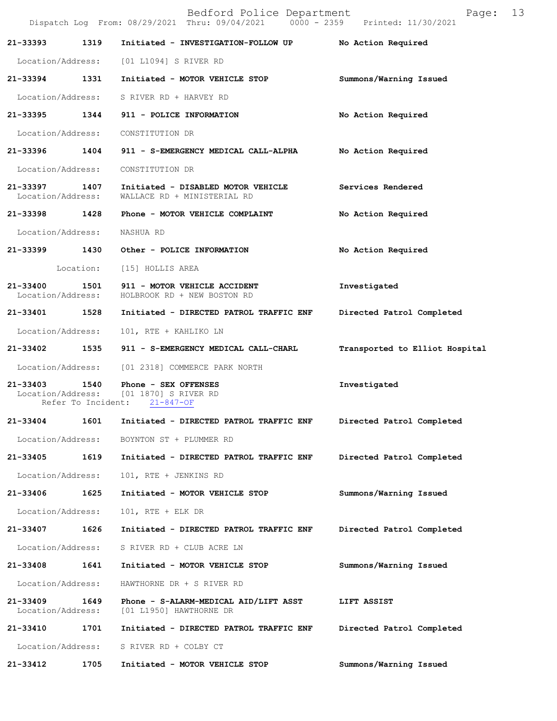|                               |                    | Bedford Police Department<br>Dispatch Log From: 08/29/2021 Thru: 09/04/2021 0000 - 2359 Printed: 11/30/2021 | 13<br>Page:                    |
|-------------------------------|--------------------|-------------------------------------------------------------------------------------------------------------|--------------------------------|
| 21-33393                      | 1319               | Initiated - INVESTIGATION-FOLLOW UP                                                                         | No Action Required             |
|                               |                    | Location/Address: [01 L1094] S RIVER RD                                                                     |                                |
|                               |                    | 21-33394 1331 Initiated - MOTOR VEHICLE STOP                                                                | Summons/Warning Issued         |
|                               |                    | Location/Address: S RIVER RD + HARVEY RD                                                                    |                                |
|                               |                    | 21-33395 1344 911 - POLICE INFORMATION                                                                      | No Action Required             |
|                               |                    | Location/Address: CONSTITUTION DR                                                                           |                                |
|                               |                    | 21-33396 1404 911 - S-EMERGENCY MEDICAL CALL-ALPHA No Action Required                                       |                                |
| Location/Address:             |                    | CONSTITUTION DR                                                                                             |                                |
| Location/Address:             |                    | 21-33397 1407 Initiated - DISABLED MOTOR VEHICLE<br>WALLACE RD + MINISTERIAL RD                             | Services Rendered              |
|                               |                    | 21-33398 1428 Phone - MOTOR VEHICLE COMPLAINT                                                               | No Action Required             |
| Location/Address:             |                    | NASHUA RD                                                                                                   |                                |
| 21-33399 1430                 |                    | Other - POLICE INFORMATION                                                                                  | No Action Required             |
|                               |                    | Location: [15] HOLLIS AREA                                                                                  |                                |
|                               |                    | 21-33400 1501 911 - MOTOR VEHICLE ACCIDENT<br>Location/Address: HOLBROOK RD + NEW BOSTON RD                 | Investigated                   |
|                               |                    | 21-33401 1528 Initiated - DIRECTED PATROL TRAFFIC ENF                                                       | Directed Patrol Completed      |
| Location/Address:             |                    | 101, RTE + KAHLIKO LN                                                                                       |                                |
|                               |                    | 21-33402 1535 911 - S-EMERGENCY MEDICAL CALL-CHARL                                                          | Transported to Elliot Hospital |
|                               |                    | Location/Address: [01 2318] COMMERCE PARK NORTH                                                             |                                |
|                               | Refer To Incident: | 21-33403 1540 Phone - SEX OFFENSES<br>Location/Address: [01 1870] S RIVER RD<br>$21 - 847 - OF$             | Investigated                   |
| 21-33404                      | 1601               | Initiated - DIRECTED PATROL TRAFFIC ENF                                                                     | Directed Patrol Completed      |
| Location/Address:             |                    | BOYNTON ST + PLUMMER RD                                                                                     |                                |
| 21-33405                      | 1619               | Initiated - DIRECTED PATROL TRAFFIC ENF                                                                     | Directed Patrol Completed      |
| Location/Address:             |                    | 101, RTE + JENKINS RD                                                                                       |                                |
| 21-33406                      | 1625               | Initiated - MOTOR VEHICLE STOP                                                                              | Summons/Warning Issued         |
| Location/Address:             |                    | 101, RTE + ELK DR                                                                                           |                                |
| 21-33407                      | 1626               | Initiated - DIRECTED PATROL TRAFFIC ENF                                                                     | Directed Patrol Completed      |
| Location/Address:             |                    | S RIVER RD + CLUB ACRE LN                                                                                   |                                |
| 21-33408                      | 1641               | Initiated - MOTOR VEHICLE STOP                                                                              | Summons/Warning Issued         |
| Location/Address:             |                    | HAWTHORNE DR + S RIVER RD                                                                                   |                                |
| 21-33409<br>Location/Address: | 1649               | Phone - S-ALARM-MEDICAL AID/LIFT ASST<br>[01 L1950] HAWTHORNE DR                                            | LIFT ASSIST                    |
| 21-33410                      | 1701               | Initiated - DIRECTED PATROL TRAFFIC ENF                                                                     | Directed Patrol Completed      |
| Location/Address:             |                    | S RIVER RD + COLBY CT                                                                                       |                                |
| 21-33412                      | 1705               | Initiated - MOTOR VEHICLE STOP                                                                              | Summons/Warning Issued         |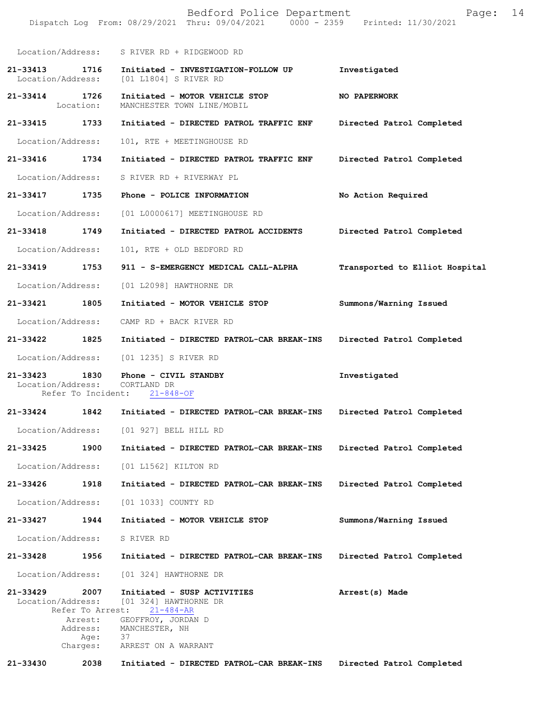|                               |                             | Bedford Police Department<br>Dispatch Log From: 08/29/2021 Thru: 09/04/2021 0000 - 2359 Printed: 11/30/2021 | Page:                          | 14 |
|-------------------------------|-----------------------------|-------------------------------------------------------------------------------------------------------------|--------------------------------|----|
|                               |                             | Location/Address: S RIVER RD + RIDGEWOOD RD                                                                 |                                |    |
| 21-33413<br>Location/Address: | 1716                        | Initiated - INVESTIGATION-FOLLOW UP<br>[01 L1804] S RIVER RD                                                | Investigated                   |    |
| 21-33414 1726                 | Location:                   | Initiated - MOTOR VEHICLE STOP<br>MANCHESTER TOWN LINE/MOBIL                                                | NO PAPERWORK                   |    |
| 21-33415 1733                 |                             | Initiated - DIRECTED PATROL TRAFFIC ENF                                                                     | Directed Patrol Completed      |    |
| Location/Address:             |                             | 101, RTE + MEETINGHOUSE RD                                                                                  |                                |    |
| 21-33416                      | 1734                        | Initiated - DIRECTED PATROL TRAFFIC ENF                                                                     | Directed Patrol Completed      |    |
|                               | Location/Address:           | S RIVER RD + RIVERWAY PL                                                                                    |                                |    |
| 21-33417 1735                 |                             | Phone - POLICE INFORMATION                                                                                  | No Action Required             |    |
| Location/Address:             |                             | [01 L0000617] MEETINGHOUSE RD                                                                               |                                |    |
| 21-33418 1749                 |                             | Initiated - DIRECTED PATROL ACCIDENTS                                                                       | Directed Patrol Completed      |    |
| Location/Address:             |                             | 101, RTE + OLD BEDFORD RD                                                                                   |                                |    |
| 21-33419 1753                 |                             | 911 - S-EMERGENCY MEDICAL CALL-ALPHA                                                                        | Transported to Elliot Hospital |    |
| Location/Address:             |                             | [01 L2098] HAWTHORNE DR                                                                                     |                                |    |
| 21-33421 1805                 |                             | Initiated - MOTOR VEHICLE STOP                                                                              | Summons/Warning Issued         |    |
|                               |                             | Location/Address: CAMP RD + BACK RIVER RD                                                                   |                                |    |
| 21-33422 1825                 |                             | Initiated - DIRECTED PATROL-CAR BREAK-INS                                                                   | Directed Patrol Completed      |    |
| Location/Address:             |                             | [01 1235] S RIVER RD                                                                                        |                                |    |
| 21-33423<br>Location/Address: | 1830                        | Phone - CIVIL STANDBY<br>CORTLAND DR<br>Refer To Incident: 21-848-OF                                        | Investigated                   |    |
| 21-33424                      | 1842                        | Initiated - DIRECTED PATROL-CAR BREAK-INS                                                                   | Directed Patrol Completed      |    |
|                               | Location/Address:           | [01 927] BELL HILL RD                                                                                       |                                |    |
| 21-33425                      | 1900                        | Initiated - DIRECTED PATROL-CAR BREAK-INS                                                                   | Directed Patrol Completed      |    |
| Location/Address:             |                             | [01 L1562] KILTON RD                                                                                        |                                |    |
| 21-33426                      | 1918                        | Initiated - DIRECTED PATROL-CAR BREAK-INS                                                                   | Directed Patrol Completed      |    |
| Location/Address:             |                             | [01 1033] COUNTY RD                                                                                         |                                |    |
| 21-33427                      | 1944                        | Initiated - MOTOR VEHICLE STOP                                                                              | Summons/Warning Issued         |    |
| Location/Address:             |                             | S RIVER RD                                                                                                  |                                |    |
| 21-33428                      | 1956                        | Initiated - DIRECTED PATROL-CAR BREAK-INS                                                                   | Directed Patrol Completed      |    |
| Location/Address:             |                             | [01 324] HAWTHORNE DR                                                                                       |                                |    |
| 21-33429<br>Location/Address: | 2007<br>Refer To Arrest:    | Initiated - SUSP ACTIVITIES<br>[01 324] HAWTHORNE DR<br>$21 - 484 - AR$                                     | Arrest(s) Made                 |    |
|                               | Arrest:<br>Address:<br>Age: | GEOFFROY, JORDAN D<br>MANCHESTER, NH<br>37                                                                  |                                |    |
|                               | Charges:                    | ARREST ON A WARRANT                                                                                         |                                |    |
| 21-33430                      | 2038                        | Initiated - DIRECTED PATROL-CAR BREAK-INS                                                                   | Directed Patrol Completed      |    |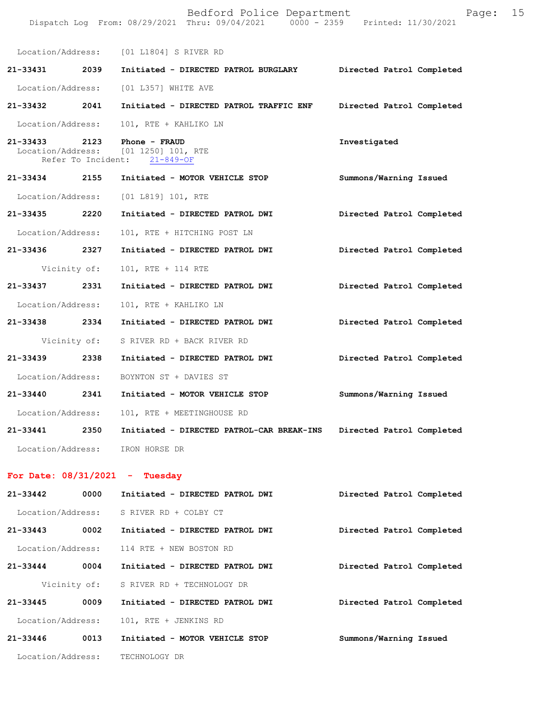|                                  |      | Bedford Police Department<br>Dispatch Log From: 08/29/2021 Thru: 09/04/2021   0000 - 2359   Printed: 11/30/2021 |                           | Page: 15 |  |
|----------------------------------|------|-----------------------------------------------------------------------------------------------------------------|---------------------------|----------|--|
|                                  |      | Location/Address: [01 L1804] S RIVER RD                                                                         |                           |          |  |
|                                  |      | 21-33431 2039 Initiated - DIRECTED PATROL BURGLARY Directed Patrol Completed                                    |                           |          |  |
|                                  |      | Location/Address: [01 L357] WHITE AVE                                                                           |                           |          |  |
|                                  |      | 21-33432 2041 Initiated - DIRECTED PATROL TRAFFIC ENF Directed Patrol Completed                                 |                           |          |  |
| Location/Address:                |      | 101, RTE + KAHLIKO LN                                                                                           |                           |          |  |
| 21-33433 2123 Phone - FRAUD      |      | Location/Address: [01 1250] 101, RTE<br>Refer To Incident: 21-849-OF                                            | Investigated              |          |  |
|                                  |      | 21-33434 2155 Initiated - MOTOR VEHICLE STOP                                                                    | Summons/Warning Issued    |          |  |
|                                  |      | Location/Address: [01 L819] 101, RTE                                                                            |                           |          |  |
| 21-33435 2220                    |      | Initiated - DIRECTED PATROL DWI                                                                                 | Directed Patrol Completed |          |  |
| Location/Address:                |      | 101, RTE + HITCHING POST LN                                                                                     |                           |          |  |
| 21-33436 2327                    |      | Initiated - DIRECTED PATROL DWI                                                                                 | Directed Patrol Completed |          |  |
| Vicinity of:                     |      | 101, RTE + 114 RTE                                                                                              |                           |          |  |
|                                  |      | 21-33437 2331 Initiated - DIRECTED PATROL DWI                                                                   | Directed Patrol Completed |          |  |
| Location/Address:                |      | 101, RTE + KAHLIKO LN                                                                                           |                           |          |  |
|                                  |      | 21-33438 2334 Initiated - DIRECTED PATROL DWI                                                                   | Directed Patrol Completed |          |  |
|                                  |      | Vicinity of: S RIVER RD + BACK RIVER RD                                                                         |                           |          |  |
| 21-33439 2338                    |      | Initiated - DIRECTED PATROL DWI                                                                                 | Directed Patrol Completed |          |  |
|                                  |      | Location/Address: BOYNTON ST + DAVIES ST                                                                        |                           |          |  |
|                                  |      | 21-33440 2341 Initiated - MOTOR VEHICLE STOP                                                                    | Summons/Warning Issued    |          |  |
|                                  |      | Location/Address: 101, RTE + MEETINGHOUSE RD                                                                    |                           |          |  |
| 21-33441                         | 2350 | Initiated - DIRECTED PATROL-CAR BREAK-INS                                                                       | Directed Patrol Completed |          |  |
| Location/Address:                |      | IRON HORSE DR                                                                                                   |                           |          |  |
| For Date: $08/31/2021$ - Tuesday |      |                                                                                                                 |                           |          |  |
| 21-33442                         | 0000 | Initiated - DIRECTED PATROL DWI                                                                                 | Directed Patrol Completed |          |  |
|                                  |      | Location/Address: S RIVER RD + COLBY CT                                                                         |                           |          |  |
| 21-33443 0002                    |      | Initiated - DIRECTED PATROL DWI                                                                                 | Directed Patrol Completed |          |  |
| Location/Address:                |      | 114 RTE + NEW BOSTON RD                                                                                         |                           |          |  |
| 21-33444                         | 0004 | Initiated - DIRECTED PATROL DWI                                                                                 | Directed Patrol Completed |          |  |
| Vicinity of:                     |      | S RIVER RD + TECHNOLOGY DR                                                                                      |                           |          |  |
| 21-33445                         | 0009 | Initiated - DIRECTED PATROL DWI                                                                                 | Directed Patrol Completed |          |  |
|                                  |      |                                                                                                                 |                           |          |  |

Location/Address: 101, RTE + JENKINS RD

**21-33446 0013 Initiated - MOTOR VEHICLE STOP Summons/Warning Issued**  Location/Address: TECHNOLOGY DR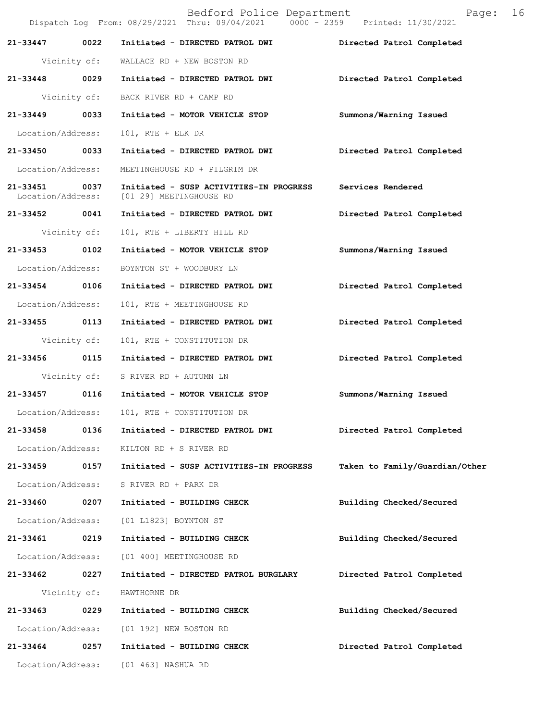|                                    |              | Bedford Police Department<br>Dispatch Log From: 08/29/2021 Thru: 09/04/2021 0000 - 2359 Printed: 11/30/2021 | 16<br>Page:                    |
|------------------------------------|--------------|-------------------------------------------------------------------------------------------------------------|--------------------------------|
| 21-33447                           | 0022         | Initiated - DIRECTED PATROL DWI                                                                             | Directed Patrol Completed      |
|                                    | Vicinity of: | WALLACE RD + NEW BOSTON RD                                                                                  |                                |
| 21-33448                           | 0029         | Initiated - DIRECTED PATROL DWI                                                                             | Directed Patrol Completed      |
|                                    | Vicinity of: | BACK RIVER RD + CAMP RD                                                                                     |                                |
| $21 - 33449$                       | 0033         | Initiated - MOTOR VEHICLE STOP                                                                              | Summons/Warning Issued         |
| Location/Address:                  |              | $101$ , RTE + ELK DR                                                                                        |                                |
| 21-33450                           | 0033         | Initiated - DIRECTED PATROL DWI                                                                             | Directed Patrol Completed      |
| Location/Address:                  |              | MEETINGHOUSE RD + PILGRIM DR                                                                                |                                |
| 21-33451 0037<br>Location/Address: |              | Initiated - SUSP ACTIVITIES-IN PROGRESS<br>[01 29] MEETINGHOUSE RD                                          | Services Rendered              |
| 21-33452 0041                      |              | Initiated - DIRECTED PATROL DWI                                                                             | Directed Patrol Completed      |
|                                    | Vicinity of: | 101, RTE + LIBERTY HILL RD                                                                                  |                                |
| 21-33453                           | 0102         | Initiated - MOTOR VEHICLE STOP                                                                              | Summons/Warning Issued         |
| Location/Address:                  |              | BOYNTON ST + WOODBURY LN                                                                                    |                                |
| 21-33454 0106                      |              | Initiated - DIRECTED PATROL DWI                                                                             | Directed Patrol Completed      |
| Location/Address:                  |              | 101, RTE + MEETINGHOUSE RD                                                                                  |                                |
| 21-33455 0113                      |              | Initiated - DIRECTED PATROL DWI                                                                             | Directed Patrol Completed      |
|                                    | Vicinity of: | 101, RTE + CONSTITUTION DR                                                                                  |                                |
| 21-33456                           | 0115         | Initiated - DIRECTED PATROL DWI                                                                             | Directed Patrol Completed      |
|                                    | Vicinity of: | S RIVER RD + AUTUMN LN                                                                                      |                                |
| 21-33457 0116                      |              | Initiated - MOTOR VEHICLE STOP                                                                              | Summons/Warning Issued         |
| Location/Address:                  |              | 101, RTE + CONSTITUTION DR                                                                                  |                                |
| 21-33458                           | 0136         | Initiated - DIRECTED PATROL DWI                                                                             | Directed Patrol Completed      |
| Location/Address:                  |              | KILTON RD + S RIVER RD                                                                                      |                                |
| 21-33459                           | 0157         | Initiated - SUSP ACTIVITIES-IN PROGRESS                                                                     | Taken to Family/Guardian/Other |
| Location/Address:                  |              | S RIVER RD + PARK DR                                                                                        |                                |
| 21-33460                           | 0207         | Initiated - BUILDING CHECK                                                                                  | Building Checked/Secured       |
| Location/Address:                  |              | [01 L1823] BOYNTON ST                                                                                       |                                |
| 21-33461                           | 0219         | Initiated - BUILDING CHECK                                                                                  | Building Checked/Secured       |
| Location/Address:                  |              | [01 400] MEETINGHOUSE RD                                                                                    |                                |
| 21-33462                           | 0227         | Initiated - DIRECTED PATROL BURGLARY                                                                        | Directed Patrol Completed      |
|                                    | Vicinity of: | HAWTHORNE DR                                                                                                |                                |
| 21-33463                           | 0229         | Initiated - BUILDING CHECK                                                                                  | Building Checked/Secured       |
| Location/Address:                  |              | [01 192] NEW BOSTON RD                                                                                      |                                |
| 21-33464                           | 0257         | Initiated - BUILDING CHECK                                                                                  | Directed Patrol Completed      |
| Location/Address:                  |              | [01 463] NASHUA RD                                                                                          |                                |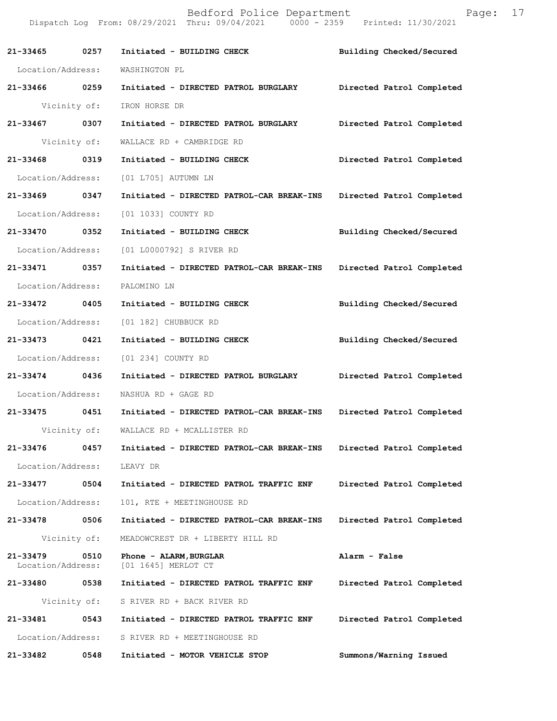Dispatch Log From: 08/29/2021 Thru: 09/04/2021 0000 - 2359 Printed: 11/30/2021 **21-33465 0257 Initiated - BUILDING CHECK Building Checked/Secured**  Location/Address: WASHINGTON PL **21-33466 0259 Initiated - DIRECTED PATROL BURGLARY Directed Patrol Completed**  Vicinity of: IRON HORSE DR **21-33467 0307 Initiated - DIRECTED PATROL BURGLARY Directed Patrol Completed**  Vicinity of: WALLACE RD + CAMBRIDGE RD **21-33468 0319 Initiated - BUILDING CHECK Directed Patrol Completed**  Location/Address: [01 L705] AUTUMN LN **21-33469 0347 Initiated - DIRECTED PATROL-CAR BREAK-INS Directed Patrol Completed**  Location/Address: [01 1033] COUNTY RD **21-33470 0352 Initiated - BUILDING CHECK Building Checked/Secured**  Location/Address: [01 L0000792] S RIVER RD **21-33471 0357 Initiated - DIRECTED PATROL-CAR BREAK-INS Directed Patrol Completed**  Location/Address: PALOMINO LN **21-33472 0405 Initiated - BUILDING CHECK Building Checked/Secured**  Location/Address: [01 182] CHUBBUCK RD **21-33473 0421 Initiated - BUILDING CHECK Building Checked/Secured**  Location/Address: [01 234] COUNTY RD **21-33474 0436 Initiated - DIRECTED PATROL BURGLARY Directed Patrol Completed**  Location/Address: NASHUA RD + GAGE RD **21-33475 0451 Initiated - DIRECTED PATROL-CAR BREAK-INS Directed Patrol Completed**  Vicinity of: WALLACE RD + MCALLISTER RD **21-33476 0457 Initiated - DIRECTED PATROL-CAR BREAK-INS Directed Patrol Completed**  Location/Address: LEAVY DR **21-33477 0504 Initiated - DIRECTED PATROL TRAFFIC ENF Directed Patrol Completed**  Location/Address: 101, RTE + MEETINGHOUSE RD **21-33478 0506 Initiated - DIRECTED PATROL-CAR BREAK-INS Directed Patrol Completed**  Vicinity of: MEADOWCREST DR + LIBERTY HILL RD **21-33479 0510 Phone - ALARM,BURGLAR Alarm - False**  Location/Address: [01 1645] MERLOT CT **21-33480 0538 Initiated - DIRECTED PATROL TRAFFIC ENF Directed Patrol Completed**  Vicinity of: S RIVER RD + BACK RIVER RD **21-33481 0543 Initiated - DIRECTED PATROL TRAFFIC ENF Directed Patrol Completed**  Location/Address: S RIVER RD + MEETINGHOUSE RD **21-33482 0548 Initiated - MOTOR VEHICLE STOP Summons/Warning Issued** 

Bedford Police Department Page: 17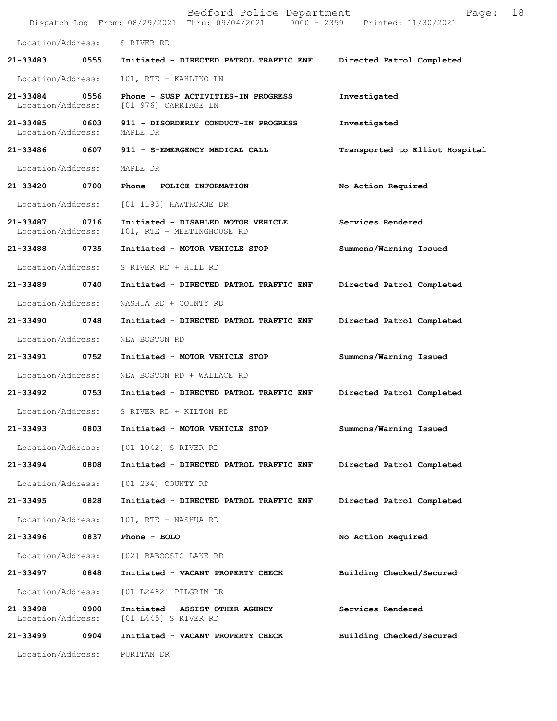|                                    |      | Bedford Police Department<br>Dispatch Log From: 08/29/2021 Thru: 09/04/2021 0000 - 2359 Printed: 11/30/2021 | 18<br>Page:                    |
|------------------------------------|------|-------------------------------------------------------------------------------------------------------------|--------------------------------|
| Location/Address:                  |      | S RIVER RD                                                                                                  |                                |
| 21-33483                           | 0555 | Initiated - DIRECTED PATROL TRAFFIC ENF                                                                     | Directed Patrol Completed      |
| Location/Address:                  |      | 101, RTE + KAHLIKO LN                                                                                       |                                |
| 21-33484 0556<br>Location/Address: |      | Phone - SUSP ACTIVITIES-IN PROGRESS<br>[01 976] CARRIAGE LN                                                 | Investigated                   |
| 21-33485 0603<br>Location/Address: |      | 911 - DISORDERLY CONDUCT-IN PROGRESS<br>MAPLE DR                                                            | Investigated                   |
| 21-33486                           | 0607 | 911 - S-EMERGENCY MEDICAL CALL                                                                              | Transported to Elliot Hospital |
| Location/Address:                  |      | MAPLE DR                                                                                                    |                                |
| 21-33420                           | 0700 | Phone - POLICE INFORMATION                                                                                  | No Action Required             |
| Location/Address:                  |      | [01 1193] HAWTHORNE DR                                                                                      |                                |
| 21-33487<br>Location/Address:      | 0716 | Initiated - DISABLED MOTOR VEHICLE<br>101, RTE + MEETINGHOUSE RD                                            | Services Rendered              |
| 21-33488                           | 0735 | Initiated - MOTOR VEHICLE STOP                                                                              | Summons/Warning Issued         |
| Location/Address:                  |      | S RIVER RD + HULL RD                                                                                        |                                |
| 21-33489 0740                      |      | Initiated - DIRECTED PATROL TRAFFIC ENF                                                                     | Directed Patrol Completed      |
| Location/Address:                  |      | NASHUA RD + COUNTY RD                                                                                       |                                |
| 21-33490                           | 0748 | Initiated - DIRECTED PATROL TRAFFIC ENF                                                                     | Directed Patrol Completed      |
| Location/Address:                  |      | NEW BOSTON RD                                                                                               |                                |
| 21-33491                           | 0752 | Initiated - MOTOR VEHICLE STOP                                                                              | Summons/Warning Issued         |
| Location/Address:                  |      | NEW BOSTON RD + WALLACE RD                                                                                  |                                |
| 21-33492                           | 0753 | Initiated - DIRECTED PATROL TRAFFIC ENF                                                                     | Directed Patrol Completed      |
| Location/Address:                  |      | S RIVER RD + KILTON RD                                                                                      |                                |
| 21-33493                           | 0803 | Initiated - MOTOR VEHICLE STOP                                                                              | Summons/Warning Issued         |
| Location/Address:                  |      | [01 1042] S RIVER RD                                                                                        |                                |
| 21-33494                           | 0808 | Initiated - DIRECTED PATROL TRAFFIC ENF                                                                     | Directed Patrol Completed      |
| Location/Address:                  |      | [01 234] COUNTY RD                                                                                          |                                |
| 21-33495                           | 0828 | Initiated - DIRECTED PATROL TRAFFIC ENF                                                                     | Directed Patrol Completed      |
| Location/Address:                  |      | 101, RTE + NASHUA RD                                                                                        |                                |
| 21-33496                           | 0837 | Phone - BOLO                                                                                                | No Action Required             |
| Location/Address:                  |      | [02] BABOOSIC LAKE RD                                                                                       |                                |
| 21-33497                           | 0848 | Initiated - VACANT PROPERTY CHECK                                                                           | Building Checked/Secured       |
| Location/Address:                  |      | [01 L2482] PILGRIM DR                                                                                       |                                |
| 21-33498<br>Location/Address:      | 0900 | Initiated - ASSIST OTHER AGENCY<br>$[01 L445]$ S RIVER RD                                                   | Services Rendered              |
| 21-33499                           | 0904 | Initiated - VACANT PROPERTY CHECK                                                                           | Building Checked/Secured       |
| Location/Address:                  |      | PURITAN DR                                                                                                  |                                |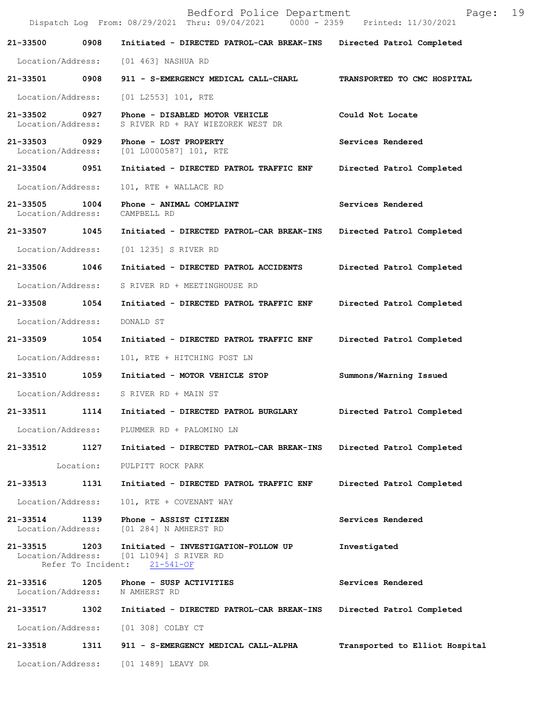|                                    |                            | Bedford Police Department<br>Dispatch Log From: 08/29/2021 Thru: 09/04/2021 0000 - 2359 Printed: 11/30/2021 | Page:                          | 19 |
|------------------------------------|----------------------------|-------------------------------------------------------------------------------------------------------------|--------------------------------|----|
| 21-33500                           | 0908                       | Initiated - DIRECTED PATROL-CAR BREAK-INS                                                                   | Directed Patrol Completed      |    |
| Location/Address:                  |                            | [01 463] NASHUA RD                                                                                          |                                |    |
| 21-33501 0908                      |                            | 911 - S-EMERGENCY MEDICAL CALL-CHARL                                                                        | TRANSPORTED TO CMC HOSPITAL    |    |
| Location/Address:                  |                            | [01 L2553] 101, RTE                                                                                         |                                |    |
| 21-33502<br>Location/Address:      | 0927                       | Phone - DISABLED MOTOR VEHICLE<br>S RIVER RD + RAY WIEZOREK WEST DR                                         | Could Not Locate               |    |
| 21-33503 0929<br>Location/Address: |                            | Phone - LOST PROPERTY<br>[01 L0000587] 101, RTE                                                             | Services Rendered              |    |
| 21-33504 0951                      |                            | Initiated - DIRECTED PATROL TRAFFIC ENF                                                                     | Directed Patrol Completed      |    |
| Location/Address:                  |                            | 101, RTE + WALLACE RD                                                                                       |                                |    |
| 21-33505<br>Location/Address:      | 1004                       | Phone - ANIMAL COMPLAINT<br>CAMPBELL RD                                                                     | Services Rendered              |    |
| 21-33507                           | 1045                       | Initiated - DIRECTED PATROL-CAR BREAK-INS                                                                   | Directed Patrol Completed      |    |
| Location/Address:                  |                            | [01 1235] S RIVER RD                                                                                        |                                |    |
| 21-33506                           | 1046                       | Initiated - DIRECTED PATROL ACCIDENTS                                                                       | Directed Patrol Completed      |    |
| Location/Address:                  |                            | S RIVER RD + MEETINGHOUSE RD                                                                                |                                |    |
| 21-33508                           | 1054                       | Initiated - DIRECTED PATROL TRAFFIC ENF                                                                     | Directed Patrol Completed      |    |
| Location/Address:                  |                            | DONALD ST                                                                                                   |                                |    |
| 21-33509                           | 1054                       | Initiated - DIRECTED PATROL TRAFFIC ENF                                                                     | Directed Patrol Completed      |    |
| Location/Address:                  |                            | 101, RTE + HITCHING POST LN                                                                                 |                                |    |
| 21-33510                           | 1059                       | Initiated - MOTOR VEHICLE STOP                                                                              | Summons/Warning Issued         |    |
| Location/Address:                  |                            | S RIVER RD + MAIN ST                                                                                        |                                |    |
| 21-33511                           | 1114                       | Initiated - DIRECTED PATROL BURGLARY                                                                        | Directed Patrol Completed      |    |
| Location/Address:                  |                            | PLUMMER RD + PALOMINO LN                                                                                    |                                |    |
| 21-33512                           | 1127                       | Initiated - DIRECTED PATROL-CAR BREAK-INS                                                                   | Directed Patrol Completed      |    |
|                                    | Location:                  | PULPITT ROCK PARK                                                                                           |                                |    |
| 21-33513                           | 1131                       | Initiated - DIRECTED PATROL TRAFFIC ENF                                                                     | Directed Patrol Completed      |    |
| Location/Address:                  |                            | 101, RTE + COVENANT WAY                                                                                     |                                |    |
| 21-33514<br>Location/Address:      | 1139                       | Phone - ASSIST CITIZEN<br>[01 284] N AMHERST RD                                                             | Services Rendered              |    |
| 21-33515<br>Location/Address:      | 1203<br>Refer To Incident: | Initiated - INVESTIGATION-FOLLOW UP<br>[01 L1094] S RIVER RD<br>$21 - 541 - OF$                             | Investigated                   |    |
| 21-33516<br>Location/Address:      | 1205                       | Phone - SUSP ACTIVITIES<br>N AMHERST RD                                                                     | Services Rendered              |    |
| 21-33517                           | 1302                       | Initiated - DIRECTED PATROL-CAR BREAK-INS                                                                   | Directed Patrol Completed      |    |
| Location/Address:                  |                            | [01 308] COLBY CT                                                                                           |                                |    |
| 21-33518                           | 1311                       | 911 - S-EMERGENCY MEDICAL CALL-ALPHA                                                                        | Transported to Elliot Hospital |    |
| Location/Address:                  |                            | [01 1489] LEAVY DR                                                                                          |                                |    |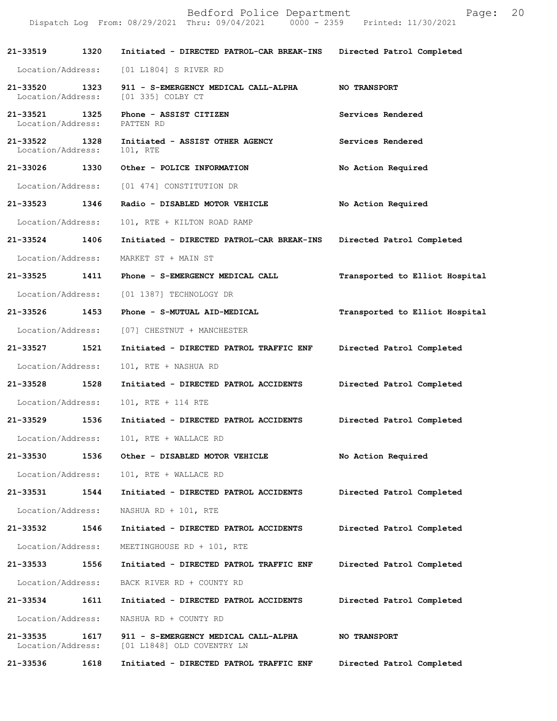|                                    |      | Dispatch Log From: 08/29/2021 Thru: 09/04/2021 0000 - 2359 Printed: 11/30/2021           |                                |
|------------------------------------|------|------------------------------------------------------------------------------------------|--------------------------------|
| 21-33519                           | 1320 | Initiated - DIRECTED PATROL-CAR BREAK-INS Directed Patrol Completed                      |                                |
|                                    |      | Location/Address: [01 L1804] S RIVER RD                                                  |                                |
| 21-33520                           | 1323 | 911 - S-EMERGENCY MEDICAL CALL-ALPHA NO TRANSPORT<br>Location/Address: [01 335] COLBY CT |                                |
| 21-33521<br>Location/Address:      | 1325 | Phone - ASSIST CITIZEN<br>PATTEN RD                                                      | Services Rendered              |
| 21-33522 1328<br>Location/Address: |      | Initiated - ASSIST OTHER AGENCY<br>101, RTE                                              | Services Rendered              |
| 21-33026 1330                      |      | Other - POLICE INFORMATION                                                               | No Action Required             |
|                                    |      | Location/Address: [01 474] CONSTITUTION DR                                               |                                |
| 21-33523 1346                      |      | Radio - DISABLED MOTOR VEHICLE                                                           | No Action Required             |
| Location/Address:                  |      | 101, RTE + KILTON ROAD RAMP                                                              |                                |
| 21-33524                           | 1406 | Initiated - DIRECTED PATROL-CAR BREAK-INS                                                | Directed Patrol Completed      |
|                                    |      | Location/Address: MARKET ST + MAIN ST                                                    |                                |
|                                    |      | 21-33525 1411 Phone - S-EMERGENCY MEDICAL CALL                                           | Transported to Elliot Hospital |
|                                    |      | Location/Address: [01 1387] TECHNOLOGY DR                                                |                                |
| 21-33526                           | 1453 | Phone - S-MUTUAL AID-MEDICAL                                                             | Transported to Elliot Hospital |
| Location/Address:                  |      | [07] CHESTNUT + MANCHESTER                                                               |                                |
| 21-33527                           | 1521 | Initiated - DIRECTED PATROL TRAFFIC ENF                                                  | Directed Patrol Completed      |
| Location/Address:                  |      | 101, RTE + NASHUA RD                                                                     |                                |
| 21-33528 1528                      |      | Initiated - DIRECTED PATROL ACCIDENTS                                                    | Directed Patrol Completed      |
| Location/Address:                  |      | $101$ , RTE + $114$ RTE                                                                  |                                |
| 21-33529                           | 1536 | Initiated - DIRECTED PATROL ACCIDENTS                                                    | Directed Patrol Completed      |
| Location/Address:                  |      | 101, RTE + WALLACE RD                                                                    |                                |
| 21-33530                           | 1536 | Other - DISABLED MOTOR VEHICLE                                                           | No Action Required             |
| Location/Address:                  |      | 101, RTE + WALLACE RD                                                                    |                                |
| 21-33531                           | 1544 | Initiated - DIRECTED PATROL ACCIDENTS                                                    | Directed Patrol Completed      |
| Location/Address:                  |      | NASHUA RD + 101, RTE                                                                     |                                |
| 21-33532                           | 1546 | Initiated - DIRECTED PATROL ACCIDENTS                                                    | Directed Patrol Completed      |
| Location/Address:                  |      | MEETINGHOUSE RD + 101, RTE                                                               |                                |
| 21-33533                           | 1556 | Initiated - DIRECTED PATROL TRAFFIC ENF                                                  | Directed Patrol Completed      |
| Location/Address:                  |      | BACK RIVER RD + COUNTY RD                                                                |                                |
| 21-33534                           | 1611 | Initiated - DIRECTED PATROL ACCIDENTS                                                    | Directed Patrol Completed      |
| Location/Address:                  |      | NASHUA RD + COUNTY RD                                                                    |                                |
| 21-33535<br>Location/Address:      | 1617 | 911 - S-EMERGENCY MEDICAL CALL-ALPHA<br>[01 L1848] OLD COVENTRY LN                       | <b>NO TRANSPORT</b>            |
| 21-33536                           | 1618 | Initiated - DIRECTED PATROL TRAFFIC ENF                                                  | Directed Patrol Completed      |

Bedford Police Department Fage: 20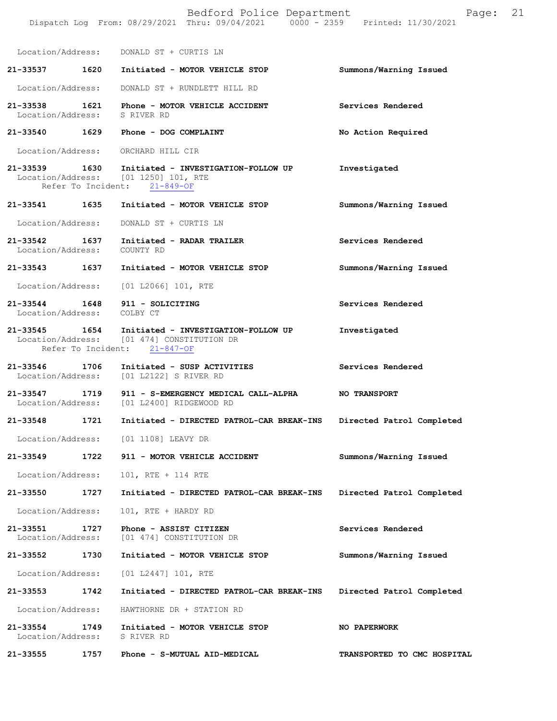Bedford Police Department Form Page: 21 Dispatch Log From: 08/29/2021 Thru: 09/04/2021 0000 - 2359 Printed: 11/30/2021 Location/Address: DONALD ST + CURTIS LN **21-33537 1620 Initiated - MOTOR VEHICLE STOP Summons/Warning Issued**  Location/Address: DONALD ST + RUNDLETT HILL RD **21-33538 1621 Phone - MOTOR VEHICLE ACCIDENT Services Rendered**  Location/Address: S RIVER RD **21-33540 1629 Phone - DOG COMPLAINT No Action Required**  Location/Address: ORCHARD HILL CIR **21-33539 1630 Initiated - INVESTIGATION-FOLLOW UP Investigated**  Location/Address: [01 1250] 101, RTE Refer To Incident: 21-849-OF **21-33541 1635 Initiated - MOTOR VEHICLE STOP Summons/Warning Issued**  Location/Address: DONALD ST + CURTIS LN **21-33542 1637 Initiated - RADAR TRAILER Services Rendered**  Location/Address: **21-33543 1637 Initiated - MOTOR VEHICLE STOP Summons/Warning Issued**  Location/Address: [01 L2066] 101, RTE **21-33544 1648 911 - SOLICITING Services Rendered**  Location/Address: COLBY CT **21-33545 1654 Initiated - INVESTIGATION-FOLLOW UP Investigated**  Location/Address: [01 474] CONSTITUTION DR Refer To Incident: 21-847-OF **21-33546 1706 Initiated - SUSP ACTIVITIES Services Rendered**  Location/Address: [01 L2122] S RIVER RD **21-33547 1719 911 - S-EMERGENCY MEDICAL CALL-ALPHA NO TRANSPORT**  Location/Address: [01 L2400] RIDGEWOOD RD **21-33548 1721 Initiated - DIRECTED PATROL-CAR BREAK-INS Directed Patrol Completed**  Location/Address: [01 1108] LEAVY DR **21-33549 1722 911 - MOTOR VEHICLE ACCIDENT Summons/Warning Issued**  Location/Address: 101, RTE + 114 RTE **21-33550 1727 Initiated - DIRECTED PATROL-CAR BREAK-INS Directed Patrol Completed**  Location/Address: 101, RTE + HARDY RD **21-33551 1727 Phone - ASSIST CITIZEN Services Rendered**  Location/Address: [01 474] CONSTITUTION DR **21-33552 1730 Initiated - MOTOR VEHICLE STOP Summons/Warning Issued**  Location/Address: [01 L2447] 101, RTE **21-33553 1742 Initiated - DIRECTED PATROL-CAR BREAK-INS Directed Patrol Completed**  Location/Address: HAWTHORNE DR + STATION RD **21-33554 1749 Initiated - MOTOR VEHICLE STOP NO PAPERWORK**  Location/Address: S RIVER RD

**21-33555 1757 Phone - S-MUTUAL AID-MEDICAL TRANSPORTED TO CMC HOSPITAL**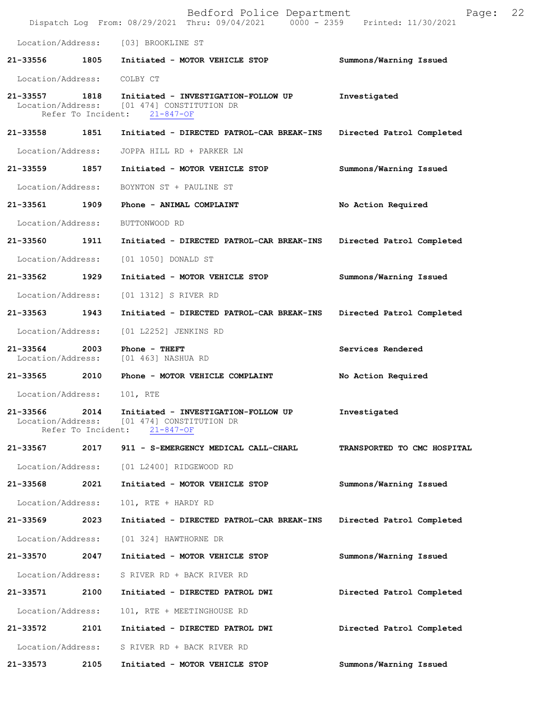|                                    |                            | Bedford Police Department<br>Dispatch Log From: 08/29/2021 Thru: 09/04/2021 0000 - 2359 Printed: 11/30/2021                     | Page:                       | 22 |
|------------------------------------|----------------------------|---------------------------------------------------------------------------------------------------------------------------------|-----------------------------|----|
|                                    |                            | Location/Address: [03] BROOKLINE ST                                                                                             |                             |    |
|                                    |                            | 21-33556 1805 Initiated - MOTOR VEHICLE STOP                                                                                    | Summons/Warning Issued      |    |
| Location/Address: COLBY CT         |                            |                                                                                                                                 |                             |    |
|                                    |                            | 21-33557 1818 Initiated - INVESTIGATION-FOLLOW UP<br>Location/Address: [01 474] CONSTITUTION DR<br>Refer To Incident: 21-847-OF | Investigated                |    |
|                                    |                            | 21-33558 1851 Initiated - DIRECTED PATROL-CAR BREAK-INS                                                                         | Directed Patrol Completed   |    |
| Location/Address:                  |                            | JOPPA HILL RD + PARKER LN                                                                                                       |                             |    |
|                                    |                            | 21-33559 1857 Initiated - MOTOR VEHICLE STOP                                                                                    | Summons/Warning Issued      |    |
|                                    |                            | Location/Address: BOYNTON ST + PAULINE ST                                                                                       |                             |    |
|                                    |                            | 21-33561 1909 Phone - ANIMAL COMPLAINT                                                                                          | No Action Required          |    |
| Location/Address:                  |                            | BUTTONWOOD RD                                                                                                                   |                             |    |
|                                    |                            | 21-33560 1911 Initiated - DIRECTED PATROL-CAR BREAK-INS                                                                         | Directed Patrol Completed   |    |
| Location/Address:                  |                            | [01 1050] DONALD ST                                                                                                             |                             |    |
| 21-33562 1929                      |                            | Initiated - MOTOR VEHICLE STOP                                                                                                  | Summons/Warning Issued      |    |
| Location/Address:                  |                            | [01 1312] S RIVER RD                                                                                                            |                             |    |
| 21-33563 1943                      |                            | Initiated - DIRECTED PATROL-CAR BREAK-INS Directed Patrol Completed                                                             |                             |    |
| Location/Address:                  |                            | [01 L2252] JENKINS RD                                                                                                           |                             |    |
| 21-33564 2003<br>Location/Address: |                            | Phone - THEFT<br>[01 463] NASHUA RD                                                                                             | Services Rendered           |    |
|                                    |                            | 21-33565 2010 Phone - MOTOR VEHICLE COMPLAINT                                                                                   | No Action Required          |    |
| Location/Address:                  |                            | 101, RTE                                                                                                                        |                             |    |
| 21-33566<br>Location/Address:      | 2014<br>Refer To Incident: | Initiated - INVESTIGATION-FOLLOW UP<br>[01 474] CONSTITUTION DR<br>$21 - 847 - OF$                                              | Investigated                |    |
| 21-33567                           | 2017                       | 911 - S-EMERGENCY MEDICAL CALL-CHARL                                                                                            | TRANSPORTED TO CMC HOSPITAL |    |
| Location/Address:                  |                            | [01 L2400] RIDGEWOOD RD                                                                                                         |                             |    |
| 21-33568                           | 2021                       | Initiated - MOTOR VEHICLE STOP                                                                                                  | Summons/Warning Issued      |    |
| Location/Address:                  |                            | 101, RTE + HARDY RD                                                                                                             |                             |    |
| 21-33569                           | 2023                       | Initiated - DIRECTED PATROL-CAR BREAK-INS                                                                                       | Directed Patrol Completed   |    |
| Location/Address:                  |                            | [01 324] HAWTHORNE DR                                                                                                           |                             |    |
| 21-33570                           | 2047                       | Initiated - MOTOR VEHICLE STOP                                                                                                  | Summons/Warning Issued      |    |
| Location/Address:                  |                            | S RIVER RD + BACK RIVER RD                                                                                                      |                             |    |
| 21-33571                           | 2100                       | Initiated - DIRECTED PATROL DWI                                                                                                 | Directed Patrol Completed   |    |
| Location/Address:                  |                            | 101, RTE + MEETINGHOUSE RD                                                                                                      |                             |    |
| 21-33572                           | 2101                       | Initiated - DIRECTED PATROL DWI                                                                                                 | Directed Patrol Completed   |    |
| Location/Address:                  |                            | S RIVER RD + BACK RIVER RD                                                                                                      |                             |    |
| 21-33573                           | 2105                       | Initiated - MOTOR VEHICLE STOP                                                                                                  | Summons/Warning Issued      |    |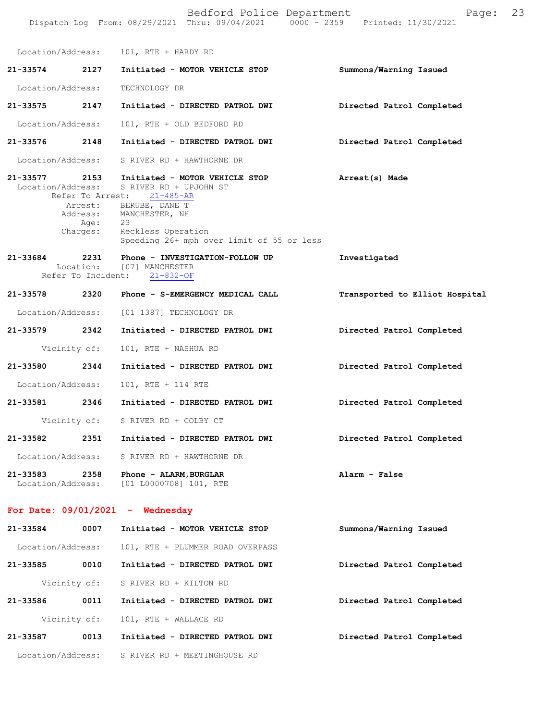|                               |              | Bedford Police Department<br>Dispatch Log From: 08/29/2021 Thru: 09/04/2021 0000 - 2359 Printed: 11/30/2021            | Page:                          | 23 |
|-------------------------------|--------------|------------------------------------------------------------------------------------------------------------------------|--------------------------------|----|
|                               |              | Location/Address: 101, RTE + HARDY RD                                                                                  |                                |    |
| 21-33574 2127                 |              | Initiated - MOTOR VEHICLE STOP                                                                                         | Summons/Warning Issued         |    |
| Location/Address:             |              | TECHNOLOGY DR                                                                                                          |                                |    |
| 21-33575 2147                 |              | Initiated - DIRECTED PATROL DWI                                                                                        | Directed Patrol Completed      |    |
| Location/Address:             |              | 101, RTE + OLD BEDFORD RD                                                                                              |                                |    |
| 21-33576 2148                 |              | Initiated - DIRECTED PATROL DWI                                                                                        | Directed Patrol Completed      |    |
| Location/Address:             |              | S RIVER RD + HAWTHORNE DR                                                                                              |                                |    |
|                               |              | 21-33577 2153 Initiated - MOTOR VEHICLE STOP<br>Location/Address: S RIVER RD + UPJOHN ST<br>Refer To Arrest: 21-485-AR | Arrest(s) Made                 |    |
|                               | Age: 23      | Arrest: BERUBE, DANE T<br>Address: MANCHESTER, NH                                                                      |                                |    |
|                               | Charges:     | Reckless Operation<br>Speeding 26+ mph over limit of 55 or less                                                        |                                |    |
| 21-33684                      |              | 2231 Phone - INVESTIGATION-FOLLOW UP<br>Location: [07] MANCHESTER<br>Refer To Incident: 21-832-OF                      | Investigated                   |    |
|                               |              | 21-33578 2320 Phone - S-EMERGENCY MEDICAL CALL                                                                         | Transported to Elliot Hospital |    |
|                               |              | Location/Address: [01 1387] TECHNOLOGY DR                                                                              |                                |    |
| 21-33579 2342                 |              | Initiated - DIRECTED PATROL DWI                                                                                        | Directed Patrol Completed      |    |
|                               | Vicinity of: | 101, RTE + NASHUA RD                                                                                                   |                                |    |
| 21-33580 2344                 |              | Initiated - DIRECTED PATROL DWI                                                                                        | Directed Patrol Completed      |    |
| Location/Address:             |              | 101, RTE + 114 RTE                                                                                                     |                                |    |
| 21-33581                      | 2346         | Initiated - DIRECTED PATROL DWI                                                                                        | Directed Patrol Completed      |    |
|                               | Vicinity of: | S RIVER RD + COLBY CT                                                                                                  |                                |    |
| 21-33582                      |              | 2351 Initiated - DIRECTED PATROL DWI                                                                                   | Directed Patrol Completed      |    |
| Location/Address:             |              | S RIVER RD + HAWTHORNE DR                                                                                              |                                |    |
| 21-33583<br>Location/Address: | 2358         | Phone - ALARM, BURGLAR<br>[01 L0000708] 101, RTE                                                                       | Alarm - False                  |    |
|                               |              | For Date: $09/01/2021$ - Wednesday                                                                                     |                                |    |
| 21-33584                      | 0007         | Initiated - MOTOR VEHICLE STOP                                                                                         | Summons/Warning Issued         |    |
| Location/Address:             |              | 101, RTE + PLUMMER ROAD OVERPASS                                                                                       |                                |    |
| 21-33585 0010                 |              | Initiated - DIRECTED PATROL DWI                                                                                        | Directed Patrol Completed      |    |
|                               | Vicinity of: | S RIVER RD + KILTON RD                                                                                                 |                                |    |
| 21-33586                      | 0011         | Initiated - DIRECTED PATROL DWI                                                                                        | Directed Patrol Completed      |    |
|                               | Vicinity of: | 101, RTE + WALLACE RD                                                                                                  |                                |    |
| 21-33587                      | 0013         | Initiated - DIRECTED PATROL DWI                                                                                        | Directed Patrol Completed      |    |
| Location/Address:             |              | S RIVER RD + MEETINGHOUSE RD                                                                                           |                                |    |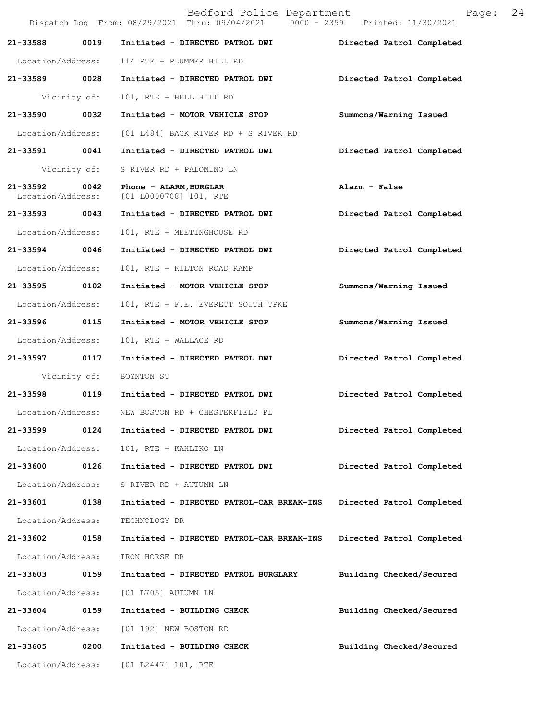|                               |              | Bedford Police Department<br>Dispatch Log From: 08/29/2021 Thru: 09/04/2021 0000 - 2359 Printed: 11/30/2021 | 24<br>Page:               |
|-------------------------------|--------------|-------------------------------------------------------------------------------------------------------------|---------------------------|
| 21-33588                      | 0019         | Initiated - DIRECTED PATROL DWI                                                                             | Directed Patrol Completed |
| Location/Address:             |              | 114 RTE + PLUMMER HILL RD                                                                                   |                           |
| 21-33589 0028                 |              | Initiated - DIRECTED PATROL DWI                                                                             | Directed Patrol Completed |
|                               | Vicinity of: | 101, RTE + BELL HILL RD                                                                                     |                           |
| 21-33590 0032                 |              | Initiated - MOTOR VEHICLE STOP                                                                              | Summons/Warning Issued    |
| Location/Address:             |              | $[01 L484]$ BACK RIVER RD + S RIVER RD                                                                      |                           |
| 21-33591 0041                 |              | Initiated - DIRECTED PATROL DWI                                                                             | Directed Patrol Completed |
|                               | Vicinity of: | S RIVER RD + PALOMINO LN                                                                                    |                           |
| 21-33592<br>Location/Address: | 0042         | Phone - ALARM, BURGLAR<br>[01 L0000708] 101, RTE                                                            | Alarm - False             |
| 21-33593 0043                 |              | Initiated - DIRECTED PATROL DWI                                                                             | Directed Patrol Completed |
| Location/Address:             |              | 101, RTE + MEETINGHOUSE RD                                                                                  |                           |
| 21-33594 0046                 |              | Initiated - DIRECTED PATROL DWI                                                                             | Directed Patrol Completed |
| Location/Address:             |              | 101, RTE + KILTON ROAD RAMP                                                                                 |                           |
| 21-33595 0102                 |              | Initiated - MOTOR VEHICLE STOP                                                                              | Summons/Warning Issued    |
| Location/Address:             |              | 101, RTE + F.E. EVERETT SOUTH TPKE                                                                          |                           |
| 21-33596 0115                 |              | Initiated - MOTOR VEHICLE STOP                                                                              | Summons/Warning Issued    |
| Location/Address:             |              | 101, RTE + WALLACE RD                                                                                       |                           |
| 21-33597                      | 0117         | Initiated - DIRECTED PATROL DWI                                                                             | Directed Patrol Completed |
|                               |              | Vicinity of: BOYNTON ST                                                                                     |                           |
| 21-33598 0119                 |              | Initiated - DIRECTED PATROL DWI                                                                             | Directed Patrol Completed |
| Location/Address:             |              | NEW BOSTON RD + CHESTERFIELD PL                                                                             |                           |
| 21-33599                      | 0124         | Initiated - DIRECTED PATROL DWI                                                                             | Directed Patrol Completed |
| Location/Address:             |              | 101, RTE + KAHLIKO LN                                                                                       |                           |
| 21-33600                      | 0126         | Initiated - DIRECTED PATROL DWI                                                                             | Directed Patrol Completed |
| Location/Address:             |              | S RIVER RD + AUTUMN LN                                                                                      |                           |
| 21-33601                      | 0138         | Initiated - DIRECTED PATROL-CAR BREAK-INS                                                                   | Directed Patrol Completed |
| Location/Address:             |              | TECHNOLOGY DR                                                                                               |                           |
| 21-33602                      | 0158         | Initiated - DIRECTED PATROL-CAR BREAK-INS                                                                   | Directed Patrol Completed |
| Location/Address:             |              | IRON HORSE DR                                                                                               |                           |
| 21-33603                      | 0159         | Initiated - DIRECTED PATROL BURGLARY                                                                        | Building Checked/Secured  |
| Location/Address:             |              | [01 L705] AUTUMN LN                                                                                         |                           |
| 21-33604                      | 0159         | Initiated - BUILDING CHECK                                                                                  | Building Checked/Secured  |
| Location/Address:             |              | [01 192] NEW BOSTON RD                                                                                      |                           |
| 21-33605                      | 0200         | Initiated - BUILDING CHECK                                                                                  | Building Checked/Secured  |
| Location/Address:             |              | $[01 L2447] 101$ , RTE                                                                                      |                           |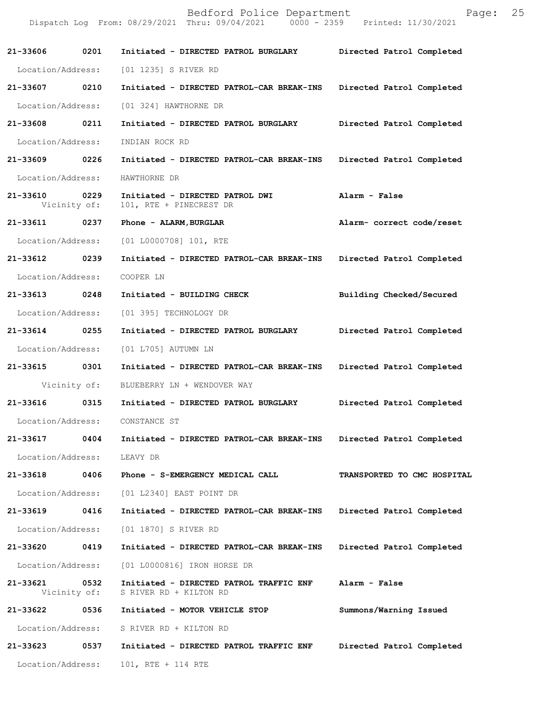Bedford Police Department Page: 25 Dispatch Log From: 08/29/2021 Thru: 09/04/2021 **21-33606 0201 Initiated - DIRECTED PATROL BURGLARY Directed Patrol Completed**  Location/Address: [01 1235] S RIVER RD **21-33607 0210 Initiated - DIRECTED PATROL-CAR BREAK-INS Directed Patrol Completed**  Location/Address: [01 324] HAWTHORNE DR **21-33608 0211 Initiated - DIRECTED PATROL BURGLARY Directed Patrol Completed**  Location/Address: INDIAN ROCK RD **21-33609 0226 Initiated - DIRECTED PATROL-CAR BREAK-INS Directed Patrol Completed**  Location/Address: HAWTHORNE DR **21-33610 0229 Initiated - DIRECTED PATROL DWI Alarm - False**  Vicinity of: 101, RTE + PINECREST DR **21-33611 0237 Phone - ALARM,BURGLAR Alarm- correct code/reset**  Location/Address: [01 L0000708] 101, RTE **21-33612 0239 Initiated - DIRECTED PATROL-CAR BREAK-INS Directed Patrol Completed**  Location/Address: COOPER LN **21-33613 0248 Initiated - BUILDING CHECK Building Checked/Secured**  Location/Address: [01 395] TECHNOLOGY DR **21-33614 0255 Initiated - DIRECTED PATROL BURGLARY Directed Patrol Completed**  Location/Address: [01 L705] AUTUMN LN **21-33615 0301 Initiated - DIRECTED PATROL-CAR BREAK-INS Directed Patrol Completed**  Vicinity of: BLUEBERRY LN + WENDOVER WAY **21-33616 0315 Initiated - DIRECTED PATROL BURGLARY Directed Patrol Completed**  Location/Address: CONSTANCE ST **21-33617 0404 Initiated - DIRECTED PATROL-CAR BREAK-INS Directed Patrol Completed**  Location/Address: LEAVY DR **21-33618 0406 Phone - S-EMERGENCY MEDICAL CALL TRANSPORTED TO CMC HOSPITAL**  Location/Address: [01 L2340] EAST POINT DR **21-33619 0416 Initiated - DIRECTED PATROL-CAR BREAK-INS Directed Patrol Completed**  Location/Address: [01 1870] S RIVER RD **21-33620 0419 Initiated - DIRECTED PATROL-CAR BREAK-INS Directed Patrol Completed**  Location/Address: [01 L0000816] IRON HORSE DR **21-33621 0532 Initiated - DIRECTED PATROL TRAFFIC ENF Alarm - False**  Vicinity of: S RIVER RD + KILTON RD **21-33622 0536 Initiated - MOTOR VEHICLE STOP Summons/Warning Issued**  Location/Address: S RIVER RD + KILTON RD **21-33623 0537 Initiated - DIRECTED PATROL TRAFFIC ENF Directed Patrol Completed**  Location/Address: 101, RTE + 114 RTE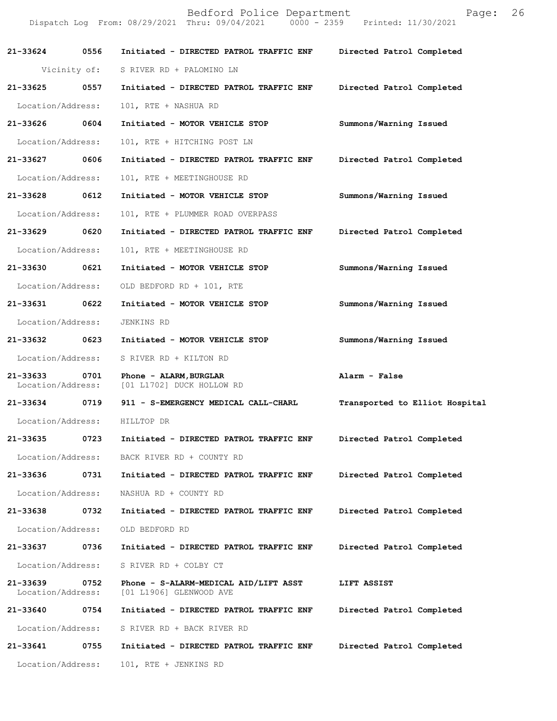|                               |              | Bedford Police Department<br>Dispatch Log From: 08/29/2021 Thru: 09/04/2021 0000 - 2359 Printed: 11/30/2021 | Page:                          | 26 |
|-------------------------------|--------------|-------------------------------------------------------------------------------------------------------------|--------------------------------|----|
| 21-33624                      | 0556         | Initiated - DIRECTED PATROL TRAFFIC ENF                                                                     | Directed Patrol Completed      |    |
|                               | Vicinity of: | S RIVER RD + PALOMINO LN                                                                                    |                                |    |
| 21-33625                      | 0557         | Initiated - DIRECTED PATROL TRAFFIC ENF                                                                     | Directed Patrol Completed      |    |
| Location/Address:             |              | 101, RTE + NASHUA RD                                                                                        |                                |    |
| 21-33626                      | 0604         | Initiated - MOTOR VEHICLE STOP                                                                              | Summons/Warning Issued         |    |
| Location/Address:             |              | 101, RTE + HITCHING POST LN                                                                                 |                                |    |
| 21-33627                      | 0606         | Initiated - DIRECTED PATROL TRAFFIC ENF                                                                     | Directed Patrol Completed      |    |
| Location/Address:             |              | 101, RTE + MEETINGHOUSE RD                                                                                  |                                |    |
| 21-33628                      | 0612         | Initiated - MOTOR VEHICLE STOP                                                                              | Summons/Warning Issued         |    |
| Location/Address:             |              | 101, RTE + PLUMMER ROAD OVERPASS                                                                            |                                |    |
| 21-33629                      | 0620         | Initiated - DIRECTED PATROL TRAFFIC ENF                                                                     | Directed Patrol Completed      |    |
| Location/Address:             |              | 101, RTE + MEETINGHOUSE RD                                                                                  |                                |    |
| 21-33630                      | 0621         | Initiated - MOTOR VEHICLE STOP                                                                              | Summons/Warning Issued         |    |
| Location/Address:             |              | OLD BEDFORD RD + 101, RTE                                                                                   |                                |    |
| 21-33631                      | 0622         | Initiated - MOTOR VEHICLE STOP                                                                              | Summons/Warning Issued         |    |
| Location/Address:             |              | JENKINS RD                                                                                                  |                                |    |
| 21-33632                      | 0623         | Initiated - MOTOR VEHICLE STOP                                                                              | Summons/Warning Issued         |    |
| Location/Address:             |              | S RIVER RD + KILTON RD                                                                                      |                                |    |
| 21-33633<br>Location/Address: | 0701         | Phone - ALARM, BURGLAR<br>[01 L1702] DUCK HOLLOW RD                                                         | Alarm - False                  |    |
| 21-33634                      | 0719         | 911 - S-EMERGENCY MEDICAL CALL-CHARL                                                                        | Transported to Elliot Hospital |    |
| Location/Address:             |              | HILLTOP DR                                                                                                  |                                |    |
| 21-33635                      | 0723         | Initiated - DIRECTED PATROL TRAFFIC ENF                                                                     | Directed Patrol Completed      |    |
| Location/Address:             |              | BACK RIVER RD + COUNTY RD                                                                                   |                                |    |
| 21-33636                      | 0731         | Initiated - DIRECTED PATROL TRAFFIC ENF                                                                     | Directed Patrol Completed      |    |
| Location/Address:             |              | NASHUA RD + COUNTY RD                                                                                       |                                |    |
| 21-33638                      | 0732         | Initiated - DIRECTED PATROL TRAFFIC ENF                                                                     | Directed Patrol Completed      |    |
| Location/Address:             |              | OLD BEDFORD RD                                                                                              |                                |    |
| 21-33637                      | 0736         | Initiated - DIRECTED PATROL TRAFFIC ENF                                                                     | Directed Patrol Completed      |    |
| Location/Address:             |              | S RIVER RD + COLBY CT                                                                                       |                                |    |
| 21-33639<br>Location/Address: | 0752         | Phone - S-ALARM-MEDICAL AID/LIFT ASST<br>[01 L1906] GLENWOOD AVE                                            | LIFT ASSIST                    |    |
| 21-33640                      | 0754         | Initiated - DIRECTED PATROL TRAFFIC ENF                                                                     | Directed Patrol Completed      |    |
| Location/Address:             |              | S RIVER RD + BACK RIVER RD                                                                                  |                                |    |
| 21-33641                      | 0755         | Initiated - DIRECTED PATROL TRAFFIC ENF                                                                     | Directed Patrol Completed      |    |
| Location/Address:             |              | 101, RTE + JENKINS RD                                                                                       |                                |    |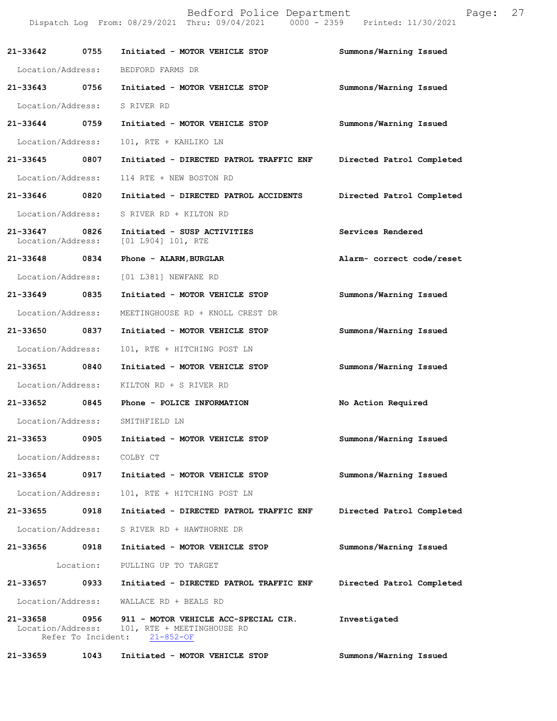|                               |                            | Bedford Police Department<br>Dispatch Log From: 08/29/2021 Thru: 09/04/2021 0000 - 2359 Printed: 11/30/2021 | 27<br>Page:               |
|-------------------------------|----------------------------|-------------------------------------------------------------------------------------------------------------|---------------------------|
| 21-33642                      | 0755                       | Initiated - MOTOR VEHICLE STOP                                                                              | Summons/Warning Issued    |
| Location/Address:             |                            | BEDFORD FARMS DR                                                                                            |                           |
| 21-33643                      | 0756                       | Initiated - MOTOR VEHICLE STOP                                                                              | Summons/Warning Issued    |
| Location/Address:             |                            | S RIVER RD                                                                                                  |                           |
| 21-33644                      | 0759                       | Initiated - MOTOR VEHICLE STOP                                                                              | Summons/Warning Issued    |
| Location/Address:             |                            | 101, RTE + KAHLIKO LN                                                                                       |                           |
| 21-33645                      | 0807                       | Initiated - DIRECTED PATROL TRAFFIC ENF                                                                     | Directed Patrol Completed |
| Location/Address:             |                            | 114 RTE + NEW BOSTON RD                                                                                     |                           |
| 21-33646                      | 0820                       | Initiated - DIRECTED PATROL ACCIDENTS                                                                       | Directed Patrol Completed |
| Location/Address:             |                            | S RIVER RD + KILTON RD                                                                                      |                           |
| 21-33647<br>Location/Address: | 0826                       | Initiated - SUSP ACTIVITIES<br>[01 L904] 101, RTE                                                           | Services Rendered         |
| 21-33648                      | 0834                       | Phone - ALARM, BURGLAR                                                                                      | Alarm- correct code/reset |
| Location/Address:             |                            | [01 L381] NEWFANE RD                                                                                        |                           |
| 21-33649                      | 0835                       | Initiated - MOTOR VEHICLE STOP                                                                              | Summons/Warning Issued    |
| Location/Address:             |                            | MEETINGHOUSE RD + KNOLL CREST DR                                                                            |                           |
| 21-33650                      | 0837                       | Initiated - MOTOR VEHICLE STOP                                                                              | Summons/Warning Issued    |
| Location/Address:             |                            | 101, RTE + HITCHING POST LN                                                                                 |                           |
| 21-33651                      | 0840                       | Initiated - MOTOR VEHICLE STOP                                                                              | Summons/Warning Issued    |
| Location/Address:             |                            | KILTON RD + S RIVER RD                                                                                      |                           |
| 21-33652                      | 0845                       | Phone - POLICE INFORMATION                                                                                  | No Action Required        |
| Location/Address:             |                            | SMITHFIELD LN                                                                                               |                           |
| 21-33653                      | 0905                       | Initiated - MOTOR VEHICLE STOP                                                                              | Summons/Warning Issued    |
| Location/Address:             |                            | COLBY CT                                                                                                    |                           |
| 21-33654                      | 0917                       | Initiated - MOTOR VEHICLE STOP                                                                              | Summons/Warning Issued    |
| Location/Address:             |                            | 101, RTE + HITCHING POST LN                                                                                 |                           |
| 21-33655                      | 0918                       | Initiated - DIRECTED PATROL TRAFFIC ENF                                                                     | Directed Patrol Completed |
| Location/Address:             |                            | S RIVER RD + HAWTHORNE DR                                                                                   |                           |
| 21-33656                      | 0918                       | Initiated - MOTOR VEHICLE STOP                                                                              | Summons/Warning Issued    |
|                               | Location:                  | PULLING UP TO TARGET                                                                                        |                           |
| 21-33657                      | 0933                       | Initiated - DIRECTED PATROL TRAFFIC ENF                                                                     | Directed Patrol Completed |
| Location/Address:             |                            | WALLACE RD + BEALS RD                                                                                       |                           |
| 21-33658<br>Location/Address: | 0956<br>Refer To Incident: | 911 - MOTOR VEHICLE ACC-SPECIAL CIR.<br>101, RTE + MEETINGHOUSE RD<br>$21 - 852 - OF$                       | Investigated              |
| 21-33659                      | 1043                       | Initiated - MOTOR VEHICLE STOP                                                                              | Summons/Warning Issued    |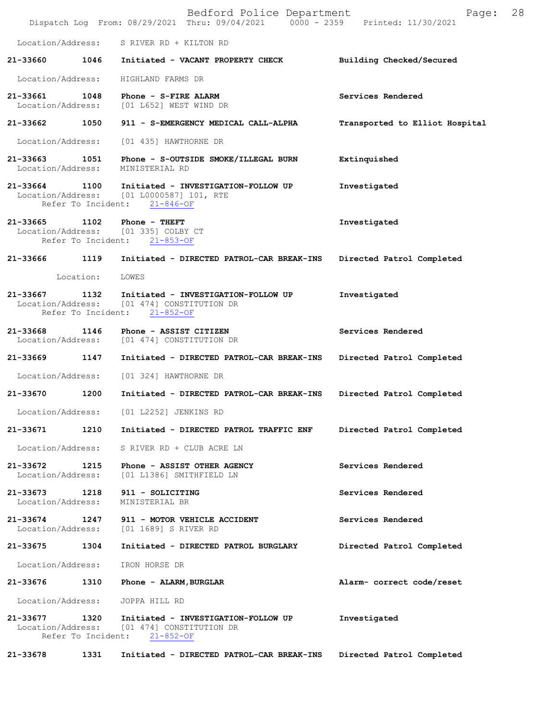|                               |                            | Bedford Police Department<br>Dispatch Log From: 08/29/2021 Thru: 09/04/2021 0000 - 2359 Printed: 11/30/2021                   | Page:                          | 28 |
|-------------------------------|----------------------------|-------------------------------------------------------------------------------------------------------------------------------|--------------------------------|----|
|                               |                            | Location/Address: S RIVER RD + KILTON RD                                                                                      |                                |    |
| 21-33660 1046                 |                            | Initiated - VACANT PROPERTY CHECK                                                                                             | Building Checked/Secured       |    |
| Location/Address:             |                            | HIGHLAND FARMS DR                                                                                                             |                                |    |
|                               |                            | 21-33661   1048   Phone - S-FIRE ALARM<br>Location/Address: [01 L652] WEST WIND DR                                            | Services Rendered              |    |
| 21-33662 1050                 |                            | 911 - S-EMERGENCY MEDICAL CALL-ALPHA                                                                                          | Transported to Elliot Hospital |    |
| Location/Address:             |                            | [01 435] HAWTHORNE DR                                                                                                         |                                |    |
|                               |                            | 21-33663 1051 Phone - S-OUTSIDE SMOKE/ILLEGAL BURN<br>Location/Address: MINISTERIAL RD                                        | Extinquished                   |    |
|                               |                            | 21-33664 1100 Initiated - INVESTIGATION-FOLLOW UP<br>Location/Address: [01 L0000587] 101, RTE<br>Refer To Incident: 21-846-OF | Investigated                   |    |
| 21-33665 1102                 |                            | Phone - THEFT<br>Location/Address: [01 335] COLBY CT<br>Refer To Incident: 21-853-OF                                          | Investigated                   |    |
| 21-33666                      |                            | 1119 Initiated - DIRECTED PATROL-CAR BREAK-INS                                                                                | Directed Patrol Completed      |    |
|                               | Location:                  | LOWES                                                                                                                         |                                |    |
| 21-33667                      |                            | 1132 Initiated - INVESTIGATION-FOLLOW UP<br>Location/Address: [01 474] CONSTITUTION DR<br>Refer To Incident: 21-852-OF        | Investigated                   |    |
| 21-33668                      |                            | 1146 Phone - ASSIST CITIZEN<br>Location/Address: [01 474] CONSTITUTION DR                                                     | Services Rendered              |    |
| 21-33669                      | 1147                       | Initiated - DIRECTED PATROL-CAR BREAK-INS Directed Patrol Completed                                                           |                                |    |
|                               |                            | Location/Address: [01 324] HAWTHORNE DR                                                                                       |                                |    |
| 21-33670                      | 1200                       | Initiated - DIRECTED PATROL-CAR BREAK-INS                                                                                     | Directed Patrol Completed      |    |
| Location/Address:             |                            | [01 L2252] JENKINS RD                                                                                                         |                                |    |
| 21-33671                      | 1210                       | Initiated - DIRECTED PATROL TRAFFIC ENF                                                                                       | Directed Patrol Completed      |    |
| Location/Address:             |                            | S RIVER RD + CLUB ACRE LN                                                                                                     |                                |    |
| 21-33672<br>Location/Address: | 1215                       | Phone - ASSIST OTHER AGENCY<br>[01 L1386] SMITHFIELD LN                                                                       | Services Rendered              |    |
| 21-33673<br>Location/Address: | 1218                       | 911 - SOLICITING<br>MINISTERIAL BR                                                                                            | Services Rendered              |    |
| 21-33674<br>Location/Address: | 1247                       | 911 - MOTOR VEHICLE ACCIDENT<br>[01 1689] S RIVER RD                                                                          | Services Rendered              |    |
| 21-33675                      | 1304                       | Initiated - DIRECTED PATROL BURGLARY                                                                                          | Directed Patrol Completed      |    |
| Location/Address:             |                            | IRON HORSE DR                                                                                                                 |                                |    |
| 21-33676                      | 1310                       | Phone - ALARM, BURGLAR                                                                                                        | Alarm- correct code/reset      |    |
| Location/Address:             |                            | JOPPA HILL RD                                                                                                                 |                                |    |
| 21-33677<br>Location/Address: | 1320<br>Refer To Incident: | Initiated - INVESTIGATION-FOLLOW UP<br>[01 474] CONSTITUTION DR<br>$21 - 852 - OF$                                            | Investigated                   |    |
| 21-33678                      | 1331                       | Initiated - DIRECTED PATROL-CAR BREAK-INS                                                                                     | Directed Patrol Completed      |    |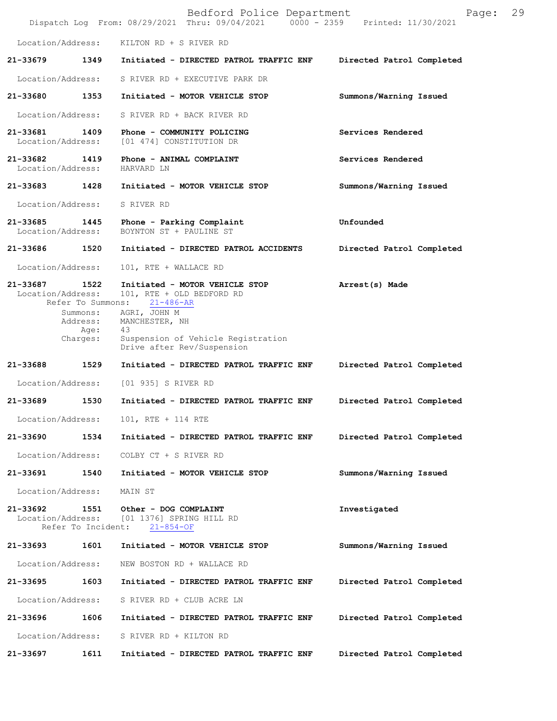|                               |                                                                       | Bedford Police Department<br>Dispatch Log From: 08/29/2021 Thru: 09/04/2021 0000 - 2359                                                                      | Page:<br>Printed: 11/30/2021 | 29 |
|-------------------------------|-----------------------------------------------------------------------|--------------------------------------------------------------------------------------------------------------------------------------------------------------|------------------------------|----|
| Location/Address:             |                                                                       | KILTON RD + S RIVER RD                                                                                                                                       |                              |    |
| 21-33679                      | 1349                                                                  | Initiated - DIRECTED PATROL TRAFFIC ENF                                                                                                                      | Directed Patrol Completed    |    |
| Location/Address:             |                                                                       | S RIVER RD + EXECUTIVE PARK DR                                                                                                                               |                              |    |
| 21-33680                      | 1353                                                                  | Initiated - MOTOR VEHICLE STOP                                                                                                                               | Summons/Warning Issued       |    |
| Location/Address:             |                                                                       | S RIVER RD + BACK RIVER RD                                                                                                                                   |                              |    |
| 21-33681<br>Location/Address: | 1409                                                                  | Phone - COMMUNITY POLICING<br>[01 474] CONSTITUTION DR                                                                                                       | Services Rendered            |    |
| 21-33682<br>Location/Address: | 1419                                                                  | Phone - ANIMAL COMPLAINT<br>HARVARD LN                                                                                                                       | Services Rendered            |    |
| 21-33683                      | 1428                                                                  | Initiated - MOTOR VEHICLE STOP                                                                                                                               | Summons/Warning Issued       |    |
| Location/Address:             |                                                                       | S RIVER RD                                                                                                                                                   |                              |    |
| 21-33685<br>Location/Address: | 1445                                                                  | Phone - Parking Complaint<br>BOYNTON ST + PAULINE ST                                                                                                         | Unfounded                    |    |
| 21-33686                      | 1520                                                                  | Initiated - DIRECTED PATROL ACCIDENTS                                                                                                                        | Directed Patrol Completed    |    |
| Location/Address:             |                                                                       | 101, RTE + WALLACE RD                                                                                                                                        |                              |    |
| 21-33687<br>Location/Address: | 1522<br>Refer To Summons:<br>Summons:<br>Address:<br>Age:<br>Charges: | Initiated - MOTOR VEHICLE STOP<br>101, RTE + OLD BEDFORD RD<br>$21 - 486 - AR$<br>AGRI, JOHN M<br>MANCHESTER, NH<br>43<br>Suspension of Vehicle Registration | Arrest(s) Made               |    |
| 21-33688                      | 1529                                                                  | Drive after Rev/Suspension<br>Initiated - DIRECTED PATROL TRAFFIC ENF                                                                                        | Directed Patrol Completed    |    |
| Location/Address:             |                                                                       | [01 935] S RIVER RD                                                                                                                                          |                              |    |
| 21-33689                      | 1530                                                                  | Initiated - DIRECTED PATROL TRAFFIC ENF                                                                                                                      | Directed Patrol Completed    |    |
| Location/Address:             |                                                                       | 101, RTE + 114 RTE                                                                                                                                           |                              |    |
| 21-33690                      | 1534                                                                  | Initiated - DIRECTED PATROL TRAFFIC ENF                                                                                                                      | Directed Patrol Completed    |    |
| Location/Address:             |                                                                       | COLBY CT + S RIVER RD                                                                                                                                        |                              |    |
| 21-33691                      | 1540                                                                  | Initiated - MOTOR VEHICLE STOP                                                                                                                               | Summons/Warning Issued       |    |
| Location/Address:             |                                                                       | MAIN ST                                                                                                                                                      |                              |    |
| 21-33692<br>Location/Address: | 1551<br>Refer To Incident:                                            | Other - DOG COMPLAINT<br>[01 1376] SPRING HILL RD<br>$21 - 854 - OF$                                                                                         | Investigated                 |    |
| 21-33693                      | 1601                                                                  | Initiated - MOTOR VEHICLE STOP                                                                                                                               | Summons/Warning Issued       |    |
| Location/Address:             |                                                                       | NEW BOSTON RD + WALLACE RD                                                                                                                                   |                              |    |
| 21-33695                      | 1603                                                                  | Initiated - DIRECTED PATROL TRAFFIC ENF                                                                                                                      | Directed Patrol Completed    |    |
| Location/Address:             |                                                                       | S RIVER RD + CLUB ACRE LN                                                                                                                                    |                              |    |
| 21-33696                      | 1606                                                                  | Initiated - DIRECTED PATROL TRAFFIC ENF                                                                                                                      | Directed Patrol Completed    |    |
| Location/Address:             |                                                                       | S RIVER RD + KILTON RD                                                                                                                                       |                              |    |
| 21-33697                      | 1611                                                                  | Initiated - DIRECTED PATROL TRAFFIC ENF                                                                                                                      | Directed Patrol Completed    |    |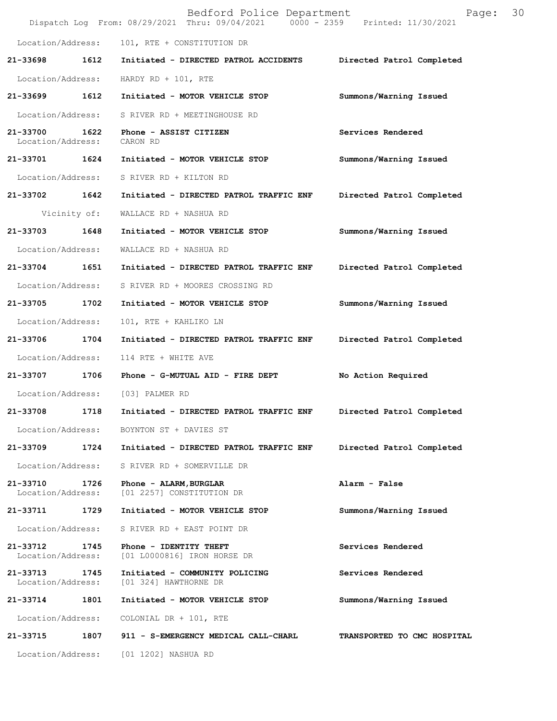|                               |              | Bedford Police Department<br>Dispatch Log From: 08/29/2021 Thru: 09/04/2021 0000 - 2359 Printed: 11/30/2021 | Page:                       | 30 |
|-------------------------------|--------------|-------------------------------------------------------------------------------------------------------------|-----------------------------|----|
| Location/Address:             |              | 101, RTE + CONSTITUTION DR                                                                                  |                             |    |
| 21-33698                      | 1612         | Initiated - DIRECTED PATROL ACCIDENTS                                                                       | Directed Patrol Completed   |    |
| Location/Address:             |              | HARDY RD + $101$ , RTE                                                                                      |                             |    |
| 21-33699                      | 1612         | Initiated - MOTOR VEHICLE STOP                                                                              | Summons/Warning Issued      |    |
| Location/Address:             |              | S RIVER RD + MEETINGHOUSE RD                                                                                |                             |    |
| 21-33700<br>Location/Address: | 1622         | Phone - ASSIST CITIZEN<br>CARON RD                                                                          | Services Rendered           |    |
| 21-33701 1624                 |              | Initiated - MOTOR VEHICLE STOP                                                                              | Summons/Warning Issued      |    |
| Location/Address:             |              | S RIVER RD + KILTON RD                                                                                      |                             |    |
| 21-33702                      | 1642         | Initiated - DIRECTED PATROL TRAFFIC ENF                                                                     | Directed Patrol Completed   |    |
|                               | Vicinity of: | WALLACE RD + NASHUA RD                                                                                      |                             |    |
| 21-33703                      | 1648         | Initiated - MOTOR VEHICLE STOP                                                                              | Summons/Warning Issued      |    |
| Location/Address:             |              | WALLACE RD + NASHUA RD                                                                                      |                             |    |
| 21-33704                      | 1651         | Initiated - DIRECTED PATROL TRAFFIC ENF                                                                     | Directed Patrol Completed   |    |
| Location/Address:             |              | S RIVER RD + MOORES CROSSING RD                                                                             |                             |    |
| 21-33705                      | 1702         | Initiated - MOTOR VEHICLE STOP                                                                              | Summons/Warning Issued      |    |
| Location/Address:             |              | 101, RTE + KAHLIKO LN                                                                                       |                             |    |
| 21-33706                      | 1704         | Initiated - DIRECTED PATROL TRAFFIC ENF                                                                     | Directed Patrol Completed   |    |
| Location/Address:             |              | 114 RTE + WHITE AVE                                                                                         |                             |    |
| 21-33707 1706                 |              | Phone - G-MUTUAL AID - FIRE DEPT                                                                            | No Action Required          |    |
| Location/Address:             |              | [03] PALMER RD                                                                                              |                             |    |
| 21-33708                      | 1718         | Initiated - DIRECTED PATROL TRAFFIC ENF                                                                     | Directed Patrol Completed   |    |
| Location/Address:             |              | BOYNTON ST + DAVIES ST                                                                                      |                             |    |
| 21-33709                      | 1724         | Initiated - DIRECTED PATROL TRAFFIC ENF                                                                     | Directed Patrol Completed   |    |
| Location/Address:             |              | S RIVER RD + SOMERVILLE DR                                                                                  |                             |    |
| 21-33710<br>Location/Address: | 1726         | Phone - ALARM, BURGLAR<br>[01 2257] CONSTITUTION DR                                                         | Alarm - False               |    |
| 21-33711                      | 1729         | Initiated - MOTOR VEHICLE STOP                                                                              | Summons/Warning Issued      |    |
| Location/Address:             |              | S RIVER RD + EAST POINT DR                                                                                  |                             |    |
| 21-33712<br>Location/Address: | 1745         | Phone - IDENTITY THEFT<br>[01 L0000816] IRON HORSE DR                                                       | Services Rendered           |    |
| 21-33713<br>Location/Address: | 1745         | Initiated - COMMUNITY POLICING<br>[01 324] HAWTHORNE DR                                                     | Services Rendered           |    |
| 21-33714                      | 1801         | Initiated - MOTOR VEHICLE STOP                                                                              | Summons/Warning Issued      |    |
| Location/Address:             |              | COLONIAL DR + 101, RTE                                                                                      |                             |    |
| 21-33715                      | 1807         | 911 - S-EMERGENCY MEDICAL CALL-CHARL                                                                        | TRANSPORTED TO CMC HOSPITAL |    |
| Location/Address:             |              | [01 1202] NASHUA RD                                                                                         |                             |    |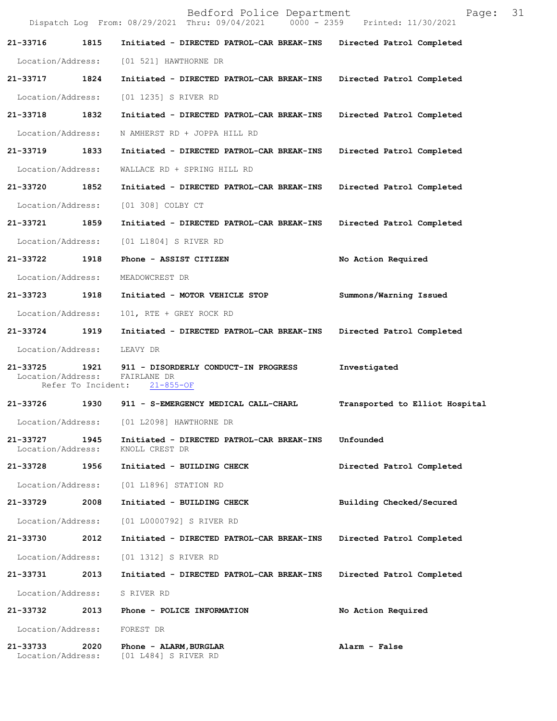|                               |                            | Bedford Police Department<br>Dispatch Log From: 08/29/2021 Thru: 09/04/2021 0000 - 2359 Printed: 11/30/2021 | 31<br>Page:                    |
|-------------------------------|----------------------------|-------------------------------------------------------------------------------------------------------------|--------------------------------|
| 21-33716                      | 1815                       | Initiated - DIRECTED PATROL-CAR BREAK-INS                                                                   | Directed Patrol Completed      |
| Location/Address:             |                            | [01 521] HAWTHORNE DR                                                                                       |                                |
| 21-33717                      | 1824                       | Initiated - DIRECTED PATROL-CAR BREAK-INS                                                                   | Directed Patrol Completed      |
| Location/Address:             |                            | [01 1235] S RIVER RD                                                                                        |                                |
| 21-33718                      | 1832                       | Initiated - DIRECTED PATROL-CAR BREAK-INS                                                                   | Directed Patrol Completed      |
| Location/Address:             |                            | N AMHERST RD + JOPPA HILL RD                                                                                |                                |
| 21-33719                      | 1833                       | Initiated - DIRECTED PATROL-CAR BREAK-INS                                                                   | Directed Patrol Completed      |
| Location/Address:             |                            | WALLACE RD + SPRING HILL RD                                                                                 |                                |
| 21-33720 1852                 |                            | Initiated - DIRECTED PATROL-CAR BREAK-INS                                                                   | Directed Patrol Completed      |
| Location/Address:             |                            | [01 308] COLBY CT                                                                                           |                                |
| 21-33721                      | 1859                       | Initiated - DIRECTED PATROL-CAR BREAK-INS                                                                   | Directed Patrol Completed      |
| Location/Address:             |                            | [01 L1804] S RIVER RD                                                                                       |                                |
| 21-33722                      | 1918                       | Phone - ASSIST CITIZEN                                                                                      | No Action Required             |
| Location/Address:             |                            | MEADOWCREST DR                                                                                              |                                |
| 21-33723                      | 1918                       | Initiated - MOTOR VEHICLE STOP                                                                              | Summons/Warning Issued         |
| Location/Address:             |                            | 101, RTE + GREY ROCK RD                                                                                     |                                |
| 21-33724 1919                 |                            | Initiated - DIRECTED PATROL-CAR BREAK-INS                                                                   | Directed Patrol Completed      |
| Location/Address:             |                            | LEAVY DR                                                                                                    |                                |
| 21-33725<br>Location/Address: | 1921<br>Refer To Incident: | 911 - DISORDERLY CONDUCT-IN PROGRESS<br>FAIRLANE DR<br>$21 - 855 - OF$                                      | Investigated                   |
| 21-33726                      |                            | 1930 911 - S-EMERGENCY MEDICAL CALL-CHARL                                                                   | Transported to Elliot Hospital |
| Location/Address:             |                            | [01 L2098] HAWTHORNE DR                                                                                     |                                |
| 21-33727<br>Location/Address: | 1945                       | Initiated - DIRECTED PATROL-CAR BREAK-INS<br>KNOLL CREST DR                                                 | Unfounded                      |
| 21-33728                      | 1956                       | Initiated - BUILDING CHECK                                                                                  | Directed Patrol Completed      |
| Location/Address:             |                            | [01 L1896] STATION RD                                                                                       |                                |
| 21-33729                      | 2008                       | Initiated - BUILDING CHECK                                                                                  | Building Checked/Secured       |
| Location/Address:             |                            | [01 L0000792] S RIVER RD                                                                                    |                                |
| 21-33730                      | 2012                       | Initiated - DIRECTED PATROL-CAR BREAK-INS                                                                   | Directed Patrol Completed      |
| Location/Address:             |                            | [01 1312] S RIVER RD                                                                                        |                                |
| 21-33731                      | 2013                       | Initiated - DIRECTED PATROL-CAR BREAK-INS                                                                   | Directed Patrol Completed      |
| Location/Address:             |                            | S RIVER RD                                                                                                  |                                |
| 21-33732                      | 2013                       | Phone - POLICE INFORMATION                                                                                  | No Action Required             |
| Location/Address:             |                            | FOREST DR                                                                                                   |                                |
| 21-33733<br>Location/Address: | 2020                       | Phone - ALARM, BURGLAR<br>[01 L484] S RIVER RD                                                              | Alarm - False                  |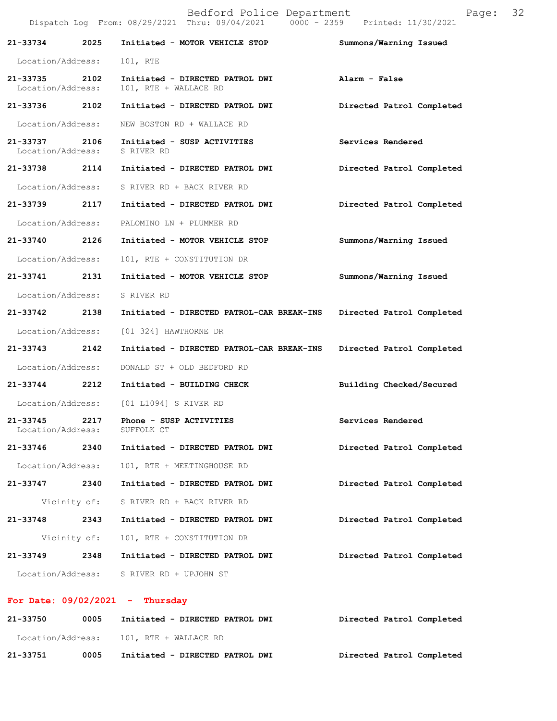|                               |              | Bedford Police Department<br>Dispatch Log From: 08/29/2021 Thru: 09/04/2021 0000 - 2359 Printed: 11/30/2021 | Page:                     | 32 |
|-------------------------------|--------------|-------------------------------------------------------------------------------------------------------------|---------------------------|----|
| 21-33734                      | 2025         | Initiated - MOTOR VEHICLE STOP                                                                              | Summons/Warning Issued    |    |
| Location/Address:             |              | 101, RTE                                                                                                    |                           |    |
| 21-33735<br>Location/Address: | 2102         | Initiated - DIRECTED PATROL DWI<br>101, RTE + WALLACE RD                                                    | Alarm - False             |    |
| 21-33736 2102                 |              | Initiated - DIRECTED PATROL DWI                                                                             | Directed Patrol Completed |    |
| Location/Address:             |              | NEW BOSTON RD + WALLACE RD                                                                                  |                           |    |
| 21-33737<br>Location/Address: | 2106         | Initiated - SUSP ACTIVITIES<br>S RIVER RD                                                                   | Services Rendered         |    |
| 21-33738                      | 2114         | Initiated - DIRECTED PATROL DWI                                                                             | Directed Patrol Completed |    |
| Location/Address:             |              | S RIVER RD + BACK RIVER RD                                                                                  |                           |    |
| 21–33739 2117                 |              | Initiated - DIRECTED PATROL DWI                                                                             | Directed Patrol Completed |    |
| Location/Address:             |              | PALOMINO LN + PLUMMER RD                                                                                    |                           |    |
| 21-33740 2126                 |              | Initiated - MOTOR VEHICLE STOP                                                                              | Summons/Warning Issued    |    |
| Location/Address:             |              | 101, RTE + CONSTITUTION DR                                                                                  |                           |    |
| 21-33741                      | 2131         | Initiated - MOTOR VEHICLE STOP                                                                              | Summons/Warning Issued    |    |
| Location/Address:             |              | S RIVER RD                                                                                                  |                           |    |
| 21-33742 2138                 |              | Initiated - DIRECTED PATROL-CAR BREAK-INS                                                                   | Directed Patrol Completed |    |
| Location/Address:             |              | [01 324] HAWTHORNE DR                                                                                       |                           |    |
| 21-33743                      | 2142         | Initiated - DIRECTED PATROL-CAR BREAK-INS                                                                   | Directed Patrol Completed |    |
| Location/Address:             |              | DONALD ST + OLD BEDFORD RD                                                                                  |                           |    |
| 21-33744                      | 2212         | Initiated - BUILDING CHECK                                                                                  | Building Checked/Secured  |    |
| Location/Address:             |              | [01 L1094] S RIVER RD                                                                                       |                           |    |
| 21-33745<br>Location/Address: | 2217         | Phone - SUSP ACTIVITIES<br>SUFFOLK CT                                                                       | Services Rendered         |    |
| 21-33746                      | 2340         | Initiated - DIRECTED PATROL DWI                                                                             | Directed Patrol Completed |    |
| Location/Address:             |              | 101, RTE + MEETINGHOUSE RD                                                                                  |                           |    |
| 21-33747 2340                 |              | Initiated - DIRECTED PATROL DWI                                                                             | Directed Patrol Completed |    |
|                               | Vicinity of: | S RIVER RD + BACK RIVER RD                                                                                  |                           |    |
| 21-33748 2343                 |              | Initiated - DIRECTED PATROL DWI                                                                             | Directed Patrol Completed |    |
|                               | Vicinity of: | 101, RTE + CONSTITUTION DR                                                                                  |                           |    |
| 21-33749                      | 2348         | Initiated - DIRECTED PATROL DWI                                                                             | Directed Patrol Completed |    |
| Location/Address:             |              | S RIVER RD + UPJOHN ST                                                                                      |                           |    |
|                               |              |                                                                                                             |                           |    |

## **For Date: 09/02/2021 - Thursday**

| 21-33750          | 0005 | Initiated - DIRECTED PATROL DWI | Directed Patrol Completed |
|-------------------|------|---------------------------------|---------------------------|
| Location/Address: |      | 101, RTE + WALLACE RD           |                           |
| 21-33751          | 0005 | Initiated - DIRECTED PATROL DWI | Directed Patrol Completed |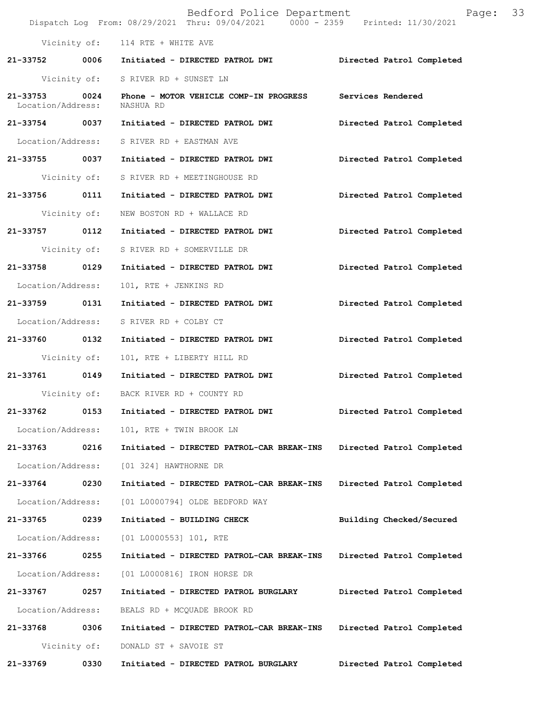|                                    | Bedford Police Department<br>Dispatch Log From: 08/29/2021 Thru: 09/04/2021 0000 - 2359 Printed: 11/30/2021 | 33<br>Page:               |
|------------------------------------|-------------------------------------------------------------------------------------------------------------|---------------------------|
|                                    | Vicinity of: 114 RTE + WHITE AVE                                                                            |                           |
|                                    | 21-33752 0006 Initiated - DIRECTED PATROL DWI                                                               | Directed Patrol Completed |
|                                    | Vicinity of: S RIVER RD + SUNSET LN                                                                         |                           |
| 21-33753 0024<br>Location/Address: | Phone - MOTOR VEHICLE COMP-IN PROGRESS Services Rendered<br>NASHUA RD                                       |                           |
|                                    | 21-33754 0037 Initiated - DIRECTED PATROL DWI                                                               | Directed Patrol Completed |
|                                    | Location/Address: S RIVER RD + EASTMAN AVE                                                                  |                           |
|                                    | 21-33755 0037 Initiated - DIRECTED PATROL DWI                                                               | Directed Patrol Completed |
|                                    | Vicinity of: S RIVER RD + MEETINGHOUSE RD                                                                   |                           |
|                                    |                                                                                                             | Directed Patrol Completed |
| Vicinity of:                       | NEW BOSTON RD + WALLACE RD                                                                                  |                           |
| 21-33757 0112                      | Initiated - DIRECTED PATROL DWI                                                                             | Directed Patrol Completed |
|                                    | Vicinity of: S RIVER RD + SOMERVILLE DR                                                                     |                           |
| 21-33758 0129                      | Initiated - DIRECTED PATROL DWI                                                                             | Directed Patrol Completed |
| Location/Address:                  | 101, RTE + JENKINS RD                                                                                       |                           |
|                                    |                                                                                                             | Directed Patrol Completed |
|                                    | Location/Address: S RIVER RD + COLBY CT                                                                     |                           |
| 21-33760 0132                      | Initiated - DIRECTED PATROL DWI                                                                             | Directed Patrol Completed |
| Vicinity of:                       | 101, RTE + LIBERTY HILL RD                                                                                  |                           |
|                                    |                                                                                                             | Directed Patrol Completed |
|                                    | Vicinity of: BACK RIVER RD + COUNTY RD                                                                      |                           |
| 21-33762 0153                      | Initiated - DIRECTED PATROL DWI                                                                             | Directed Patrol Completed |
| Location/Address:                  | 101, RTE + TWIN BROOK LN                                                                                    |                           |
| 0216<br>21-33763                   | Initiated - DIRECTED PATROL-CAR BREAK-INS                                                                   | Directed Patrol Completed |
| Location/Address:                  | [01 324] HAWTHORNE DR                                                                                       |                           |
| 21-33764<br>0230                   | Initiated - DIRECTED PATROL-CAR BREAK-INS                                                                   | Directed Patrol Completed |
| Location/Address:                  | [01 L0000794] OLDE BEDFORD WAY                                                                              |                           |
| 0239<br>21-33765                   | Initiated - BUILDING CHECK                                                                                  | Building Checked/Secured  |
| Location/Address:                  | [01 L0000553] 101, RTE                                                                                      |                           |
| 21-33766<br>0255                   | Initiated - DIRECTED PATROL-CAR BREAK-INS                                                                   | Directed Patrol Completed |
| Location/Address:                  | [01 L0000816] IRON HORSE DR                                                                                 |                           |
| 0257<br>21-33767                   | Initiated - DIRECTED PATROL BURGLARY                                                                        | Directed Patrol Completed |
| Location/Address:                  | BEALS RD + MCQUADE BROOK RD                                                                                 |                           |
| 0306<br>21-33768                   | Initiated - DIRECTED PATROL-CAR BREAK-INS                                                                   | Directed Patrol Completed |
| Vicinity of:                       | DONALD ST + SAVOIE ST                                                                                       |                           |
| 21-33769<br>0330                   | Initiated - DIRECTED PATROL BURGLARY                                                                        | Directed Patrol Completed |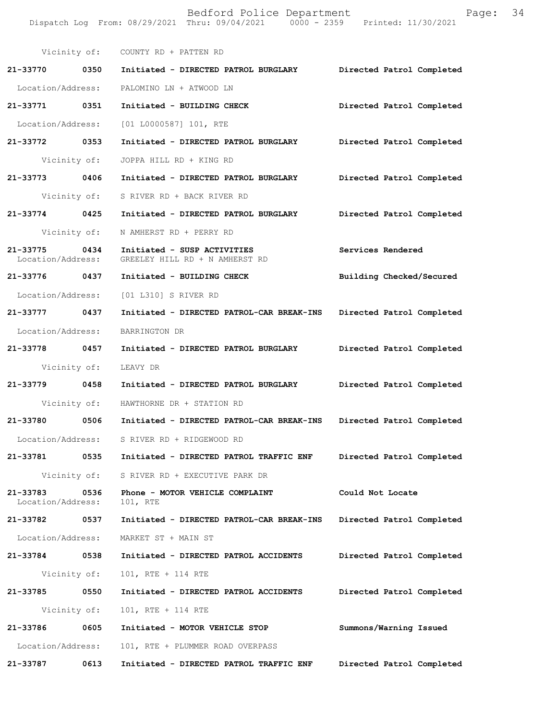Bedford Police Department Page: 34 Dispatch Log From: 08/29/2021 Thru: 09/04/2021 0000 - 2359 Printed: 11/30/2021

 Vicinity of: COUNTY RD + PATTEN RD **21-33770 0350 Initiated - DIRECTED PATROL BURGLARY Directed Patrol Completed**  Location/Address: PALOMINO LN + ATWOOD LN **21-33771 0351 Initiated - BUILDING CHECK Directed Patrol Completed**  Location/Address: [01 L0000587] 101, RTE **21-33772 0353 Initiated - DIRECTED PATROL BURGLARY Directed Patrol Completed**  Vicinity of: JOPPA HILL RD + KING RD **21-33773 0406 Initiated - DIRECTED PATROL BURGLARY Directed Patrol Completed**  Vicinity of: S RIVER RD + BACK RIVER RD **21-33774 0425 Initiated - DIRECTED PATROL BURGLARY Directed Patrol Completed**  Vicinity of: N AMHERST RD + PERRY RD **21-33775 0434 Initiated - SUSP ACTIVITIES Services Rendered**  Location/Address: GREELEY HILL RD + N AMHERST RD **21-33776 0437 Initiated - BUILDING CHECK Building Checked/Secured**  Location/Address: [01 L310] S RIVER RD **21-33777 0437 Initiated - DIRECTED PATROL-CAR BREAK-INS Directed Patrol Completed**  Location/Address: BARRINGTON DR **21-33778 0457 Initiated - DIRECTED PATROL BURGLARY Directed Patrol Completed**  Vicinity of: LEAVY DR **21-33779 0458 Initiated - DIRECTED PATROL BURGLARY Directed Patrol Completed**  Vicinity of: HAWTHORNE DR + STATION RD **21-33780 0506 Initiated - DIRECTED PATROL-CAR BREAK-INS Directed Patrol Completed**  Location/Address: S RIVER RD + RIDGEWOOD RD **21-33781 0535 Initiated - DIRECTED PATROL TRAFFIC ENF Directed Patrol Completed**  Vicinity of: S RIVER RD + EXECUTIVE PARK DR **21-33783 0536 Phone - MOTOR VEHICLE COMPLAINT Could Not Locate**  Location/Address: 101, RTE **21-33782 0537 Initiated - DIRECTED PATROL-CAR BREAK-INS Directed Patrol Completed**  Location/Address: MARKET ST + MAIN ST **21-33784 0538 Initiated - DIRECTED PATROL ACCIDENTS Directed Patrol Completed**  Vicinity of: 101, RTE + 114 RTE **21-33785 0550 Initiated - DIRECTED PATROL ACCIDENTS Directed Patrol Completed**  Vicinity of: 101, RTE + 114 RTE **21-33786 0605 Initiated - MOTOR VEHICLE STOP Summons/Warning Issued**  Location/Address: 101, RTE + PLUMMER ROAD OVERPASS **21-33787 0613 Initiated - DIRECTED PATROL TRAFFIC ENF Directed Patrol Completed**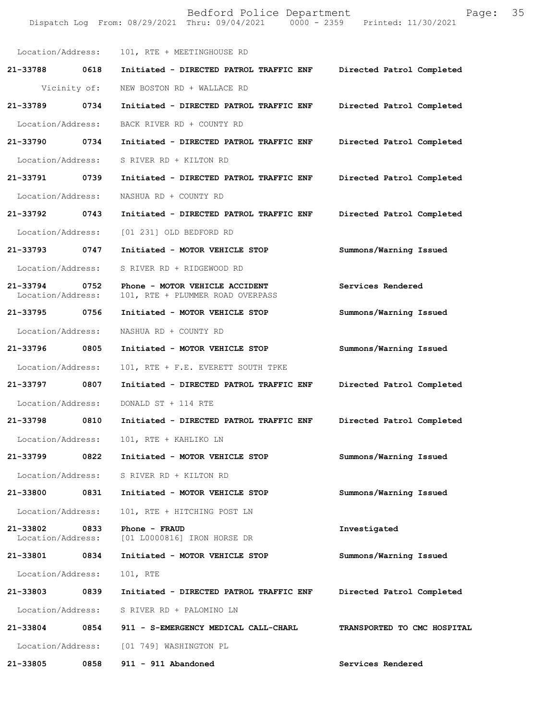|                               |              | Bedford Police Department<br>Dispatch Log From: 08/29/2021 Thru: 09/04/2021 0000 - 2359 Printed: 11/30/2021 | 35<br>Page:                 |
|-------------------------------|--------------|-------------------------------------------------------------------------------------------------------------|-----------------------------|
| Location/Address:             |              | 101, RTE + MEETINGHOUSE RD                                                                                  |                             |
| 21-33788                      | 0618         | Initiated - DIRECTED PATROL TRAFFIC ENF                                                                     | Directed Patrol Completed   |
|                               | Vicinity of: | NEW BOSTON RD + WALLACE RD                                                                                  |                             |
| 21-33789                      | 0734         | Initiated - DIRECTED PATROL TRAFFIC ENF                                                                     | Directed Patrol Completed   |
| Location/Address:             |              | BACK RIVER RD + COUNTY RD                                                                                   |                             |
| 21-33790 0734                 |              | Initiated - DIRECTED PATROL TRAFFIC ENF                                                                     | Directed Patrol Completed   |
| Location/Address:             |              | S RIVER RD + KILTON RD                                                                                      |                             |
| 21-33791 0739                 |              | Initiated - DIRECTED PATROL TRAFFIC ENF                                                                     | Directed Patrol Completed   |
| Location/Address:             |              | NASHUA RD + COUNTY RD                                                                                       |                             |
| 21-33792                      | 0743         | Initiated - DIRECTED PATROL TRAFFIC ENF                                                                     | Directed Patrol Completed   |
| Location/Address:             |              | [01 231] OLD BEDFORD RD                                                                                     |                             |
| 21-33793                      | 0747         | Initiated - MOTOR VEHICLE STOP                                                                              | Summons/Warning Issued      |
| Location/Address:             |              | S RIVER RD + RIDGEWOOD RD                                                                                   |                             |
| 21-33794<br>Location/Address: | 0752         | Phone - MOTOR VEHICLE ACCIDENT<br>101, RTE + PLUMMER ROAD OVERPASS                                          | Services Rendered           |
| 21-33795                      | 0756         | Initiated - MOTOR VEHICLE STOP                                                                              | Summons/Warning Issued      |
| Location/Address:             |              | NASHUA RD + COUNTY RD                                                                                       |                             |
| 21-33796                      | 0805         | Initiated - MOTOR VEHICLE STOP                                                                              | Summons/Warning Issued      |
| Location/Address:             |              | 101, RTE + F.E. EVERETT SOUTH TPKE                                                                          |                             |
| 21-33797 0807                 |              | Initiated - DIRECTED PATROL TRAFFIC ENF                                                                     | Directed Patrol Completed   |
| Location/Address:             |              | DONALD ST + 114 RTE                                                                                         |                             |
| 21-33798                      | 0810         | Initiated - DIRECTED PATROL TRAFFIC ENF                                                                     | Directed Patrol Completed   |
| Location/Address:             |              | 101, RTE + KAHLIKO LN                                                                                       |                             |
| 21-33799                      | 0822         | Initiated - MOTOR VEHICLE STOP                                                                              | Summons/Warning Issued      |
| Location/Address:             |              | S RIVER RD + KILTON RD                                                                                      |                             |
| 21-33800                      | 0831         | Initiated - MOTOR VEHICLE STOP                                                                              | Summons/Warning Issued      |
| Location/Address:             |              | 101, RTE + HITCHING POST LN                                                                                 |                             |
| 21-33802<br>Location/Address: | 0833         | Phone - FRAUD<br>[01 L0000816] IRON HORSE DR                                                                | Investigated                |
| 21-33801                      | 0834         | Initiated - MOTOR VEHICLE STOP                                                                              | Summons/Warning Issued      |
| Location/Address:             |              | 101, RTE                                                                                                    |                             |
| 21-33803                      | 0839         | Initiated - DIRECTED PATROL TRAFFIC ENF                                                                     | Directed Patrol Completed   |
| Location/Address:             |              | S RIVER RD + PALOMINO LN                                                                                    |                             |
| 21-33804                      | 0854         | 911 - S-EMERGENCY MEDICAL CALL-CHARL                                                                        | TRANSPORTED TO CMC HOSPITAL |
| Location/Address:             |              | [01 749] WASHINGTON PL                                                                                      |                             |
| 21-33805                      | 0858         | 911 - 911 Abandoned                                                                                         | Services Rendered           |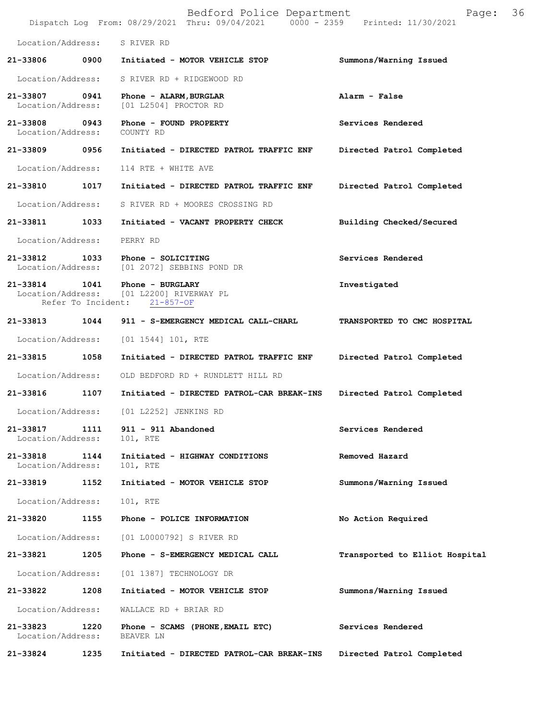|                                    |                    | Bedford Police Department<br>Dispatch Log From: 08/29/2021 Thru: 09/04/2021 0000 - 2359 | Page:<br>Printed: 11/30/2021   | 36 |
|------------------------------------|--------------------|-----------------------------------------------------------------------------------------|--------------------------------|----|
| Location/Address:                  |                    | S RIVER RD                                                                              |                                |    |
| 21-33806                           | 0900               | Initiated - MOTOR VEHICLE STOP                                                          | Summons/Warning Issued         |    |
| Location/Address:                  |                    | S RIVER RD + RIDGEWOOD RD                                                               |                                |    |
| 21-33807<br>Location/Address:      | 0941               | Phone - ALARM, BURGLAR<br>[01 L2504] PROCTOR RD                                         | Alarm - False                  |    |
| 21-33808 0943<br>Location/Address: |                    | Phone - FOUND PROPERTY<br>COUNTY RD                                                     | Services Rendered              |    |
| 21-33809                           | 0956               | Initiated - DIRECTED PATROL TRAFFIC ENF                                                 | Directed Patrol Completed      |    |
| Location/Address:                  |                    | 114 RTE + WHITE AVE                                                                     |                                |    |
| 21-33810                           | 1017               | Initiated - DIRECTED PATROL TRAFFIC ENF                                                 | Directed Patrol Completed      |    |
| Location/Address:                  |                    | S RIVER RD + MOORES CROSSING RD                                                         |                                |    |
| 21-33811                           | 1033               | Initiated - VACANT PROPERTY CHECK                                                       | Building Checked/Secured       |    |
| Location/Address:                  |                    | PERRY RD                                                                                |                                |    |
| 21-33812<br>Location/Address:      | 1033               | Phone - SOLICITING<br>[01 2072] SEBBINS POND DR                                         | Services Rendered              |    |
| 21-33814 1041<br>Location/Address: | Refer To Incident: | Phone - BURGLARY<br>[01 L2200] RIVERWAY PL<br>$21 - 857 - OF$                           | Investigated                   |    |
| 21-33813                           | 1044               | 911 - S-EMERGENCY MEDICAL CALL-CHARL                                                    | TRANSPORTED TO CMC HOSPITAL    |    |
| Location/Address:                  |                    | $[01 1544] 101$ , RTE                                                                   |                                |    |
| 21-33815                           | 1058               | Initiated - DIRECTED PATROL TRAFFIC ENF                                                 | Directed Patrol Completed      |    |
| Location/Address:                  |                    | OLD BEDFORD RD + RUNDLETT HILL RD                                                       |                                |    |
| 21-33816                           | 1107               | Initiated - DIRECTED PATROL-CAR BREAK-INS                                               | Directed Patrol Completed      |    |
| Location/Address:                  |                    | [01 L2252] JENKINS RD                                                                   |                                |    |
| 21-33817<br>Location/Address:      | 1111               | 911 - 911 Abandoned<br>101, RTE                                                         | Services Rendered              |    |
| 21-33818<br>Location/Address:      | 1144               | Initiated - HIGHWAY CONDITIONS<br>101, RTE                                              | Removed Hazard                 |    |
| 21-33819                           | 1152               | Initiated - MOTOR VEHICLE STOP                                                          | Summons/Warning Issued         |    |
| Location/Address:                  |                    | 101, RTE                                                                                |                                |    |
| 21-33820                           | 1155               | Phone - POLICE INFORMATION                                                              | No Action Required             |    |
| Location/Address:                  |                    | [01 L0000792] S RIVER RD                                                                |                                |    |
| 21-33821                           | 1205               | Phone - S-EMERGENCY MEDICAL CALL                                                        | Transported to Elliot Hospital |    |
| Location/Address:                  |                    | [01 1387] TECHNOLOGY DR                                                                 |                                |    |
| 21-33822                           | 1208               | Initiated - MOTOR VEHICLE STOP                                                          | Summons/Warning Issued         |    |
| Location/Address:                  |                    | WALLACE RD + BRIAR RD                                                                   |                                |    |
| 21-33823<br>Location/Address:      | 1220               | Phone - SCAMS (PHONE, EMAIL ETC)<br>BEAVER LN                                           | Services Rendered              |    |
| 21-33824                           | 1235               | Initiated - DIRECTED PATROL-CAR BREAK-INS                                               | Directed Patrol Completed      |    |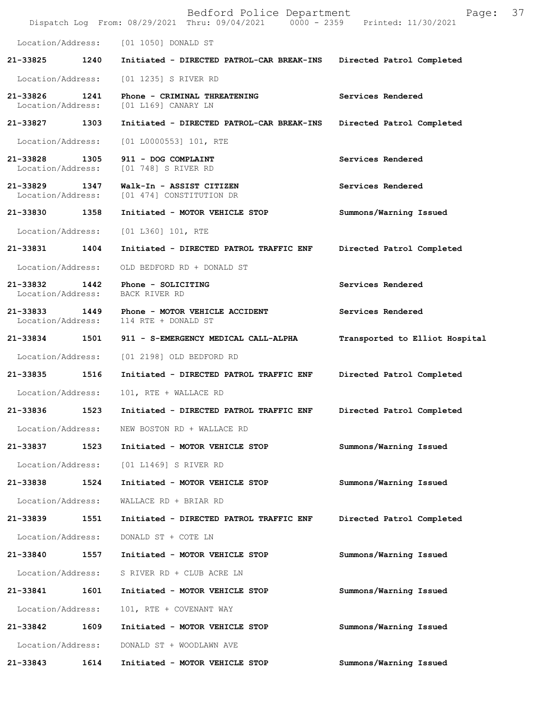|                               |      | Bedford Police Department<br>Dispatch Log From: 08/29/2021 Thru: 09/04/2021 0000 - 2359 Printed: 11/30/2021 | Page:                          | 37 |
|-------------------------------|------|-------------------------------------------------------------------------------------------------------------|--------------------------------|----|
| Location/Address:             |      | [01 1050] DONALD ST                                                                                         |                                |    |
| 21-33825                      | 1240 | Initiated - DIRECTED PATROL-CAR BREAK-INS                                                                   | Directed Patrol Completed      |    |
| Location/Address:             |      | [01 1235] S RIVER RD                                                                                        |                                |    |
| 21-33826<br>Location/Address: | 1241 | Phone - CRIMINAL THREATENING<br>[01 L169] CANARY LN                                                         | Services Rendered              |    |
| 21-33827                      | 1303 | Initiated - DIRECTED PATROL-CAR BREAK-INS                                                                   | Directed Patrol Completed      |    |
| Location/Address:             |      | $[01 L0000553] 101$ , RTE                                                                                   |                                |    |
| 21-33828<br>Location/Address: | 1305 | 911 - DOG COMPLAINT<br>[01 748] S RIVER RD                                                                  | Services Rendered              |    |
| 21-33829<br>Location/Address: | 1347 | Walk-In - ASSIST CITIZEN<br>[01 474] CONSTITUTION DR                                                        | Services Rendered              |    |
| 21-33830                      | 1358 | Initiated - MOTOR VEHICLE STOP                                                                              | Summons/Warning Issued         |    |
| Location/Address:             |      | [01 L360] 101, RTE                                                                                          |                                |    |
| 21-33831                      | 1404 | Initiated - DIRECTED PATROL TRAFFIC ENF                                                                     | Directed Patrol Completed      |    |
| Location/Address:             |      | OLD BEDFORD RD + DONALD ST                                                                                  |                                |    |
| 21-33832<br>Location/Address: | 1442 | Phone - SOLICITING<br>BACK RIVER RD                                                                         | Services Rendered              |    |
| 21-33833<br>Location/Address: | 1449 | Phone - MOTOR VEHICLE ACCIDENT<br>114 RTE + DONALD ST                                                       | Services Rendered              |    |
| 21-33834                      | 1501 | 911 - S-EMERGENCY MEDICAL CALL-ALPHA                                                                        | Transported to Elliot Hospital |    |
| Location/Address:             |      | [01 2198] OLD BEDFORD RD                                                                                    |                                |    |
| 21-33835                      | 1516 | Initiated - DIRECTED PATROL TRAFFIC ENF                                                                     | Directed Patrol Completed      |    |
| Location/Address:             |      | 101, RTE + WALLACE RD                                                                                       |                                |    |
| 21-33836                      | 1523 | Initiated - DIRECTED PATROL TRAFFIC ENF                                                                     | Directed Patrol Completed      |    |
| Location/Address:             |      | NEW BOSTON RD + WALLACE RD                                                                                  |                                |    |
| 21-33837                      | 1523 | Initiated - MOTOR VEHICLE STOP                                                                              | Summons/Warning Issued         |    |
| Location/Address:             |      | [01 L1469] S RIVER RD                                                                                       |                                |    |
| 21-33838                      | 1524 | Initiated - MOTOR VEHICLE STOP                                                                              | Summons/Warning Issued         |    |
| Location/Address:             |      | WALLACE RD + BRIAR RD                                                                                       |                                |    |
| 21-33839                      | 1551 | Initiated - DIRECTED PATROL TRAFFIC ENF                                                                     | Directed Patrol Completed      |    |
| Location/Address:             |      | DONALD ST + COTE LN                                                                                         |                                |    |
| 21-33840                      | 1557 | Initiated - MOTOR VEHICLE STOP                                                                              | Summons/Warning Issued         |    |
| Location/Address:             |      | S RIVER RD + CLUB ACRE LN                                                                                   |                                |    |
| 21-33841                      | 1601 | Initiated - MOTOR VEHICLE STOP                                                                              | Summons/Warning Issued         |    |
| Location/Address:             |      | 101, RTE + COVENANT WAY                                                                                     |                                |    |
| 21-33842                      | 1609 | Initiated - MOTOR VEHICLE STOP                                                                              | Summons/Warning Issued         |    |
| Location/Address:             |      | DONALD ST + WOODLAWN AVE                                                                                    |                                |    |
| 21-33843                      | 1614 | Initiated - MOTOR VEHICLE STOP                                                                              | Summons/Warning Issued         |    |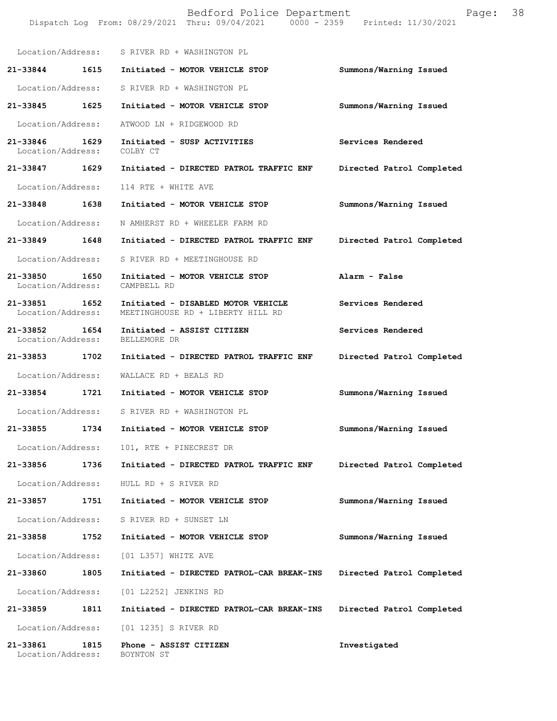|                                    |      | Bedford Police Department<br>Dispatch Log From: 08/29/2021 Thru: 09/04/2021 0000 - 2359 Printed: 11/30/2021 | Page:                     | 38 |
|------------------------------------|------|-------------------------------------------------------------------------------------------------------------|---------------------------|----|
|                                    |      | Location/Address: S RIVER RD + WASHINGTON PL                                                                |                           |    |
| 21-33844 1615                      |      | Initiated - MOTOR VEHICLE STOP                                                                              | Summons/Warning Issued    |    |
| Location/Address:                  |      | S RIVER RD + WASHINGTON PL                                                                                  |                           |    |
| 21-33845                           | 1625 | Initiated - MOTOR VEHICLE STOP                                                                              | Summons/Warning Issued    |    |
| Location/Address:                  |      | ATWOOD LN + RIDGEWOOD RD                                                                                    |                           |    |
| 21-33846<br>Location/Address:      | 1629 | Initiated - SUSP ACTIVITIES<br>COLBY CT                                                                     | Services Rendered         |    |
| 21-33847 1629                      |      | Initiated - DIRECTED PATROL TRAFFIC ENF                                                                     | Directed Patrol Completed |    |
| Location/Address:                  |      | 114 RTE + WHITE AVE                                                                                         |                           |    |
| 21-33848                           | 1638 | Initiated - MOTOR VEHICLE STOP                                                                              | Summons/Warning Issued    |    |
| Location/Address:                  |      | N AMHERST RD + WHEELER FARM RD                                                                              |                           |    |
| 21-33849 1648                      |      | Initiated - DIRECTED PATROL TRAFFIC ENF                                                                     | Directed Patrol Completed |    |
| Location/Address:                  |      | S RIVER RD + MEETINGHOUSE RD                                                                                |                           |    |
| 21-33850<br>Location/Address:      | 1650 | Initiated - MOTOR VEHICLE STOP<br>CAMPBELL RD                                                               | Alarm - False             |    |
| 21-33851 1652<br>Location/Address: |      | Initiated - DISABLED MOTOR VEHICLE<br>MEETINGHOUSE RD + LIBERTY HILL RD                                     | Services Rendered         |    |
| 21-33852<br>Location/Address:      | 1654 | Initiated - ASSIST CITIZEN<br>BELLEMORE DR                                                                  | Services Rendered         |    |
| 21-33853                           | 1702 | Initiated - DIRECTED PATROL TRAFFIC ENF                                                                     | Directed Patrol Completed |    |
| Location/Address:                  |      | WALLACE RD + BEALS RD                                                                                       |                           |    |
| 21-33854                           | 1721 | Initiated - MOTOR VEHICLE STOP                                                                              | Summons/Warning Issued    |    |
| Location/Address:                  |      | S RIVER RD + WASHINGTON PL                                                                                  |                           |    |
| 21-33855                           | 1734 | Initiated - MOTOR VEHICLE STOP                                                                              | Summons/Warning Issued    |    |
| Location/Address:                  |      | 101, RTE + PINECREST DR                                                                                     |                           |    |
| 21-33856                           | 1736 | Initiated - DIRECTED PATROL TRAFFIC ENF                                                                     | Directed Patrol Completed |    |
| Location/Address:                  |      | HULL RD + S RIVER RD                                                                                        |                           |    |
| 21-33857                           | 1751 | Initiated - MOTOR VEHICLE STOP                                                                              | Summons/Warning Issued    |    |
| Location/Address:                  |      | S RIVER RD + SUNSET LN                                                                                      |                           |    |
| 21-33858                           | 1752 | Initiated - MOTOR VEHICLE STOP                                                                              | Summons/Warning Issued    |    |
| Location/Address:                  |      | [01 L357] WHITE AVE                                                                                         |                           |    |
| 21-33860                           | 1805 | Initiated - DIRECTED PATROL-CAR BREAK-INS                                                                   | Directed Patrol Completed |    |
| Location/Address:                  |      | [01 L2252] JENKINS RD                                                                                       |                           |    |
| 21-33859                           | 1811 | Initiated - DIRECTED PATROL-CAR BREAK-INS                                                                   | Directed Patrol Completed |    |
| Location/Address:                  |      | [01 1235] S RIVER RD                                                                                        |                           |    |
| 21-33861<br>Location/Address:      | 1815 | Phone - ASSIST CITIZEN<br>BOYNTON ST                                                                        | Investigated              |    |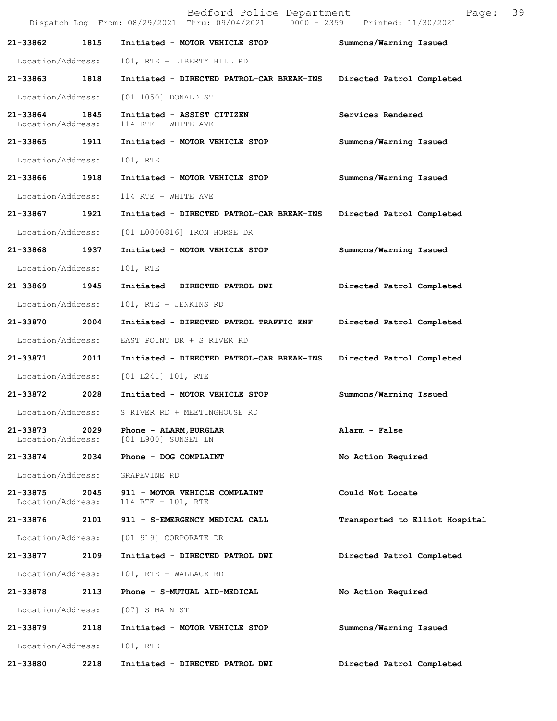|                                    |      | Bedford Police Department<br>Dispatch Log From: 08/29/2021 Thru: 09/04/2021 0000 - 2359 Printed: 11/30/2021 | Page:                          | 39 |
|------------------------------------|------|-------------------------------------------------------------------------------------------------------------|--------------------------------|----|
| 21-33862                           | 1815 | Initiated - MOTOR VEHICLE STOP                                                                              | Summons/Warning Issued         |    |
| Location/Address:                  |      | 101, RTE + LIBERTY HILL RD                                                                                  |                                |    |
| 21-33863 1818                      |      | Initiated - DIRECTED PATROL-CAR BREAK-INS                                                                   | Directed Patrol Completed      |    |
| Location/Address:                  |      | [01 1050] DONALD ST                                                                                         |                                |    |
| 21-33864 1845<br>Location/Address: |      | Initiated - ASSIST CITIZEN<br>114 RTE + WHITE AVE                                                           | Services Rendered              |    |
| 21-33865 1911                      |      | Initiated - MOTOR VEHICLE STOP                                                                              | Summons/Warning Issued         |    |
| Location/Address:                  |      | 101, RTE                                                                                                    |                                |    |
| 21-33866 1918                      |      | Initiated - MOTOR VEHICLE STOP                                                                              | Summons/Warning Issued         |    |
| Location/Address:                  |      | 114 RTE + WHITE AVE                                                                                         |                                |    |
| 21-33867 1921                      |      | Initiated - DIRECTED PATROL-CAR BREAK-INS Directed Patrol Completed                                         |                                |    |
| Location/Address:                  |      | [01 L0000816] IRON HORSE DR                                                                                 |                                |    |
| 21-33868                           | 1937 | Initiated - MOTOR VEHICLE STOP                                                                              | Summons/Warning Issued         |    |
| Location/Address:                  |      | 101, RTE                                                                                                    |                                |    |
| 21-33869 1945                      |      | Initiated - DIRECTED PATROL DWI                                                                             | Directed Patrol Completed      |    |
| Location/Address:                  |      | 101, RTE + JENKINS RD                                                                                       |                                |    |
| 21-33870                           | 2004 | Initiated - DIRECTED PATROL TRAFFIC ENF                                                                     | Directed Patrol Completed      |    |
| Location/Address:                  |      | EAST POINT DR + S RIVER RD                                                                                  |                                |    |
| 21-33871                           | 2011 | Initiated - DIRECTED PATROL-CAR BREAK-INS Directed Patrol Completed                                         |                                |    |
| Location/Address:                  |      | $[01 L241] 101$ , RTE                                                                                       |                                |    |
| 21-33872 2028                      |      | Initiated - MOTOR VEHICLE STOP                                                                              | Summons/Warning Issued         |    |
| Location/Address:                  |      | S RIVER RD + MEETINGHOUSE RD                                                                                |                                |    |
| 21-33873<br>Location/Address:      | 2029 | Phone - ALARM, BURGLAR<br>[01 L900] SUNSET LN                                                               | Alarm - False                  |    |
| 21-33874                           | 2034 | Phone - DOG COMPLAINT                                                                                       | No Action Required             |    |
| Location/Address:                  |      | GRAPEVINE RD                                                                                                |                                |    |
| 21-33875<br>Location/Address:      | 2045 | 911 - MOTOR VEHICLE COMPLAINT<br>114 RTE + 101, RTE                                                         | Could Not Locate               |    |
| 21-33876 2101                      |      | 911 - S-EMERGENCY MEDICAL CALL                                                                              | Transported to Elliot Hospital |    |
| Location/Address:                  |      | [01 919] CORPORATE DR                                                                                       |                                |    |
| 21-33877                           | 2109 | Initiated - DIRECTED PATROL DWI                                                                             | Directed Patrol Completed      |    |
| Location/Address:                  |      | 101, RTE + WALLACE RD                                                                                       |                                |    |
| 21-33878                           | 2113 | Phone - S-MUTUAL AID-MEDICAL                                                                                | No Action Required             |    |
| Location/Address:                  |      | $[07]$ S MAIN ST                                                                                            |                                |    |
| 21-33879                           | 2118 | Initiated - MOTOR VEHICLE STOP                                                                              | Summons/Warning Issued         |    |
| Location/Address:                  |      | 101, RTE                                                                                                    |                                |    |
| 21-33880                           | 2218 | Initiated - DIRECTED PATROL DWI                                                                             | Directed Patrol Completed      |    |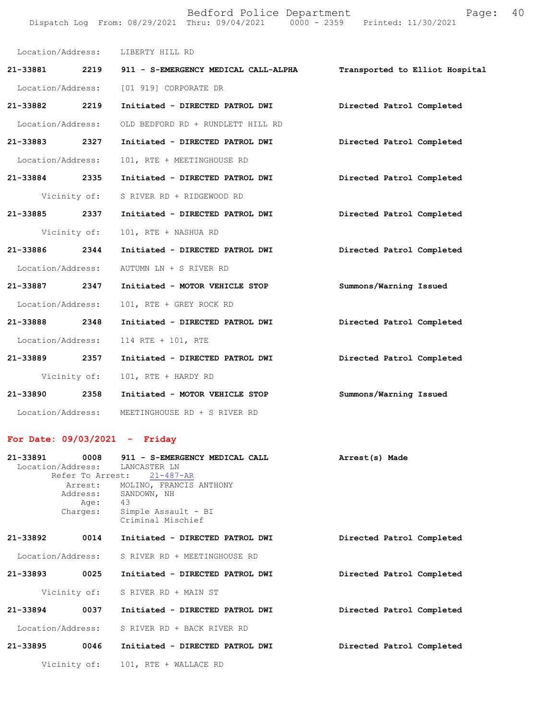|                                                | Bedford Police Department       | Page: 40 |
|------------------------------------------------|---------------------------------|----------|
| Dispatch Log From: 08/29/2021 Thru: 09/04/2021 | 0000 - 2359 Printed: 11/30/2021 |          |

| Location/Address: |              | LIBERTY HILL RD                      |                                |
|-------------------|--------------|--------------------------------------|--------------------------------|
| 21-33881 2219     |              | 911 - S-EMERGENCY MEDICAL CALL-ALPHA | Transported to Elliot Hospital |
| Location/Address: |              | [01 919] CORPORATE DR                |                                |
| 21-33882          | 2219         | Initiated - DIRECTED PATROL DWI      | Directed Patrol Completed      |
| Location/Address: |              | OLD BEDFORD RD + RUNDLETT HILL RD    |                                |
| 21-33883 2327     |              | Initiated - DIRECTED PATROL DWI      | Directed Patrol Completed      |
| Location/Address: |              | 101, RTE + MEETINGHOUSE RD           |                                |
| 21-33884 2335     |              | Initiated - DIRECTED PATROL DWI      | Directed Patrol Completed      |
|                   | Vicinity of: | S RIVER RD + RIDGEWOOD RD            |                                |
| 21-33885 2337     |              | Initiated - DIRECTED PATROL DWI      | Directed Patrol Completed      |
|                   | Vicinity of: | 101, RTE + NASHUA RD                 |                                |
| 21-33886 2344     |              | Initiated - DIRECTED PATROL DWI      | Directed Patrol Completed      |
| Location/Address: |              | AUTUMN LN + S RIVER RD               |                                |
| 21-33887 2347     |              | Initiated - MOTOR VEHICLE STOP       | Summons/Warning Issued         |
| Location/Address: |              | 101, RTE + GREY ROCK RD              |                                |
| 21-33888          | 2348         | Initiated - DIRECTED PATROL DWI      | Directed Patrol Completed      |
| Location/Address: |              | 114 RTE + 101, RTE                   |                                |
| 21-33889 2357     |              | Initiated - DIRECTED PATROL DWI      | Directed Patrol Completed      |
|                   | Vicinity of: | 101, RTE + HARDY RD                  |                                |
| 21-33890 2358     |              | Initiated - MOTOR VEHICLE STOP       | Summons/Warning Issued         |
| Location/Address: |              | MEETINGHOUSE RD + S RIVER RD         |                                |

## **For Date: 09/03/2021 - Friday**

| 21-33891          | 0008<br>Refer To Arrest:<br>Aqe:<br>Charges: | 911 - S-EMERGENCY MEDICAL CALL<br>Location/Address: LANCASTER LN<br>$21 - 487 - AR$<br>Arrest: MOLINO, FRANCIS ANTHONY<br>Address: SANDOWN, NH<br>43<br>Simple Assault - BI<br>Criminal Mischief | Arrest(s) Made            |
|-------------------|----------------------------------------------|--------------------------------------------------------------------------------------------------------------------------------------------------------------------------------------------------|---------------------------|
| 21-33892          | 0014                                         | Initiated - DIRECTED PATROL DWI                                                                                                                                                                  | Directed Patrol Completed |
| Location/Address: |                                              | S RIVER RD + MEETINGHOUSE RD                                                                                                                                                                     |                           |
| 21-33893          | 0025                                         | Initiated - DIRECTED PATROL DWI                                                                                                                                                                  | Directed Patrol Completed |
| Vicinity of:      |                                              | S RIVER RD + MAIN ST                                                                                                                                                                             |                           |
| 21-33894          | 0037                                         | Initiated - DIRECTED PATROL DWI                                                                                                                                                                  | Directed Patrol Completed |
| Location/Address: |                                              | S RIVER RD + BACK RIVER RD                                                                                                                                                                       |                           |
| 21-33895          | 0046                                         | Initiated - DIRECTED PATROL DWI                                                                                                                                                                  | Directed Patrol Completed |
|                   | Vicinity of:                                 | 101, RTE + WALLACE RD                                                                                                                                                                            |                           |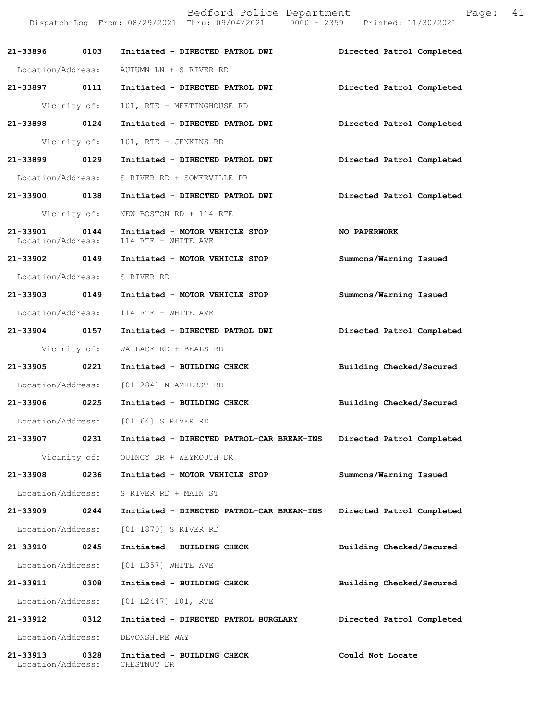|                               |              | Bedford Police Department<br>Dispatch Log From: 08/29/2021 Thru: 09/04/2021 0000 - 2359 Printed: 11/30/2021 | 41<br>Page:               |
|-------------------------------|--------------|-------------------------------------------------------------------------------------------------------------|---------------------------|
|                               |              | 21-33896 0103 Initiated - DIRECTED PATROL DWI                                                               | Directed Patrol Completed |
|                               |              | Location/Address: AUTUMN LN + S RIVER RD                                                                    |                           |
|                               |              | 21-33897 0111 Initiated - DIRECTED PATROL DWI                                                               | Directed Patrol Completed |
|                               | Vicinity of: | 101, RTE + MEETINGHOUSE RD                                                                                  |                           |
| 21-33898 0124                 |              | Initiated - DIRECTED PATROL DWI                                                                             | Directed Patrol Completed |
|                               | Vicinity of: | 101, RTE + JENKINS RD                                                                                       |                           |
| 21-33899 0129                 |              | Initiated - DIRECTED PATROL DWI                                                                             | Directed Patrol Completed |
|                               |              | Location/Address: S RIVER RD + SOMERVILLE DR                                                                |                           |
|                               |              | 21-33900 0138 Initiated - DIRECTED PATROL DWI                                                               | Directed Patrol Completed |
|                               |              | Vicinity of: NEW BOSTON RD + 114 RTE                                                                        |                           |
| Location/Address:             |              | 21-33901 0144 Initiated - MOTOR VEHICLE STOP<br>114 RTE + WHITE AVE                                         | <b>NO PAPERWORK</b>       |
|                               |              |                                                                                                             | Summons/Warning Issued    |
| Location/Address: S RIVER RD  |              |                                                                                                             |                           |
|                               |              | 21-33903 0149 Initiated - MOTOR VEHICLE STOP                                                                | Summons/Warning Issued    |
|                               |              | Location/Address: 114 RTE + WHITE AVE                                                                       |                           |
| 21-33904 0157                 |              | Initiated - DIRECTED PATROL DWI                                                                             | Directed Patrol Completed |
|                               | Vicinity of: | WALLACE RD + BEALS RD                                                                                       |                           |
| 21-33905 0221                 |              | Initiated - BUILDING CHECK                                                                                  | Building Checked/Secured  |
|                               |              | Location/Address: [01 284] N AMHERST RD                                                                     |                           |
| 21-33906 0225                 |              | Initiated - BUILDING CHECK                                                                                  | Building Checked/Secured  |
| Location/Address:             |              | [01 64] S RIVER RD                                                                                          |                           |
| 21-33907                      | 0231         | Initiated - DIRECTED PATROL-CAR BREAK-INS                                                                   | Directed Patrol Completed |
|                               | Vicinity of: | QUINCY DR + WEYMOUTH DR                                                                                     |                           |
| 21-33908                      | 0236         | Initiated - MOTOR VEHICLE STOP                                                                              | Summons/Warning Issued    |
| Location/Address:             |              | S RIVER RD + MAIN ST                                                                                        |                           |
| 21-33909                      | 0244         | Initiated - DIRECTED PATROL-CAR BREAK-INS                                                                   | Directed Patrol Completed |
| Location/Address:             |              | [01 1870] S RIVER RD                                                                                        |                           |
| 21-33910                      | 0245         | Initiated - BUILDING CHECK                                                                                  | Building Checked/Secured  |
| Location/Address:             |              | [01 L357] WHITE AVE                                                                                         |                           |
| 21-33911                      | 0308         | Initiated - BUILDING CHECK                                                                                  | Building Checked/Secured  |
| Location/Address:             |              | [01 L2447] 101, RTE                                                                                         |                           |
| 21-33912                      | 0312         | Initiated - DIRECTED PATROL BURGLARY                                                                        | Directed Patrol Completed |
| Location/Address:             |              | DEVONSHIRE WAY                                                                                              |                           |
| 21-33913<br>Location/Address: | 0328         | Initiated - BUILDING CHECK<br>CHESTNUT DR                                                                   | Could Not Locate          |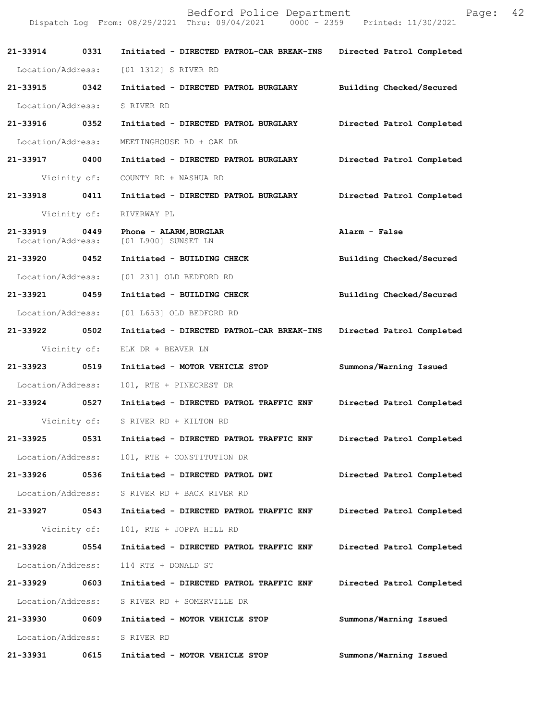|                               |              | Bedford Police Department<br>Dispatch Log From: 08/29/2021 Thru: 09/04/2021 0000 - 2359 | 42<br>Page:<br>Printed: 11/30/2021 |
|-------------------------------|--------------|-----------------------------------------------------------------------------------------|------------------------------------|
| 21-33914                      | 0331         | Initiated - DIRECTED PATROL-CAR BREAK-INS                                               | Directed Patrol Completed          |
| Location/Address:             |              | [01 1312] S RIVER RD                                                                    |                                    |
| 21-33915 0342                 |              | Initiated - DIRECTED PATROL BURGLARY                                                    | Building Checked/Secured           |
| Location/Address:             |              | S RIVER RD                                                                              |                                    |
| 21-33916                      | 0352         | Initiated - DIRECTED PATROL BURGLARY                                                    | Directed Patrol Completed          |
| Location/Address:             |              | MEETINGHOUSE RD + OAK DR                                                                |                                    |
| 21-33917                      | 0400         | Initiated - DIRECTED PATROL BURGLARY                                                    | Directed Patrol Completed          |
|                               | Vicinity of: | COUNTY RD + NASHUA RD                                                                   |                                    |
| 21-33918                      | 0411         | Initiated - DIRECTED PATROL BURGLARY                                                    | Directed Patrol Completed          |
|                               | Vicinity of: | RIVERWAY PL                                                                             |                                    |
| 21-33919<br>Location/Address: | 0449         | Phone - ALARM, BURGLAR<br>[01 L900] SUNSET LN                                           | Alarm - False                      |
| 21-33920                      | 0452         | Initiated - BUILDING CHECK                                                              | Building Checked/Secured           |
| Location/Address:             |              | [01 231] OLD BEDFORD RD                                                                 |                                    |
| 21-33921 0459                 |              | Initiated - BUILDING CHECK                                                              | Building Checked/Secured           |
| Location/Address:             |              | [01 L653] OLD BEDFORD RD                                                                |                                    |
| 21-33922                      | 0502         | Initiated - DIRECTED PATROL-CAR BREAK-INS                                               | Directed Patrol Completed          |
|                               | Vicinity of: | ELK DR + BEAVER LN                                                                      |                                    |
| 21-33923                      | 0519         | Initiated - MOTOR VEHICLE STOP                                                          | Summons/Warning Issued             |
| Location/Address:             |              | 101, RTE + PINECREST DR                                                                 |                                    |
| $21 - 33924$                  | 0527         | Initiated - DIRECTED PATROL TRAFFIC ENF                                                 | Directed Patrol Completed          |
|                               | Vicinity of: | S RIVER RD + KILTON RD                                                                  |                                    |
| 21-33925                      | 0531         | Initiated - DIRECTED PATROL TRAFFIC ENF                                                 | Directed Patrol Completed          |
| Location/Address:             |              | 101, RTE + CONSTITUTION DR                                                              |                                    |
| 21-33926                      | 0536         | Initiated - DIRECTED PATROL DWI                                                         | Directed Patrol Completed          |
| Location/Address:             |              | S RIVER RD + BACK RIVER RD                                                              |                                    |
| 21-33927                      | 0543         | Initiated - DIRECTED PATROL TRAFFIC ENF                                                 | Directed Patrol Completed          |
|                               | Vicinity of: | 101, RTE + JOPPA HILL RD                                                                |                                    |
| 21-33928                      | 0554         | Initiated - DIRECTED PATROL TRAFFIC ENF                                                 | Directed Patrol Completed          |
| Location/Address:             |              | 114 RTE + DONALD ST                                                                     |                                    |
| 21-33929                      | 0603         | Initiated - DIRECTED PATROL TRAFFIC ENF                                                 | Directed Patrol Completed          |
| Location/Address:             |              | S RIVER RD + SOMERVILLE DR                                                              |                                    |
| 21-33930                      | 0609         | Initiated - MOTOR VEHICLE STOP                                                          | Summons/Warning Issued             |
| Location/Address:             |              | S RIVER RD                                                                              |                                    |
| 21-33931                      | 0615         | Initiated - MOTOR VEHICLE STOP                                                          | Summons/Warning Issued             |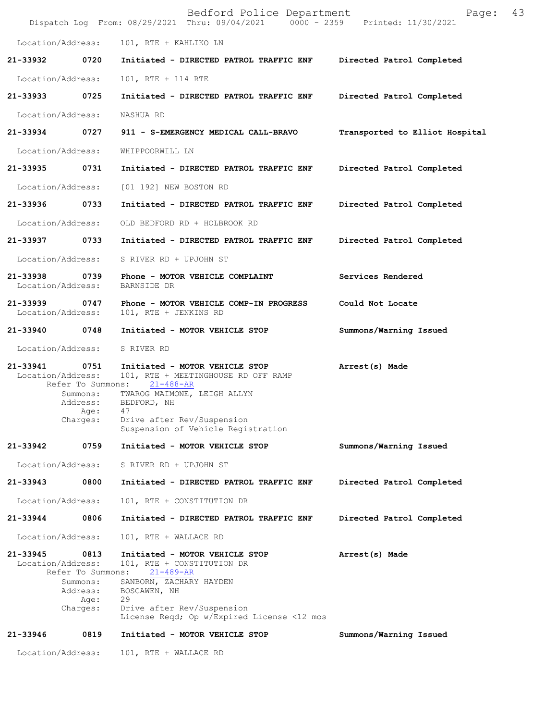|                               |                                                                                            | Bedford Police Department<br>Dispatch Log From: 08/29/2021 Thru: 09/04/2021 0000 - 2359 Printed: 11/30/2021                                                                                                      | Page:                          | 43 |
|-------------------------------|--------------------------------------------------------------------------------------------|------------------------------------------------------------------------------------------------------------------------------------------------------------------------------------------------------------------|--------------------------------|----|
|                               | Location/Address:                                                                          | 101, RTE + KAHLIKO LN                                                                                                                                                                                            |                                |    |
| 21-33932                      | 0720                                                                                       | Initiated - DIRECTED PATROL TRAFFIC ENF                                                                                                                                                                          | Directed Patrol Completed      |    |
|                               | Location/Address:                                                                          | 101, RTE + 114 RTE                                                                                                                                                                                               |                                |    |
| 21-33933                      | 0725                                                                                       | Initiated - DIRECTED PATROL TRAFFIC ENF                                                                                                                                                                          | Directed Patrol Completed      |    |
|                               | Location/Address:                                                                          | NASHUA RD                                                                                                                                                                                                        |                                |    |
| 21-33934                      | 0727                                                                                       | 911 - S-EMERGENCY MEDICAL CALL-BRAVO                                                                                                                                                                             | Transported to Elliot Hospital |    |
|                               | Location/Address:                                                                          | WHIPPOORWILL LN                                                                                                                                                                                                  |                                |    |
| 21-33935                      | 0731                                                                                       | Initiated - DIRECTED PATROL TRAFFIC ENF                                                                                                                                                                          | Directed Patrol Completed      |    |
|                               | Location/Address:                                                                          | [01 192] NEW BOSTON RD                                                                                                                                                                                           |                                |    |
| 21-33936                      | 0733                                                                                       | Initiated - DIRECTED PATROL TRAFFIC ENF                                                                                                                                                                          | Directed Patrol Completed      |    |
|                               | Location/Address:                                                                          | OLD BEDFORD RD + HOLBROOK RD                                                                                                                                                                                     |                                |    |
| 21-33937 0733                 |                                                                                            | Initiated - DIRECTED PATROL TRAFFIC ENF                                                                                                                                                                          | Directed Patrol Completed      |    |
|                               | Location/Address:                                                                          | S RIVER RD + UPJOHN ST                                                                                                                                                                                           |                                |    |
| 21-33938                      | 0739<br>Location/Address:                                                                  | Phone - MOTOR VEHICLE COMPLAINT<br>BARNSIDE DR                                                                                                                                                                   | Services Rendered              |    |
| 21-33939<br>Location/Address: | 0747                                                                                       | Phone - MOTOR VEHICLE COMP-IN PROGRESS<br>101, RTE + JENKINS RD                                                                                                                                                  | Could Not Locate               |    |
| 21-33940 0748                 |                                                                                            | Initiated - MOTOR VEHICLE STOP                                                                                                                                                                                   | Summons/Warning Issued         |    |
|                               | Location/Address:                                                                          | S RIVER RD                                                                                                                                                                                                       |                                |    |
| 21-33941                      | 0751<br>Location/Address:<br>Refer To Summons:<br>Summons:<br>Address:<br>Aqe:<br>Charges: | Initiated - MOTOR VEHICLE STOP<br>101, RTE + MEETINGHOUSE RD OFF RAMP<br>$21 - 488 - AR$<br>TWAROG MAIMONE, LEIGH ALLYN<br>BEDFORD, NH<br>47<br>Drive after Rev/Suspension<br>Suspension of Vehicle Registration | Arrest(s) Made                 |    |
| 21-33942                      | 0759                                                                                       | Initiated - MOTOR VEHICLE STOP                                                                                                                                                                                   | Summons/Warning Issued         |    |
|                               | Location/Address:                                                                          | S RIVER RD + UPJOHN ST                                                                                                                                                                                           |                                |    |
| 21-33943                      | 0800                                                                                       | Initiated - DIRECTED PATROL TRAFFIC ENF                                                                                                                                                                          | Directed Patrol Completed      |    |
|                               | Location/Address:                                                                          | 101, RTE + CONSTITUTION DR                                                                                                                                                                                       |                                |    |
| 21-33944                      | 0806                                                                                       | Initiated - DIRECTED PATROL TRAFFIC ENF                                                                                                                                                                          | Directed Patrol Completed      |    |
|                               | Location/Address:                                                                          | 101, RTE + WALLACE RD                                                                                                                                                                                            |                                |    |
| 21-33945                      | 0813<br>Location/Address:<br>Refer To Summons:<br>Summons:<br>Address:<br>Age:<br>Charges: | Initiated - MOTOR VEHICLE STOP<br>101, RTE + CONSTITUTION DR<br>$21 - 489 - AR$<br>SANBORN, ZACHARY HAYDEN<br>BOSCAWEN, NH<br>29<br>Drive after Rev/Suspension<br>License Reqd; Op w/Expired License <12 mos     | Arrest(s) Made                 |    |
| 21-33946                      | 0819                                                                                       | Initiated - MOTOR VEHICLE STOP                                                                                                                                                                                   | Summons/Warning Issued         |    |
|                               | Location/Address:                                                                          | 101, RTE + WALLACE RD                                                                                                                                                                                            |                                |    |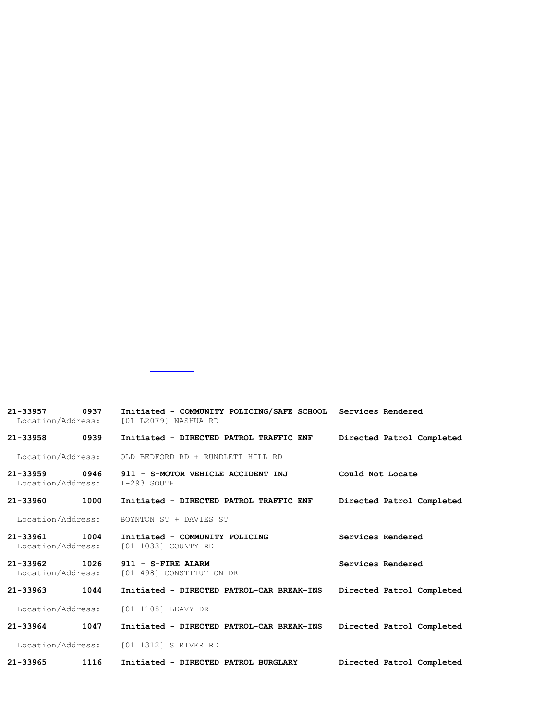| $21 - 33957$<br>0937<br>Location/Address: | Initiated - COMMUNITY POLICING/SAFE SCHOOL<br>[01 L2079] NASHUA RD | Services Rendered         |
|-------------------------------------------|--------------------------------------------------------------------|---------------------------|
| 0939<br>$21 - 33958$                      | Initiated - DIRECTED PATROL TRAFFIC ENF                            | Directed Patrol Completed |
| Location/Address:                         | OLD BEDFORD RD + RUNDLETT HILL RD                                  |                           |
| 21-33959<br>0946<br>Location/Address:     | 911 - S-MOTOR VEHICLE ACCIDENT INJ<br>I-293 SOUTH                  | Could Not Locate          |
| 1000<br>$21 - 33960$                      | Initiated - DIRECTED PATROL TRAFFIC ENF                            | Directed Patrol Completed |
| Location/Address:                         | BOYNTON ST + DAVIES ST                                             |                           |
| 21-33961<br>1004<br>Location/Address:     | Initiated - COMMUNITY POLICING<br>[01 1033] COUNTY RD              | Services Rendered         |
| $21 - 33962$<br>1026<br>Location/Address: | 911 - S-FIRE ALARM<br>[01 498] CONSTITUTION DR                     | Services Rendered         |
| $21 - 33963$<br>1044                      | Initiated - DIRECTED PATROL-CAR BREAK-INS                          | Directed Patrol Completed |
| Location/Address:                         | [01 1108] LEAVY DR                                                 |                           |
| 1047<br>21-33964                          | Initiated - DIRECTED PATROL-CAR BREAK-INS                          | Directed Patrol Completed |
| Location/Address:                         | [01 1312] S RIVER RD                                               |                           |
| 21-33965<br>1116                          | Initiated - DIRECTED PATROL BURGLARY                               | Directed Patrol Completed |

Refer To Summons: 21-490-AR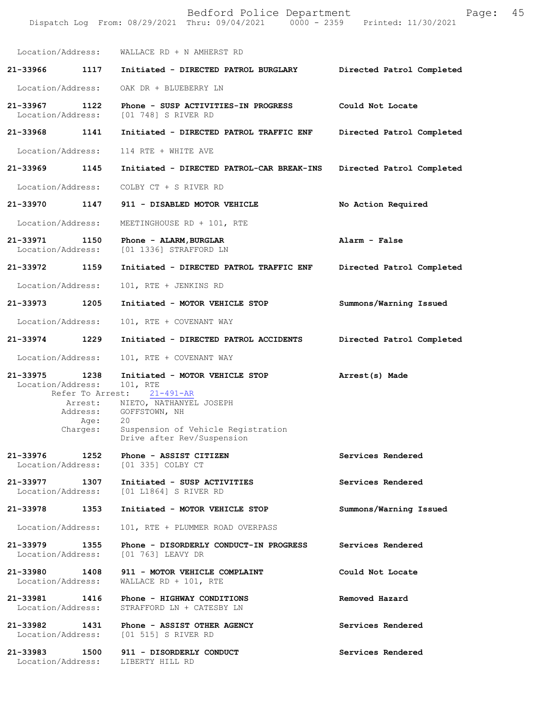|                                    |                                              | Bedford Police Department<br>Dispatch Log From: 08/29/2021 Thru: 09/04/2021 0000 - 2359 Printed: 11/30/2021                                                                                          | Page:                     | 45 |
|------------------------------------|----------------------------------------------|------------------------------------------------------------------------------------------------------------------------------------------------------------------------------------------------------|---------------------------|----|
|                                    |                                              | Location/Address: WALLACE RD + N AMHERST RD                                                                                                                                                          |                           |    |
|                                    |                                              | 21-33966 1117 Initiated - DIRECTED PATROL BURGLARY                                                                                                                                                   | Directed Patrol Completed |    |
| Location/Address:                  |                                              | OAK DR + BLUEBERRY LN                                                                                                                                                                                |                           |    |
| 21-33967<br>Location/Address:      | 1122                                         | Phone - SUSP ACTIVITIES-IN PROGRESS<br>[01 748] S RIVER RD                                                                                                                                           | Could Not Locate          |    |
| 21-33968 1141                      |                                              | Initiated - DIRECTED PATROL TRAFFIC ENF                                                                                                                                                              | Directed Patrol Completed |    |
| Location/Address:                  |                                              | 114 RTE + WHITE AVE                                                                                                                                                                                  |                           |    |
| 21-33969                           | 1145                                         | Initiated - DIRECTED PATROL-CAR BREAK-INS                                                                                                                                                            | Directed Patrol Completed |    |
| Location/Address:                  |                                              | COLBY CT + S RIVER RD                                                                                                                                                                                |                           |    |
| 21-33970 1147                      |                                              | 911 - DISABLED MOTOR VEHICLE                                                                                                                                                                         | No Action Required        |    |
| Location/Address:                  |                                              | MEETINGHOUSE RD + 101, RTE                                                                                                                                                                           |                           |    |
| 21-33971<br>Location/Address:      | 1150                                         | Phone - ALARM, BURGLAR<br>[01 1336] STRAFFORD LN                                                                                                                                                     | Alarm - False             |    |
| 21-33972 1159                      |                                              | Initiated - DIRECTED PATROL TRAFFIC ENF                                                                                                                                                              | Directed Patrol Completed |    |
| Location/Address:                  |                                              | 101, RTE + JENKINS RD                                                                                                                                                                                |                           |    |
| 21-33973 1205                      |                                              | Initiated - MOTOR VEHICLE STOP                                                                                                                                                                       | Summons/Warning Issued    |    |
| Location/Address:                  |                                              | 101, RTE + COVENANT WAY                                                                                                                                                                              |                           |    |
| 21-33974 1229                      |                                              | Initiated - DIRECTED PATROL ACCIDENTS                                                                                                                                                                | Directed Patrol Completed |    |
| Location/Address:                  |                                              | 101, RTE + COVENANT WAY                                                                                                                                                                              |                           |    |
| 21-33975<br>Location/Address:      | 1238<br>Refer To Arrest:<br>Age:<br>Charges: | Initiated - MOTOR VEHICLE STOP<br>101, RTE<br>$21 - 491 - AR$<br>Arrest: NIETO, NATHANYEL JOSEPH<br>Address: GOFFSTOWN, NH<br>20<br>Suspension of Vehicle Registration<br>Drive after Rev/Suspension | Arrest(s) Made            |    |
| 21-33976<br>Location/Address:      | 1252                                         | Phone - ASSIST CITIZEN<br>[01 335] COLBY CT                                                                                                                                                          | Services Rendered         |    |
| 21-33977<br>Location/Address:      | 1307                                         | Initiated - SUSP ACTIVITIES<br>[01 L1864] S RIVER RD                                                                                                                                                 | Services Rendered         |    |
| 21-33978                           | 1353                                         | Initiated - MOTOR VEHICLE STOP                                                                                                                                                                       | Summons/Warning Issued    |    |
| Location/Address:                  |                                              | 101, RTE + PLUMMER ROAD OVERPASS                                                                                                                                                                     |                           |    |
| 21-33979<br>Location/Address:      | 1355                                         | Phone - DISORDERLY CONDUCT-IN PROGRESS<br>[01 763] LEAVY DR                                                                                                                                          | Services Rendered         |    |
| 21-33980<br>Location/Address:      | 1408                                         | 911 - MOTOR VEHICLE COMPLAINT<br>WALLACE RD + $101$ , RTE                                                                                                                                            | Could Not Locate          |    |
| 21-33981<br>Location/Address:      | 1416                                         | Phone - HIGHWAY CONDITIONS<br>STRAFFORD LN + CATESBY LN                                                                                                                                              | Removed Hazard            |    |
| 21-33982 1431<br>Location/Address: |                                              | Phone - ASSIST OTHER AGENCY<br>[01 515] S RIVER RD                                                                                                                                                   | Services Rendered         |    |
| 21-33983<br>Location/Address:      | 1500                                         | 911 - DISORDERLY CONDUCT<br>LIBERTY HILL RD                                                                                                                                                          | Services Rendered         |    |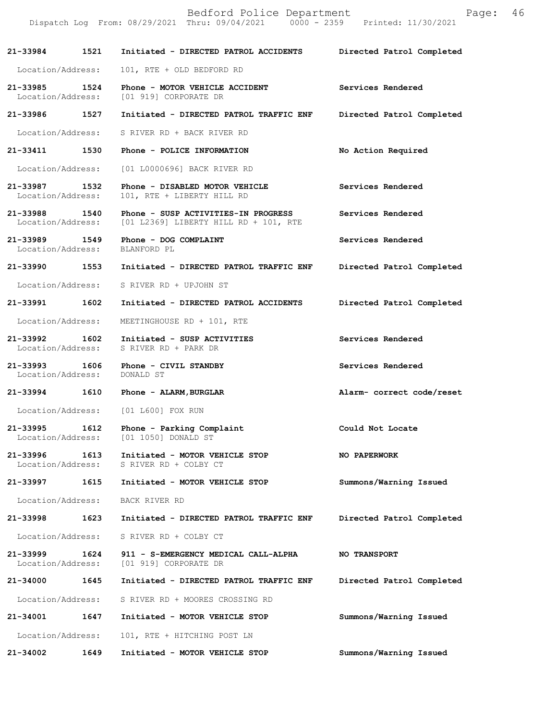|                               |      | Bedford Police Department<br>Dispatch Log From: 08/29/2021 Thru: 09/04/2021 0000 - 2359 Printed: 11/30/2021 | 46<br>Page:               |
|-------------------------------|------|-------------------------------------------------------------------------------------------------------------|---------------------------|
| 21-33984                      | 1521 | Initiated - DIRECTED PATROL ACCIDENTS                                                                       | Directed Patrol Completed |
| Location/Address:             |      | 101, RTE + OLD BEDFORD RD                                                                                   |                           |
| 21-33985<br>Location/Address: | 1524 | Phone - MOTOR VEHICLE ACCIDENT<br>[01 919] CORPORATE DR                                                     | Services Rendered         |
| 21-33986                      | 1527 | Initiated - DIRECTED PATROL TRAFFIC ENF                                                                     | Directed Patrol Completed |
| Location/Address:             |      | S RIVER RD + BACK RIVER RD                                                                                  |                           |
| 21-33411                      | 1530 | Phone - POLICE INFORMATION                                                                                  | No Action Required        |
| Location/Address:             |      | [01 L0000696] BACK RIVER RD                                                                                 |                           |
| 21-33987<br>Location/Address: | 1532 | Phone - DISABLED MOTOR VEHICLE<br>101, RTE + LIBERTY HILL RD                                                | Services Rendered         |
| 21-33988<br>Location/Address: | 1540 | Phone - SUSP ACTIVITIES-IN PROGRESS<br>$[01 L2369]$ LIBERTY HILL RD + 101, RTE                              | Services Rendered         |
| 21-33989<br>Location/Address: | 1549 | Phone - DOG COMPLAINT<br>BLANFORD PL                                                                        | Services Rendered         |
| 21-33990 1553                 |      | Initiated - DIRECTED PATROL TRAFFIC ENF                                                                     | Directed Patrol Completed |
| Location/Address:             |      | S RIVER RD + UPJOHN ST                                                                                      |                           |
| 21-33991                      | 1602 | Initiated - DIRECTED PATROL ACCIDENTS                                                                       | Directed Patrol Completed |
| Location/Address:             |      | MEETINGHOUSE RD + 101, RTE                                                                                  |                           |
| 21-33992<br>Location/Address: | 1602 | Initiated - SUSP ACTIVITIES<br>S RIVER RD + PARK DR                                                         | Services Rendered         |
| 21-33993<br>Location/Address: | 1606 | Phone - CIVIL STANDBY<br>DONALD ST                                                                          | Services Rendered         |
| 21-33994                      | 1610 | Phone - ALARM, BURGLAR                                                                                      | Alarm- correct code/reset |
| Location/Address:             |      | [01 L600] FOX RUN                                                                                           |                           |
| 21-33995<br>Location/Address: | 1612 | Phone - Parking Complaint<br>[01 1050] DONALD ST                                                            | Could Not Locate          |
| 21-33996<br>Location/Address: | 1613 | Initiated - MOTOR VEHICLE STOP<br>S RIVER RD + COLBY CT                                                     | NO PAPERWORK              |
| 21-33997                      | 1615 | Initiated - MOTOR VEHICLE STOP                                                                              | Summons/Warning Issued    |
| Location/Address:             |      | BACK RIVER RD                                                                                               |                           |
| 21-33998                      | 1623 | Initiated - DIRECTED PATROL TRAFFIC ENF                                                                     | Directed Patrol Completed |
| Location/Address:             |      | S RIVER RD + COLBY CT                                                                                       |                           |
| 21-33999<br>Location/Address: | 1624 | 911 - S-EMERGENCY MEDICAL CALL-ALPHA<br>[01 919] CORPORATE DR                                               | <b>NO TRANSPORT</b>       |
| 21-34000                      | 1645 | Initiated - DIRECTED PATROL TRAFFIC ENF                                                                     | Directed Patrol Completed |
| Location/Address:             |      | S RIVER RD + MOORES CROSSING RD                                                                             |                           |
| 21-34001                      | 1647 | Initiated - MOTOR VEHICLE STOP                                                                              | Summons/Warning Issued    |
| Location/Address:             |      | 101, RTE + HITCHING POST LN                                                                                 |                           |
| 21-34002                      | 1649 | Initiated - MOTOR VEHICLE STOP                                                                              | Summons/Warning Issued    |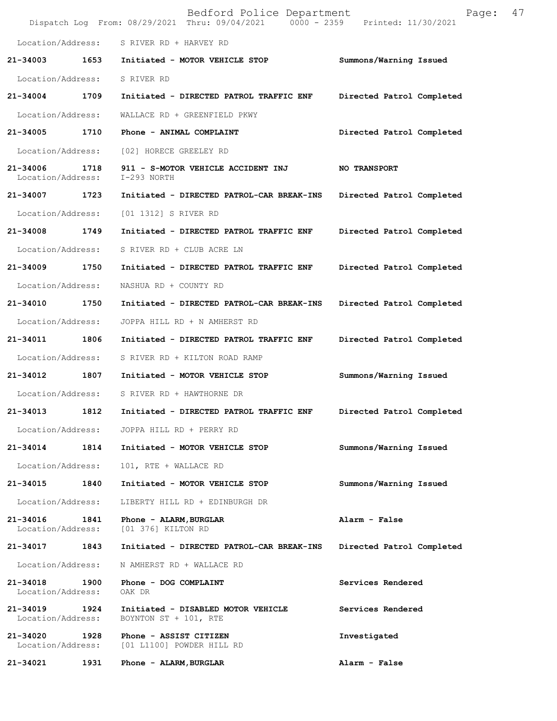|                                    |      | Bedford Police Department<br>Dispatch Log From: 08/29/2021 Thru: 09/04/2021   0000 - 2359   Printed: 11/30/2021 | 47<br>Page:               |
|------------------------------------|------|-----------------------------------------------------------------------------------------------------------------|---------------------------|
|                                    |      | Location/Address: S RIVER RD + HARVEY RD                                                                        |                           |
|                                    |      | 21-34003 1653 Initiated - MOTOR VEHICLE STOP                                                                    | Summons/Warning Issued    |
| Location/Address:                  |      | S RIVER RD                                                                                                      |                           |
| 21-34004 1709                      |      | Initiated - DIRECTED PATROL TRAFFIC ENF                                                                         | Directed Patrol Completed |
| Location/Address:                  |      | WALLACE RD + GREENFIELD PKWY                                                                                    |                           |
| 21-34005                           | 1710 | Phone - ANIMAL COMPLAINT                                                                                        | Directed Patrol Completed |
| Location/Address:                  |      | [02] HORECE GREELEY RD                                                                                          |                           |
| 21-34006<br>Location/Address:      | 1718 | 911 - S-MOTOR VEHICLE ACCIDENT INJ<br>I-293 NORTH                                                               | NO TRANSPORT              |
| 21-34007 1723                      |      | Initiated - DIRECTED PATROL-CAR BREAK-INS                                                                       | Directed Patrol Completed |
| Location/Address:                  |      | [01 1312] S RIVER RD                                                                                            |                           |
| 21-34008 1749                      |      | Initiated - DIRECTED PATROL TRAFFIC ENF                                                                         | Directed Patrol Completed |
| Location/Address:                  |      | S RIVER RD + CLUB ACRE LN                                                                                       |                           |
| 21-34009                           | 1750 | Initiated - DIRECTED PATROL TRAFFIC ENF                                                                         | Directed Patrol Completed |
| Location/Address:                  |      | NASHUA RD + COUNTY RD                                                                                           |                           |
| 21-34010 1750                      |      | Initiated - DIRECTED PATROL-CAR BREAK-INS                                                                       | Directed Patrol Completed |
| Location/Address:                  |      | JOPPA HILL RD + N AMHERST RD                                                                                    |                           |
| 21-34011 1806                      |      | Initiated - DIRECTED PATROL TRAFFIC ENF                                                                         | Directed Patrol Completed |
| Location/Address:                  |      | S RIVER RD + KILTON ROAD RAMP                                                                                   |                           |
| 21-34012                           | 1807 | Initiated - MOTOR VEHICLE STOP                                                                                  | Summons/Warning Issued    |
|                                    |      | Location/Address: S RIVER RD + HAWTHORNE DR                                                                     |                           |
|                                    |      | 21-34013 1812 Initiated - DIRECTED PATROL TRAFFIC ENF Directed Patrol Completed                                 |                           |
|                                    |      | Location/Address: JOPPA HILL RD + PERRY RD                                                                      |                           |
|                                    |      | 21-34014 1814 Initiated - MOTOR VEHICLE STOP                                                                    | Summons/Warning Issued    |
| Location/Address:                  |      | 101, RTE + WALLACE RD                                                                                           |                           |
|                                    |      | 21-34015 1840 Initiated - MOTOR VEHICLE STOP                                                                    | Summons/Warning Issued    |
| Location/Address:                  |      | LIBERTY HILL RD + EDINBURGH DR                                                                                  |                           |
| 21-34016 1841                      |      | Phone - ALARM, BURGLAR<br>Location/Address: [01 376] KILTON RD                                                  | Alarm - False             |
| 21-34017 1843                      |      | Initiated - DIRECTED PATROL-CAR BREAK-INS                                                                       | Directed Patrol Completed |
| Location/Address:                  |      | N AMHERST RD + WALLACE RD                                                                                       |                           |
| 21-34018 1900<br>Location/Address: |      | Phone - DOG COMPLAINT<br>OAK DR                                                                                 | Services Rendered         |
| 21-34019 1924<br>Location/Address: |      | Initiated - DISABLED MOTOR VEHICLE<br>BOYNTON ST + 101, RTE                                                     | Services Rendered         |
| 21-34020 1928<br>Location/Address: |      | Phone - ASSIST CITIZEN<br>[01 L1100] POWDER HILL RD                                                             | Investigated              |
| 21-34021                           | 1931 | Phone - ALARM, BURGLAR                                                                                          | Alarm - False             |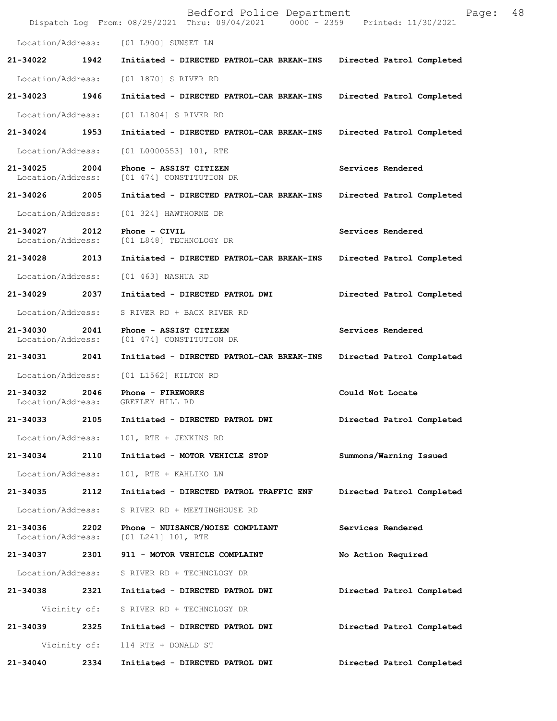|                               |      | Bedford Police Department<br>Dispatch Log From: 08/29/2021 Thru: 09/04/2021 0000 - 2359 Printed: 11/30/2021 | Page:                     | 48 |
|-------------------------------|------|-------------------------------------------------------------------------------------------------------------|---------------------------|----|
| Location/Address:             |      | [01 L900] SUNSET LN                                                                                         |                           |    |
| 21-34022                      | 1942 | Initiated - DIRECTED PATROL-CAR BREAK-INS                                                                   | Directed Patrol Completed |    |
| Location/Address:             |      | [01 1870] S RIVER RD                                                                                        |                           |    |
| 21-34023                      | 1946 | Initiated - DIRECTED PATROL-CAR BREAK-INS                                                                   | Directed Patrol Completed |    |
| Location/Address:             |      | [01 L1804] S RIVER RD                                                                                       |                           |    |
| 21-34024 1953                 |      | Initiated - DIRECTED PATROL-CAR BREAK-INS                                                                   | Directed Patrol Completed |    |
| Location/Address:             |      | $[01 L0000553] 101$ , RTE                                                                                   |                           |    |
| 21-34025<br>Location/Address: | 2004 | Phone - ASSIST CITIZEN<br>[01 474] CONSTITUTION DR                                                          | Services Rendered         |    |
| 21-34026 2005                 |      | Initiated - DIRECTED PATROL-CAR BREAK-INS                                                                   | Directed Patrol Completed |    |
| Location/Address:             |      | [01 324] HAWTHORNE DR                                                                                       |                           |    |
| 21-34027<br>Location/Address: | 2012 | Phone - CIVIL<br>[01 L848] TECHNOLOGY DR                                                                    | Services Rendered         |    |
| 21-34028 2013                 |      | Initiated - DIRECTED PATROL-CAR BREAK-INS                                                                   | Directed Patrol Completed |    |
| Location/Address:             |      | [01 463] NASHUA RD                                                                                          |                           |    |
| 21-34029 2037                 |      | Initiated - DIRECTED PATROL DWI                                                                             | Directed Patrol Completed |    |
| Location/Address:             |      | S RIVER RD + BACK RIVER RD                                                                                  |                           |    |
| 21-34030<br>Location/Address: | 2041 | Phone - ASSIST CITIZEN<br>[01 474] CONSTITUTION DR                                                          | Services Rendered         |    |
| 21-34031 2041                 |      | Initiated - DIRECTED PATROL-CAR BREAK-INS                                                                   | Directed Patrol Completed |    |
| Location/Address:             |      | [01 L1562] KILTON RD                                                                                        |                           |    |
| 21-34032<br>Location/Address: | 2046 | Phone - FIREWORKS<br>GREELEY HILL RD                                                                        | Could Not Locate          |    |
| 21-34033                      | 2105 | Initiated - DIRECTED PATROL DWI                                                                             | Directed Patrol Completed |    |
| Location/Address:             |      | 101, RTE + JENKINS RD                                                                                       |                           |    |
| 21-34034                      | 2110 | Initiated - MOTOR VEHICLE STOP                                                                              | Summons/Warning Issued    |    |
| Location/Address:             |      | 101, RTE + KAHLIKO LN                                                                                       |                           |    |
| 21-34035                      | 2112 | Initiated - DIRECTED PATROL TRAFFIC ENF                                                                     | Directed Patrol Completed |    |
| Location/Address:             |      | S RIVER RD + MEETINGHOUSE RD                                                                                |                           |    |
| 21-34036<br>Location/Address: | 2202 | Phone - NUISANCE/NOISE COMPLIANT<br>$[01 L241] 101$ , RTE                                                   | Services Rendered         |    |
| 21-34037                      | 2301 | 911 - MOTOR VEHICLE COMPLAINT                                                                               | No Action Required        |    |
| Location/Address:             |      | S RIVER RD + TECHNOLOGY DR                                                                                  |                           |    |
| 21-34038                      | 2321 | Initiated - DIRECTED PATROL DWI                                                                             | Directed Patrol Completed |    |
| Vicinity of:                  |      | S RIVER RD + TECHNOLOGY DR                                                                                  |                           |    |
| 21-34039                      | 2325 | Initiated - DIRECTED PATROL DWI                                                                             | Directed Patrol Completed |    |
| Vicinity of:                  |      | 114 RTE + DONALD ST                                                                                         |                           |    |
| 21-34040                      | 2334 | Initiated - DIRECTED PATROL DWI                                                                             | Directed Patrol Completed |    |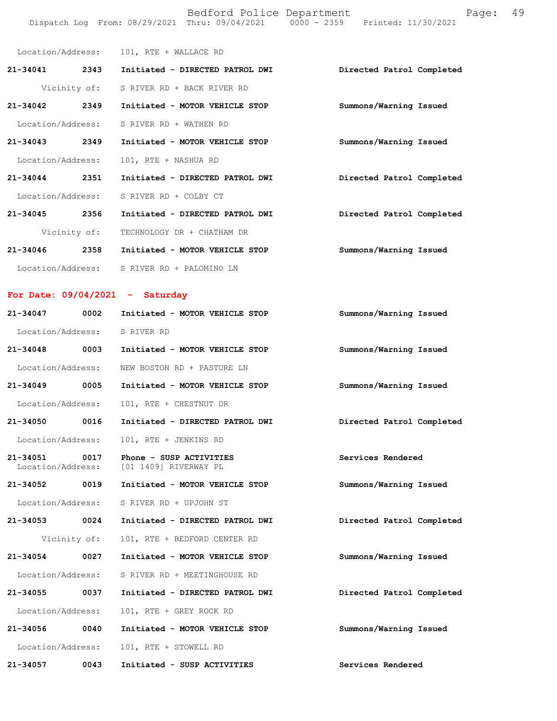Bedford Police Department Fage: 49 Dispatch Log From: 08/29/2021 Thru: 09/04/2021 0000 - 2359 Printed: 11/30/2021

| Location/Address: |              | 101, RTE + WALLACE RD           |                           |
|-------------------|--------------|---------------------------------|---------------------------|
| $21 - 34041$      | 2343         | Initiated - DIRECTED PATROL DWI | Directed Patrol Completed |
|                   | Vicinity of: | S RIVER RD + BACK RIVER RD      |                           |
| $21 - 34042$      | 2349         | Initiated - MOTOR VEHICLE STOP  | Summons/Warning Issued    |
| Location/Address: |              | S RIVER RD + WATHEN RD          |                           |
| $21 - 34043$      | 2349         | Initiated - MOTOR VEHICLE STOP  | Summons/Warning Issued    |
| Location/Address: |              | 101, RTE + NASHUA RD            |                           |
| $21 - 34044$      | 2351         | Initiated - DIRECTED PATROL DWI | Directed Patrol Completed |
| Location/Address: |              | S RIVER RD + COLBY CT           |                           |
| $21 - 34045$      | 2356         | Initiated - DIRECTED PATROL DWI | Directed Patrol Completed |
|                   | Vicinity of: | TECHNOLOGY DR + CHATHAM DR      |                           |
| $21 - 34046$      | 2358         | Initiated - MOTOR VEHICLE STOP  | Summons/Warning Issued    |
| Location/Address: |              | S RIVER RD + PALOMINO LN        |                           |

## **For Date: 09/04/2021 - Saturday**

| 21-34047 0002                      |              | Initiated - MOTOR VEHICLE STOP                   | Summons/Warning Issued    |
|------------------------------------|--------------|--------------------------------------------------|---------------------------|
| Location/Address:                  |              | S RIVER RD                                       |                           |
| 21-34048 0003                      |              | Initiated - MOTOR VEHICLE STOP                   | Summons/Warning Issued    |
| Location/Address:                  |              | NEW BOSTON RD + PASTURE LN                       |                           |
| 21-34049 0005                      |              | Initiated - MOTOR VEHICLE STOP                   | Summons/Warning Issued    |
| Location/Address:                  |              | 101, RTE + CHESTNUT DR                           |                           |
| 21-34050 0016                      |              | Initiated - DIRECTED PATROL DWI                  | Directed Patrol Completed |
| Location/Address:                  |              | 101, RTE + JENKINS RD                            |                           |
| 21-34051 0017<br>Location/Address: |              | Phone - SUSP ACTIVITIES<br>[01 1409] RIVERWAY PL | Services Rendered         |
| 21-34052 0019                      |              | Initiated - MOTOR VEHICLE STOP                   | Summons/Warning Issued    |
| Location/Address:                  |              | S RIVER RD + UPJOHN ST                           |                           |
| 21-34053 0024                      |              | Initiated - DIRECTED PATROL DWI                  | Directed Patrol Completed |
|                                    | Vicinity of: | 101, RTE + BEDFORD CENTER RD                     |                           |
| 21-34054 0027                      |              | Initiated - MOTOR VEHICLE STOP                   | Summons/Warning Issued    |
| Location/Address:                  |              | S RIVER RD + MEETINGHOUSE RD                     |                           |
| 21-34055 0037                      |              | Initiated - DIRECTED PATROL DWI                  | Directed Patrol Completed |
| Location/Address:                  |              | 101, RTE + GREY ROCK RD                          |                           |
| 21-34056 0040                      |              | Initiated - MOTOR VEHICLE STOP                   | Summons/Warning Issued    |
| Location/Address:                  |              | 101, RTE + STOWELL RD                            |                           |
| 21-34057                           | 0043         | Initiated - SUSP ACTIVITIES                      | Services Rendered         |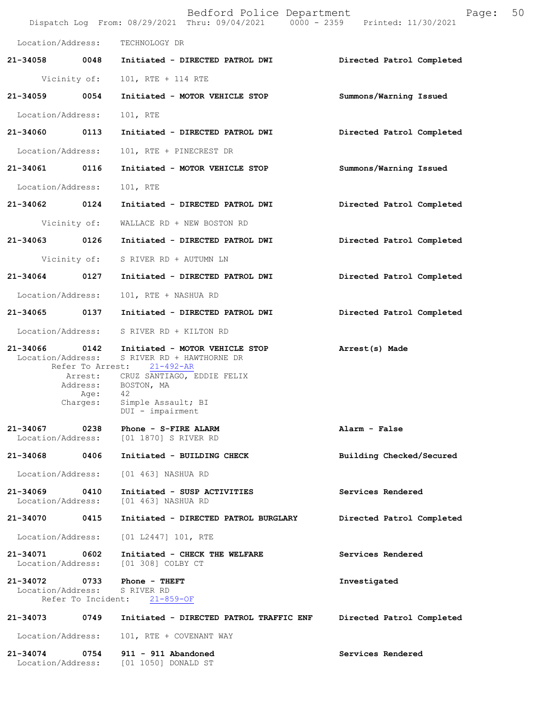|                                    |                                      | Bedford Police Department<br>Dispatch Log From: 08/29/2021 Thru: 09/04/2021   0000 - 2359   Printed: 11/30/2021                                                                             | 50<br>Page:               |
|------------------------------------|--------------------------------------|---------------------------------------------------------------------------------------------------------------------------------------------------------------------------------------------|---------------------------|
| Location/Address:                  |                                      | TECHNOLOGY DR                                                                                                                                                                               |                           |
|                                    |                                      | 21-34058 0048 Initiated - DIRECTED PATROL DWI                                                                                                                                               | Directed Patrol Completed |
|                                    | Vicinity of:                         | 101, RTE + 114 RTE                                                                                                                                                                          |                           |
| 21-34059 0054                      |                                      | Initiated - MOTOR VEHICLE STOP                                                                                                                                                              | Summons/Warning Issued    |
| Location/Address:                  |                                      | 101, RTE                                                                                                                                                                                    |                           |
| 21-34060 0113                      |                                      | Initiated - DIRECTED PATROL DWI                                                                                                                                                             | Directed Patrol Completed |
| Location/Address:                  |                                      | 101, RTE + PINECREST DR                                                                                                                                                                     |                           |
| 21-34061                           | 0116                                 | Initiated - MOTOR VEHICLE STOP                                                                                                                                                              | Summons/Warning Issued    |
| Location/Address:                  |                                      | 101, RTE                                                                                                                                                                                    |                           |
| 21-34062 0124                      |                                      | Initiated - DIRECTED PATROL DWI                                                                                                                                                             | Directed Patrol Completed |
|                                    | Vicinity of:                         | WALLACE RD + NEW BOSTON RD                                                                                                                                                                  |                           |
| 21-34063 0126                      |                                      | Initiated - DIRECTED PATROL DWI                                                                                                                                                             | Directed Patrol Completed |
|                                    |                                      | Vicinity of: S RIVER RD + AUTUMN LN                                                                                                                                                         |                           |
| 21-34064 0127                      |                                      | Initiated - DIRECTED PATROL DWI                                                                                                                                                             | Directed Patrol Completed |
| Location/Address:                  |                                      | 101, RTE + NASHUA RD                                                                                                                                                                        |                           |
| 21-34065 0137                      |                                      | Initiated - DIRECTED PATROL DWI                                                                                                                                                             | Directed Patrol Completed |
| Location/Address:                  |                                      | S RIVER RD + KILTON RD                                                                                                                                                                      |                           |
| 21-34066 0142<br>Location/Address: | Refer To Arrest:<br>Age:<br>Charges: | Initiated - MOTOR VEHICLE STOP<br>S RIVER RD + HAWTHORNE DR<br>$21 - 492 - AR$<br>Arrest: CRUZ SANTIAGO, EDDIE FELIX<br>Address: BOSTON, MA<br>42<br>Simple Assault; BI<br>DUI - impairment | Arrest(s) Made            |
| 21-34067<br>Location/Address:      | 0238                                 | Phone - S-FIRE ALARM<br>[01 1870] S RIVER RD                                                                                                                                                | Alarm - False             |
| 21-34068                           | 0406                                 | Initiated - BUILDING CHECK                                                                                                                                                                  | Building Checked/Secured  |
| Location/Address:                  |                                      | [01 463] NASHUA RD                                                                                                                                                                          |                           |
| 21-34069 0410<br>Location/Address: |                                      | Initiated - SUSP ACTIVITIES<br>[01 463] NASHUA RD                                                                                                                                           | Services Rendered         |
| 21-34070                           | 0415                                 | Initiated - DIRECTED PATROL BURGLARY                                                                                                                                                        | Directed Patrol Completed |
| Location/Address:                  |                                      | $[01 L2447] 101$ , RTE                                                                                                                                                                      |                           |
| 21-34071<br>Location/Address:      | 0602                                 | Initiated - CHECK THE WELFARE<br>[01 308] COLBY CT                                                                                                                                          | Services Rendered         |
| 21-34072 0733<br>Location/Address: | Refer To Incident:                   | Phone - THEFT<br>S RIVER RD<br>$21 - 859 - OF$                                                                                                                                              | Investigated              |
| 21–34073 0749                      |                                      | Initiated - DIRECTED PATROL TRAFFIC ENF                                                                                                                                                     | Directed Patrol Completed |
| Location/Address:                  |                                      | 101, RTE + COVENANT WAY                                                                                                                                                                     |                           |
| 21-34074                           | 0754                                 | 911 - 911 Abandoned<br>Location/Address: [01 1050] DONALD ST                                                                                                                                | Services Rendered         |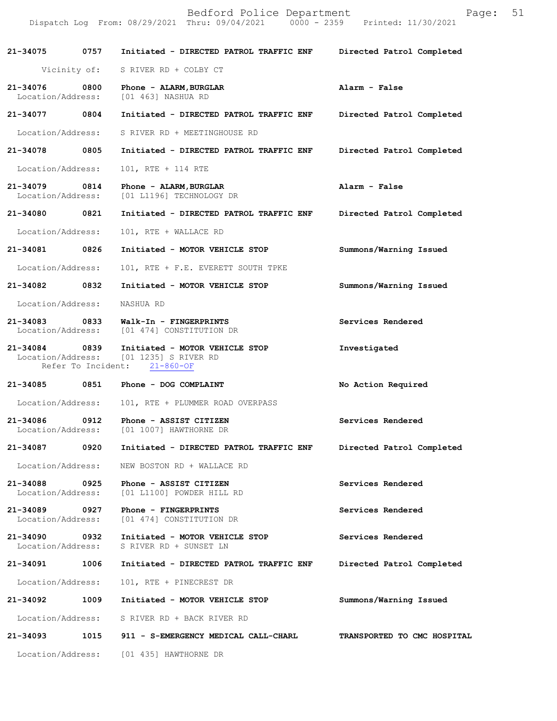|                                    |              | Bedford Police Department<br>Dispatch Log From: 08/29/2021 Thru: 09/04/2021 0000 - 2359 Printed: 11/30/2021 | 51<br>Page:                 |
|------------------------------------|--------------|-------------------------------------------------------------------------------------------------------------|-----------------------------|
| 21-34075                           | 0757         | Initiated - DIRECTED PATROL TRAFFIC ENF                                                                     | Directed Patrol Completed   |
|                                    | Vicinity of: | S RIVER RD + COLBY CT                                                                                       |                             |
| 21-34076<br>Location/Address:      | 0800         | Phone - ALARM, BURGLAR<br>[01 463] NASHUA RD                                                                | Alarm - False               |
| 21-34077 0804                      |              | Initiated - DIRECTED PATROL TRAFFIC ENF                                                                     | Directed Patrol Completed   |
| Location/Address:                  |              | S RIVER RD + MEETINGHOUSE RD                                                                                |                             |
| 21-34078                           | 0805         | Initiated - DIRECTED PATROL TRAFFIC ENF                                                                     | Directed Patrol Completed   |
| Location/Address:                  |              | 101, RTE + 114 RTE                                                                                          |                             |
| 21-34079 0814<br>Location/Address: |              | Phone - ALARM, BURGLAR<br>[01 L1196] TECHNOLOGY DR                                                          | Alarm - False               |
| 21-34080                           | 0821         | Initiated - DIRECTED PATROL TRAFFIC ENF                                                                     | Directed Patrol Completed   |
| Location/Address:                  |              | 101, RTE + WALLACE RD                                                                                       |                             |
| 21-34081                           | 0826         | Initiated - MOTOR VEHICLE STOP                                                                              | Summons/Warning Issued      |
| Location/Address:                  |              | 101, RTE + F.E. EVERETT SOUTH TPKE                                                                          |                             |
| 21-34082 0832                      |              | Initiated - MOTOR VEHICLE STOP                                                                              | Summons/Warning Issued      |
| Location/Address:                  |              | NASHUA RD                                                                                                   |                             |
| 21-34083 0833<br>Location/Address: |              | Walk-In - FINGERPRINTS<br>[01 474] CONSTITUTION DR                                                          | Services Rendered           |
| 21-34084 0839                      |              | Initiated - MOTOR VEHICLE STOP<br>Location/Address: [01 1235] S RIVER RD<br>Refer To Incident: 21-860-OF    | Investigated                |
|                                    |              | 21-34085 0851 Phone - DOG COMPLAINT                                                                         | No Action Required          |
| Location/Address:                  |              | 101, RTE + PLUMMER ROAD OVERPASS                                                                            |                             |
| 21-34086<br>Location/Address:      | 0912         | Phone - ASSIST CITIZEN<br>[01 1007] HAWTHORNE DR                                                            | Services Rendered           |
| 21-34087                           | 0920         | Initiated - DIRECTED PATROL TRAFFIC ENF                                                                     | Directed Patrol Completed   |
| Location/Address:                  |              | NEW BOSTON RD + WALLACE RD                                                                                  |                             |
| 21-34088<br>Location/Address:      | 0925         | Phone - ASSIST CITIZEN<br>[01 L1100] POWDER HILL RD                                                         | Services Rendered           |
| 21-34089 0927<br>Location/Address: |              | Phone - FINGERPRINTS<br>[01 474] CONSTITUTION DR                                                            | Services Rendered           |
| 21-34090<br>Location/Address:      | 0932         | Initiated - MOTOR VEHICLE STOP<br>S RIVER RD + SUNSET LN                                                    | Services Rendered           |
| 21-34091                           | 1006         | Initiated - DIRECTED PATROL TRAFFIC ENF                                                                     | Directed Patrol Completed   |
| Location/Address:                  |              | 101, RTE + PINECREST DR                                                                                     |                             |
| 21-34092                           | 1009         | Initiated - MOTOR VEHICLE STOP                                                                              | Summons/Warning Issued      |
| Location/Address:                  |              | S RIVER RD + BACK RIVER RD                                                                                  |                             |
| 21-34093                           | 1015         | 911 - S-EMERGENCY MEDICAL CALL-CHARL                                                                        | TRANSPORTED TO CMC HOSPITAL |
|                                    |              | Location/Address: [01 435] HAWTHORNE DR                                                                     |                             |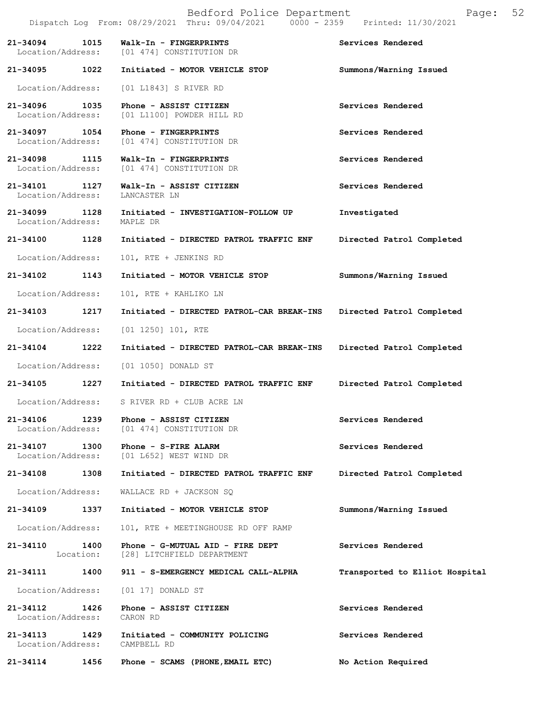|                                    |                   | Bedford Police Department<br>Dispatch Log From: 08/29/2021 Thru: 09/04/2021 | 52<br>Page:<br>0000 - 2359 Printed: 11/30/2021 |
|------------------------------------|-------------------|-----------------------------------------------------------------------------|------------------------------------------------|
| 21-34094<br>Location/Address:      | 1015              | Walk-In - FINGERPRINTS<br>[01 474] CONSTITUTION DR                          | Services Rendered                              |
| 21-34095                           | 1022              | Initiated - MOTOR VEHICLE STOP                                              | Summons/Warning Issued                         |
| Location/Address:                  |                   | [01 L1843] S RIVER RD                                                       |                                                |
| 21-34096<br>Location/Address:      | 1035              | Phone - ASSIST CITIZEN<br>[01 L1100] POWDER HILL RD                         | Services Rendered                              |
| 21-34097 1054<br>Location/Address: |                   | Phone - FINGERPRINTS<br>[01 474] CONSTITUTION DR                            | Services Rendered                              |
| 21-34098<br>Location/Address:      | 1115              | Walk-In - FINGERPRINTS<br>[01 474] CONSTITUTION DR                          | Services Rendered                              |
| 21-34101 1127<br>Location/Address: |                   | Walk-In - ASSIST CITIZEN<br>LANCASTER LN                                    | Services Rendered                              |
| 21-34099<br>Location/Address:      | 1128              | Initiated - INVESTIGATION-FOLLOW UP<br>MAPLE DR                             | Investigated                                   |
| 21-34100                           | 1128              | Initiated - DIRECTED PATROL TRAFFIC ENF                                     | Directed Patrol Completed                      |
| Location/Address:                  |                   | 101, RTE + JENKINS RD                                                       |                                                |
| 21-34102                           | 1143              | Initiated - MOTOR VEHICLE STOP                                              | Summons/Warning Issued                         |
| Location/Address:                  |                   | 101, RTE + KAHLIKO LN                                                       |                                                |
| 21-34103                           | 1217              | Initiated - DIRECTED PATROL-CAR BREAK-INS                                   | Directed Patrol Completed                      |
| Location/Address:                  |                   | $[01 1250] 101$ , RTE                                                       |                                                |
| 21-34104                           | 1222              | Initiated - DIRECTED PATROL-CAR BREAK-INS                                   | Directed Patrol Completed                      |
| Location/Address:                  |                   | [01 1050] DONALD ST                                                         |                                                |
| 21-34105                           | 1227              | Initiated - DIRECTED PATROL TRAFFIC ENF                                     | Directed Patrol Completed                      |
| Location/Address:                  |                   | S RIVER RD + CLUB ACRE LN                                                   |                                                |
| 21-34106<br>Location/Address:      | 1239              | Phone - ASSIST CITIZEN<br>[01 474] CONSTITUTION DR                          | Services Rendered                              |
| 21-34107<br>Location/Address:      | 1300              | Phone - S-FIRE ALARM<br>[01 L652] WEST WIND DR                              | Services Rendered                              |
| 21-34108                           | 1308              | Initiated - DIRECTED PATROL TRAFFIC ENF                                     | Directed Patrol Completed                      |
| Location/Address:                  |                   | WALLACE RD + JACKSON SQ                                                     |                                                |
| 21-34109                           | 1337              | Initiated - MOTOR VEHICLE STOP                                              | Summons/Warning Issued                         |
| Location/Address:                  |                   | 101, RTE + MEETINGHOUSE RD OFF RAMP                                         |                                                |
| 21-34110                           | 1400<br>Location: | Phone - G-MUTUAL AID - FIRE DEPT<br>[28] LITCHFIELD DEPARTMENT              | Services Rendered                              |
| 21-34111                           | 1400              | 911 - S-EMERGENCY MEDICAL CALL-ALPHA                                        | Transported to Elliot Hospital                 |
| Location/Address:                  |                   | $[01 17]$ DONALD ST                                                         |                                                |
| 21-34112<br>Location/Address:      | 1426              | Phone - ASSIST CITIZEN<br>CARON RD                                          | Services Rendered                              |
| 21-34113<br>Location/Address:      | 1429              | Initiated - COMMUNITY POLICING<br>CAMPBELL RD                               | Services Rendered                              |
| 21-34114                           | 1456              | Phone - SCAMS (PHONE, EMAIL ETC)                                            | No Action Required                             |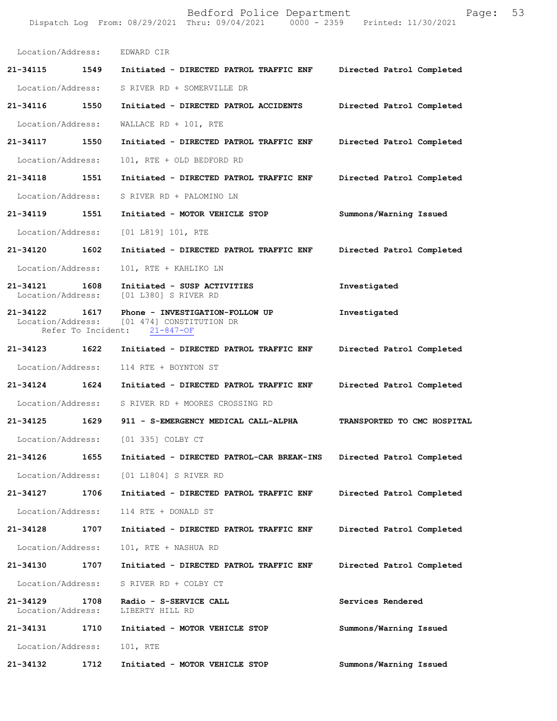Bedford Police Department Page: 53 Dispatch Log From: 08/29/2021 Thru: 09/04/2021 0000 - 2359 Printed: 11/30/2021 Location/Address: EDWARD CIR **21-34115 1549 Initiated - DIRECTED PATROL TRAFFIC ENF Directed Patrol Completed**  Location/Address: S RIVER RD + SOMERVILLE DR **21-34116 1550 Initiated - DIRECTED PATROL ACCIDENTS Directed Patrol Completed**  Location/Address: WALLACE RD + 101, RTE **21-34117 1550 Initiated - DIRECTED PATROL TRAFFIC ENF Directed Patrol Completed**  Location/Address: 101, RTE + OLD BEDFORD RD **21-34118 1551 Initiated - DIRECTED PATROL TRAFFIC ENF Directed Patrol Completed**  Location/Address: S RIVER RD + PALOMINO LN **21-34119 1551 Initiated - MOTOR VEHICLE STOP Summons/Warning Issued**  Location/Address: [01 L819] 101, RTE **21-34120 1602 Initiated - DIRECTED PATROL TRAFFIC ENF Directed Patrol Completed**  Location/Address: 101, RTE + KAHLIKO LN **21-34121 1608 Initiated - SUSP ACTIVITIES Investigated**  Location/Address: [01 L380] S RIVER RD **21-34122 1617 Phone - INVESTIGATION-FOLLOW UP Investigated**  Location/Address: [01 474] CONSTITUTION DR<br>Refer To Incident: 21-847-OF Refer To Incident: **21-34123 1622 Initiated - DIRECTED PATROL TRAFFIC ENF Directed Patrol Completed**  Location/Address: 114 RTE + BOYNTON ST **21-34124 1624 Initiated - DIRECTED PATROL TRAFFIC ENF Directed Patrol Completed**  Location/Address: S RIVER RD + MOORES CROSSING RD **21-34125 1629 911 - S-EMERGENCY MEDICAL CALL-ALPHA TRANSPORTED TO CMC HOSPITAL**  Location/Address: [01 335] COLBY CT **21-34126 1655 Initiated - DIRECTED PATROL-CAR BREAK-INS Directed Patrol Completed**  Location/Address: [01 L1804] S RIVER RD **21-34127 1706 Initiated - DIRECTED PATROL TRAFFIC ENF Directed Patrol Completed**  Location/Address: 114 RTE + DONALD ST **21-34128 1707 Initiated - DIRECTED PATROL TRAFFIC ENF Directed Patrol Completed**  Location/Address: 101, RTE + NASHUA RD **21-34130 1707 Initiated - DIRECTED PATROL TRAFFIC ENF Directed Patrol Completed**  Location/Address: S RIVER RD + COLBY CT 21-34129 1708 Radio - S-SERVICE CALL **Services Rendered**  Location/Address: LIBERTY HILL RD **21-34131 1710 Initiated - MOTOR VEHICLE STOP Summons/Warning Issued**  Location/Address: 101, RTE **21-34132 1712 Initiated - MOTOR VEHICLE STOP Summons/Warning Issued**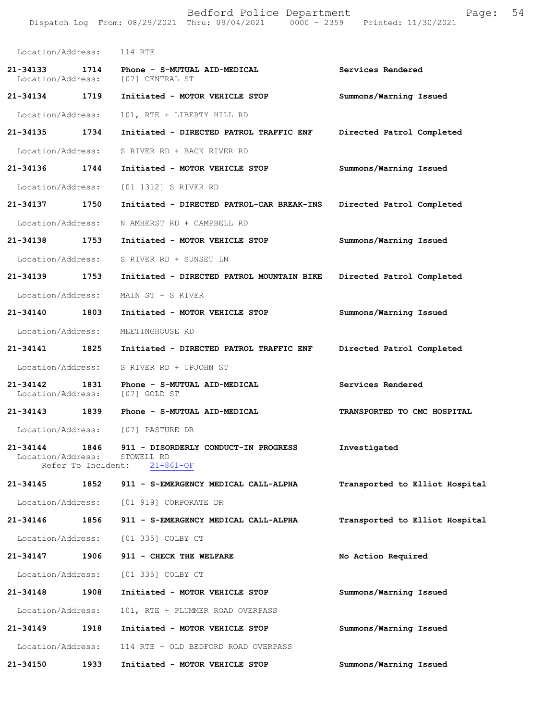|                              |      | Bedford Police Department<br>Dispatch Log From: 08/29/2021 Thru: 09/04/2021   0000 - 2359   Printed: 11/30/2021 | Page:                          | 54 |
|------------------------------|------|-----------------------------------------------------------------------------------------------------------------|--------------------------------|----|
| Location/Address: 114 RTE    |      |                                                                                                                 |                                |    |
| 21-34133                     |      | 1714 Phone - S-MUTUAL AID-MEDICAL<br>Location/Address: [07] CENTRAL ST                                          | Services Rendered              |    |
| 21-34134 1719                |      | Initiated - MOTOR VEHICLE STOP                                                                                  | Summons/Warning Issued         |    |
| Location/Address:            |      | 101, RTE + LIBERTY HILL RD                                                                                      |                                |    |
| 21-34135 1734                |      | Initiated - DIRECTED PATROL TRAFFIC ENF                                                                         | Directed Patrol Completed      |    |
|                              |      | Location/Address: S RIVER RD + BACK RIVER RD                                                                    |                                |    |
| 21-34136                     | 1744 | Initiated - MOTOR VEHICLE STOP                                                                                  | Summons/Warning Issued         |    |
| Location/Address:            |      | [01 1312] S RIVER RD                                                                                            |                                |    |
| 21-34137 1750                |      | Initiated - DIRECTED PATROL-CAR BREAK-INS                                                                       | Directed Patrol Completed      |    |
| Location/Address:            |      | N AMHERST RD + CAMPBELL RD                                                                                      |                                |    |
| 21-34138 1753                |      | Initiated - MOTOR VEHICLE STOP                                                                                  | Summons/Warning Issued         |    |
|                              |      | Location/Address: S RIVER RD + SUNSET LN                                                                        |                                |    |
| 21-34139 1753                |      | Initiated - DIRECTED PATROL MOUNTAIN BIKE Directed Patrol Completed                                             |                                |    |
| Location/Address:            |      | MAIN ST + S RIVER                                                                                               |                                |    |
| 21-34140 1803                |      | Initiated - MOTOR VEHICLE STOP                                                                                  | Summons/Warning Issued         |    |
| Location/Address:            |      | MEETINGHOUSE RD                                                                                                 |                                |    |
| 21-34141 1825                |      | Initiated - DIRECTED PATROL TRAFFIC ENF                                                                         | Directed Patrol Completed      |    |
|                              |      | Location/Address: S RIVER RD + UPJOHN ST                                                                        |                                |    |
| 21-34142                     |      | 1831 Phone - S-MUTUAL AID-MEDICAL<br>Location/Address: [07] GOLD ST                                             | Services Rendered              |    |
| 21-34143 1839                |      | Phone - S-MUTUAL AID-MEDICAL                                                                                    | TRANSPORTED TO CMC HOSPITAL    |    |
|                              |      | Location/Address: [07] PASTURE DR                                                                               |                                |    |
| Location/Address: STOWELL RD |      | 21-34144 1846 911 - DISORDERLY CONDUCT-IN PROGRESS<br>Refer To Incident: 21-861-OF                              | Investigated                   |    |
|                              |      | 21-34145 1852 911 - S-EMERGENCY MEDICAL CALL-ALPHA                                                              | Transported to Elliot Hospital |    |
|                              |      | Location/Address: [01 919] CORPORATE DR                                                                         |                                |    |
|                              |      | 21-34146 1856 911 - S-EMERGENCY MEDICAL CALL-ALPHA                                                              | Transported to Elliot Hospital |    |
|                              |      | Location/Address: [01 335] COLBY CT                                                                             |                                |    |
| 21-34147 1906                |      | 911 - CHECK THE WELFARE                                                                                         | No Action Required             |    |
|                              |      | Location/Address: [01 335] COLBY CT                                                                             |                                |    |
| 21-34148 1908                |      | Initiated - MOTOR VEHICLE STOP                                                                                  | Summons/Warning Issued         |    |
| Location/Address:            |      | 101, RTE + PLUMMER ROAD OVERPASS                                                                                |                                |    |
| 21-34149 1918                |      | Initiated - MOTOR VEHICLE STOP                                                                                  | Summons/Warning Issued         |    |
| Location/Address:            |      | 114 RTE + OLD BEDFORD ROAD OVERPASS                                                                             |                                |    |
| 21-34150 1933                |      | Initiated - MOTOR VEHICLE STOP                                                                                  | Summons/Warning Issued         |    |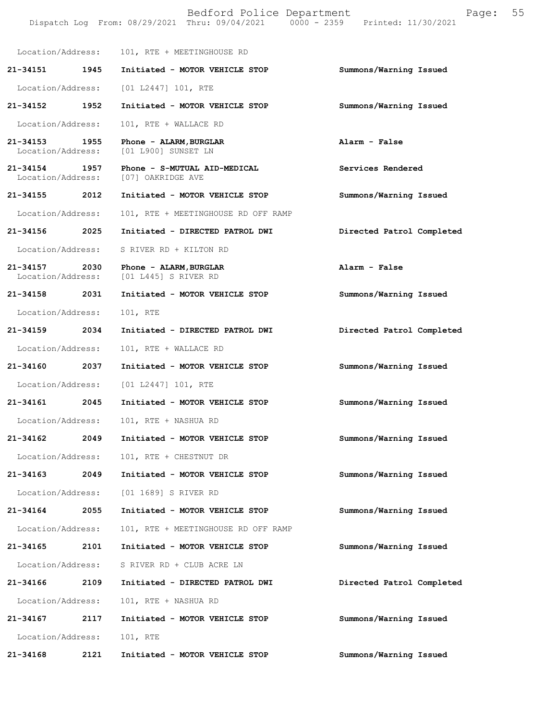|                                    |      | Bedford Police Department<br>Dispatch Log From: 08/29/2021 Thru: 09/04/2021 0000 - 2359 Printed: 11/30/2021 | 55<br>Page:               |
|------------------------------------|------|-------------------------------------------------------------------------------------------------------------|---------------------------|
| Location/Address:                  |      | 101, RTE + MEETINGHOUSE RD                                                                                  |                           |
| 21-34151                           | 1945 | Initiated - MOTOR VEHICLE STOP                                                                              | Summons/Warning Issued    |
| Location/Address:                  |      | [01 L2447] 101, RTE                                                                                         |                           |
| 21-34152                           | 1952 | Initiated - MOTOR VEHICLE STOP                                                                              | Summons/Warning Issued    |
| Location/Address:                  |      | 101, RTE + WALLACE RD                                                                                       |                           |
| $21 - 34153$<br>Location/Address:  | 1955 | Phone - ALARM, BURGLAR<br>[01 L900] SUNSET LN                                                               | Alarm - False             |
| 21-34154 1957<br>Location/Address: |      | Phone - S-MUTUAL AID-MEDICAL<br>[07] OAKRIDGE AVE                                                           | Services Rendered         |
| 21-34155 2012                      |      | Initiated - MOTOR VEHICLE STOP                                                                              | Summons/Warning Issued    |
| Location/Address:                  |      | 101, RTE + MEETINGHOUSE RD OFF RAMP                                                                         |                           |
| 21-34156                           | 2025 | Initiated - DIRECTED PATROL DWI                                                                             | Directed Patrol Completed |
| Location/Address:                  |      | S RIVER RD + KILTON RD                                                                                      |                           |
| 21-34157<br>Location/Address:      | 2030 | Phone - ALARM, BURGLAR<br>[01 L445] S RIVER RD                                                              | Alarm - False             |
| 21-34158 2031                      |      | Initiated - MOTOR VEHICLE STOP                                                                              | Summons/Warning Issued    |
| Location/Address:                  |      | 101, RTE                                                                                                    |                           |
| 21-34159                           | 2034 | Initiated - DIRECTED PATROL DWI                                                                             | Directed Patrol Completed |
| Location/Address:                  |      | 101, RTE + WALLACE RD                                                                                       |                           |
| 21-34160                           | 2037 | Initiated - MOTOR VEHICLE STOP                                                                              | Summons/Warning Issued    |
| Location/Address:                  |      | [01 L2447] 101, RTE                                                                                         |                           |
| 21-34161                           | 2045 | Initiated - MOTOR VEHICLE STOP                                                                              | Summons/Warning Issued    |
| Location/Address:                  |      | 101, RTE + NASHUA RD                                                                                        |                           |
| 21-34162                           | 2049 | Initiated - MOTOR VEHICLE STOP                                                                              | Summons/Warning Issued    |
| Location/Address:                  |      | 101, RTE + CHESTNUT DR                                                                                      |                           |
| 21-34163                           | 2049 | Initiated - MOTOR VEHICLE STOP                                                                              | Summons/Warning Issued    |
| Location/Address:                  |      | [01 1689] S RIVER RD                                                                                        |                           |
| 21-34164                           | 2055 | Initiated - MOTOR VEHICLE STOP                                                                              | Summons/Warning Issued    |
| Location/Address:                  |      | 101, RTE + MEETINGHOUSE RD OFF RAMP                                                                         |                           |
| 21-34165                           | 2101 | Initiated - MOTOR VEHICLE STOP                                                                              | Summons/Warning Issued    |
| Location/Address:                  |      | S RIVER RD + CLUB ACRE LN                                                                                   |                           |
| 21-34166                           | 2109 | Initiated - DIRECTED PATROL DWI                                                                             | Directed Patrol Completed |
| Location/Address:                  |      | 101, RTE + NASHUA RD                                                                                        |                           |
| 21-34167                           | 2117 | Initiated - MOTOR VEHICLE STOP                                                                              | Summons/Warning Issued    |
| Location/Address:                  |      | 101, RTE                                                                                                    |                           |
| 21-34168                           | 2121 | Initiated - MOTOR VEHICLE STOP                                                                              | Summons/Warning Issued    |